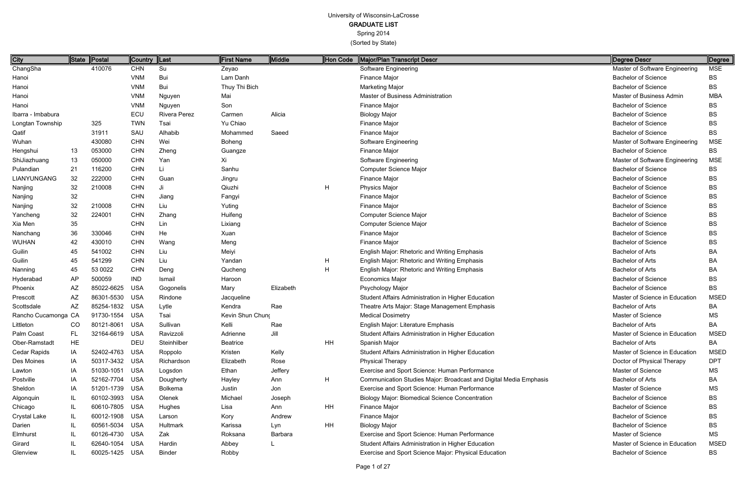| City                |           | State Postal   | Country   Last |                     | <b>First Name</b> | <b>Middle</b> | Hon Code | Major/Plan Transcript Descr                                       | Degree Descr                   | Degree      |
|---------------------|-----------|----------------|----------------|---------------------|-------------------|---------------|----------|-------------------------------------------------------------------|--------------------------------|-------------|
| ChangSha            |           | 410076         | <b>CHN</b>     | Su                  | Zeyao             |               |          | Software Engineering                                              | Master of Software Engineering | <b>MSE</b>  |
| Hanoi               |           |                | <b>VNM</b>     | Bui                 | Lam Danh          |               |          | Finance Major                                                     | <b>Bachelor of Science</b>     | BS          |
| Hanoi               |           |                | <b>VNM</b>     | Bui                 | Thuy Thi Bich     |               |          | <b>Marketing Major</b>                                            | <b>Bachelor of Science</b>     | BS          |
| Hanoi               |           |                | <b>VNM</b>     | Nguyen              | Mai               |               |          | Master of Business Administration                                 | Master of Business Admin       | <b>MBA</b>  |
| Hanoi               |           |                | <b>VNM</b>     | Nguyen              | Son               |               |          | Finance Major                                                     | <b>Bachelor of Science</b>     | BS          |
| Ibarra - Imbabura   |           |                | ECU            | <b>Rivera Perez</b> | Carmen            | Alicia        |          | <b>Biology Major</b>                                              | <b>Bachelor of Science</b>     | <b>BS</b>   |
| Longtan Township    |           | 325            | <b>TWN</b>     | Tsai                | Yu Chiao          |               |          | Finance Major                                                     | <b>Bachelor of Science</b>     | <b>BS</b>   |
| Qatif               |           | 31911          | SAU            | Alhabib             | Mohammed          | Saeed         |          | Finance Major                                                     | <b>Bachelor of Science</b>     | <b>BS</b>   |
| Wuhan               |           | 430080         | <b>CHN</b>     | Wei                 | Boheng            |               |          | Software Engineering                                              | Master of Software Engineering | <b>MSE</b>  |
| Hengshui            | 13        | 053000         | <b>CHN</b>     | Zheng               | Guangze           |               |          | Finance Major                                                     | <b>Bachelor of Science</b>     | <b>BS</b>   |
| ShiJiazhuang        | 13        | 050000         | <b>CHN</b>     | Yan                 | Xi                |               |          | Software Engineering                                              | Master of Software Engineering | <b>MSE</b>  |
| Pulandian           | 21        | 116200         | <b>CHN</b>     | Li                  | Sanhu             |               |          | Computer Science Major                                            | <b>Bachelor of Science</b>     | BS          |
| <b>LIANYUNGANG</b>  | 32        | 222000         | <b>CHN</b>     | Guan                | Jingru            |               |          | Finance Major                                                     | <b>Bachelor of Science</b>     | <b>BS</b>   |
| Nanjing             | 32        | 210008         | <b>CHN</b>     | Ji                  | Qiuzhi            |               | H        | Physics Major                                                     | <b>Bachelor of Science</b>     | <b>BS</b>   |
| Nanjing             | 32        |                | <b>CHN</b>     | Jiang               | Fangyi            |               |          | Finance Major                                                     | <b>Bachelor of Science</b>     | BS          |
| Nanjing             | 32        | 210008         | <b>CHN</b>     | Liu                 | Yuting            |               |          | Finance Major                                                     | <b>Bachelor of Science</b>     | <b>BS</b>   |
| Yancheng            | 32        | 224001         | <b>CHN</b>     | Zhang               | Huifeng           |               |          | Computer Science Major                                            | <b>Bachelor of Science</b>     | BS          |
| Xia Men             | 35        |                | <b>CHN</b>     | Lin                 | Lixiang           |               |          | Computer Science Major                                            | <b>Bachelor of Science</b>     | BS          |
| Nanchang            | 36        | 330046         | <b>CHN</b>     | He                  | Xuan              |               |          | Finance Major                                                     | <b>Bachelor of Science</b>     | BS          |
| <b>WUHAN</b>        | 42        | 430010         | <b>CHN</b>     | Wang                | Meng              |               |          | Finance Major                                                     | <b>Bachelor of Science</b>     | <b>BS</b>   |
| Guilin              | 45        | 541002         | <b>CHN</b>     | Liu                 | Meiyi             |               |          | English Major: Rhetoric and Writing Emphasis                      | <b>Bachelor of Arts</b>        | <b>BA</b>   |
| Guilin              | 45        | 541299         | <b>CHN</b>     | Liu                 | Yandan            |               | H        | English Major: Rhetoric and Writing Emphasis                      | <b>Bachelor of Arts</b>        | BA          |
| Nanning             | 45        | 53 0022        | <b>CHN</b>     | Deng                | Qucheng           |               | H        | English Major: Rhetoric and Writing Emphasis                      | <b>Bachelor of Arts</b>        | <b>BA</b>   |
| Hyderabad           | AP        | 500059         | <b>IND</b>     | Ismail              | Haroon            |               |          | <b>Economics Major</b>                                            | <b>Bachelor of Science</b>     | <b>BS</b>   |
| Phoenix             | AZ        | 85022-6625     | <b>USA</b>     | Gogonelis           | Mary              | Elizabeth     |          | Psychology Major                                                  | <b>Bachelor of Science</b>     | <b>BS</b>   |
| Prescott            | AZ        | 86301-5530     | USA            | Rindone             | Jacqueline        |               |          | Student Affairs Administration in Higher Education                | Master of Science in Education | <b>MSED</b> |
| Scottsdale          | AZ        | 85254-1832 USA |                | Lytle               | Kendra            | Rae           |          | Theatre Arts Major: Stage Management Emphasis                     | <b>Bachelor of Arts</b>        | BA          |
| Rancho Cucamonga CA |           | 91730-1554 USA |                | Tsai                | Kevin Shun Chung  |               |          | <b>Medical Dosimetry</b>                                          | Master of Science              | <b>MS</b>   |
| Littleton           | CO        | 80121-8061 USA |                | Sullivan            | Kelli             | Rae           |          | English Major: Literature Emphasis                                | <b>Bachelor of Arts</b>        | BA          |
| Palm Coast          | <b>FL</b> | 32164-6619 USA |                | Ravizzoli           | Adrienne          | Jill          |          | Student Affairs Administration in Higher Education                | Master of Science in Education | <b>MSED</b> |
| Ober-Ramstadt       | <b>HE</b> |                | <b>DEU</b>     | Steinhilber         | <b>Beatrice</b>   |               | HH       | Spanish Major                                                     | <b>Bachelor of Arts</b>        | BA          |
| Cedar Rapids        | IA        | 52402-4763 USA |                | Roppolo             | Kristen           | Kelly         |          | Student Affairs Administration in Higher Education                | Master of Science in Education | <b>MSED</b> |
| Des Moines          | IA        | 50317-3432 USA |                | Richardson          | Elizabeth         | Rose          |          | <b>Physical Therapy</b>                                           | Doctor of Physical Therapy     | <b>DPT</b>  |
| Lawton              | IA        | 51030-1051 USA |                | Logsdon             | Ethan             | Jeffery       |          | Exercise and Sport Science: Human Performance                     | Master of Science              | MS          |
| Postville           | IA        | 52162-7704 USA |                | Dougherty           | Hayley            | Ann           | H        | Communication Studies Major: Broadcast and Digital Media Emphasis | <b>Bachelor of Arts</b>        | BA          |
| Sheldon             | IA        | 51201-1739 USA |                | <b>Bolkema</b>      | Justin            | Jon           |          | Exercise and Sport Science: Human Performance                     | Master of Science              | <b>MS</b>   |
| Algonquin           | IL        | 60102-3993 USA |                | Olenek              | Michael           | Joseph        |          | <b>Biology Major: Biomedical Science Concentration</b>            | <b>Bachelor of Science</b>     | BS          |
| Chicago             | IL        | 60610-7805 USA |                | Hughes              | Lisa              | Ann           | HH       | Finance Major                                                     | <b>Bachelor of Science</b>     | <b>BS</b>   |
| Crystal Lake        | IL        | 60012-1908 USA |                | Larson              | Kory              | Andrew        |          | Finance Major                                                     | <b>Bachelor of Science</b>     | <b>BS</b>   |
| Darien              | IL.       | 60561-5034 USA |                | Hultmark            | Karissa           | Lyn           | HH       | <b>Biology Major</b>                                              | <b>Bachelor of Science</b>     | <b>BS</b>   |
| Elmhurst            | IL        | 60126-4730 USA |                | Zak                 | Roksana           | Barbara       |          | Exercise and Sport Science: Human Performance                     | Master of Science              | <b>MS</b>   |
| Girard              |           | 62640-1054 USA |                | Hardin              | Abbey             |               |          | Student Affairs Administration in Higher Education                | Master of Science in Education | <b>MSED</b> |
| Glenview            | IL        | 60025-1425 USA |                | <b>Binder</b>       | Robby             |               |          | Exercise and Sport Science Major: Physical Education              | <b>Bachelor of Science</b>     | <b>BS</b>   |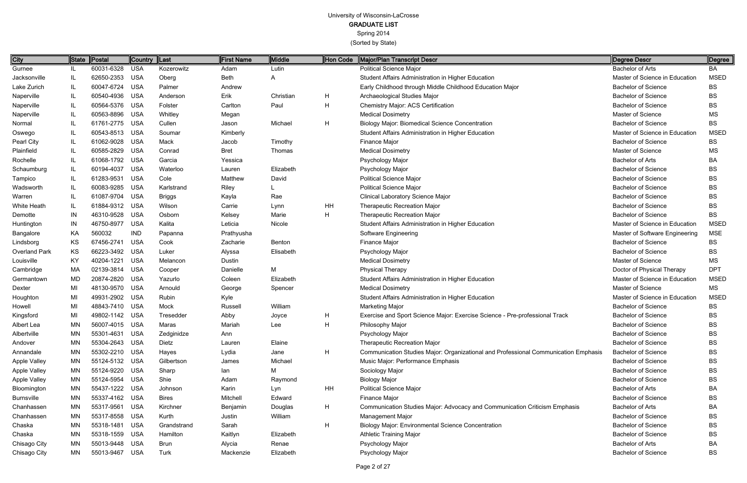| <b>City</b>       | State | $\ $ Postal    | <b>Country</b> | $\ $ Last     | <b>First Name</b> | Middle    | <b>Hon Code</b> | Major/Plan Transcript Descr                                                         | Degree Descr                   | ∥Degree     |
|-------------------|-------|----------------|----------------|---------------|-------------------|-----------|-----------------|-------------------------------------------------------------------------------------|--------------------------------|-------------|
| Gurnee            | IL.   | 60031-6328     | <b>USA</b>     | Kozerowitz    | Adam              | Lutin     |                 | <b>Political Science Major</b>                                                      | <b>Bachelor of Arts</b>        | BA          |
| Jacksonville      | IL    | 62650-2353 USA |                | Oberg         | Beth              | A         |                 | Student Affairs Administration in Higher Education                                  | Master of Science in Education | <b>MSED</b> |
| Lake Zurich       | IL.   | 60047-6724 USA |                | Palmer        | Andrew            |           |                 | Early Childhood through Middle Childhood Education Major                            | <b>Bachelor of Science</b>     | <b>BS</b>   |
| Naperville        | IL.   | 60540-4936     | <b>USA</b>     | Anderson      | Erik              | Christian | H               | Archaeological Studies Major                                                        | <b>Bachelor of Science</b>     | BS          |
| Naperville        | IL.   | 60564-5376 USA |                | Folster       | Carlton           | Paul      | H               | <b>Chemistry Major: ACS Certification</b>                                           | <b>Bachelor of Science</b>     | BS          |
| Naperville        | IL    | 60563-8896     | <b>USA</b>     | Whitley       | Megan             |           |                 | <b>Medical Dosimetry</b>                                                            | Master of Science              | <b>MS</b>   |
| Normal            | IL    | 61761-2775 USA |                | Cullen        | Jason             | Michael   | H               | <b>Biology Major: Biomedical Science Concentration</b>                              | <b>Bachelor of Science</b>     | <b>BS</b>   |
| Oswego            | IL    | 60543-8513 USA |                | Soumar        | Kimberly          |           |                 | Student Affairs Administration in Higher Education                                  | Master of Science in Education | <b>MSED</b> |
| Pearl City        | IL    | 61062-9028 USA |                | Mack          | Jacob             | Timothy   |                 | Finance Major                                                                       | <b>Bachelor of Science</b>     | <b>BS</b>   |
| Plainfield        | IL    | 60585-2829     | USA            | Conrad        | <b>Bret</b>       | Thomas    |                 | <b>Medical Dosimetry</b>                                                            | Master of Science              | <b>MS</b>   |
| Rochelle          | IL    | 61068-1792 USA |                | Garcia        | Yessica           |           |                 | Psychology Major                                                                    | <b>Bachelor of Arts</b>        | BA          |
| Schaumburg        | IL    | 60194-4037     | <b>USA</b>     | Waterloo      | Lauren            | Elizabeth |                 | Psychology Major                                                                    | <b>Bachelor of Science</b>     | <b>BS</b>   |
| Tampico           | IL    | 61283-9531     | <b>USA</b>     | Cole          | Matthew           | David     |                 | <b>Political Science Major</b>                                                      | <b>Bachelor of Science</b>     | BS          |
| Wadsworth         | IL    | 60083-9285     | <b>USA</b>     | Karlstrand    | Riley             |           |                 | <b>Political Science Major</b>                                                      | <b>Bachelor of Science</b>     | BS          |
| Warren            | IL    | 61087-9704 USA |                | <b>Briggs</b> | Kayla             | Rae       |                 | <b>Clinical Laboratory Science Major</b>                                            | <b>Bachelor of Science</b>     | BS          |
| White Heath       | IL    | 61884-9312 USA |                | Wilson        | Carrie            | Lynn      | HH              | Therapeutic Recreation Major                                                        | <b>Bachelor of Science</b>     | <b>BS</b>   |
| Demotte           | IN    | 46310-9528 USA |                | Osborn        | Kelsey            | Marie     | H               | Therapeutic Recreation Major                                                        | <b>Bachelor of Science</b>     | <b>BS</b>   |
| Huntington        | IN    | 46750-8977     | <b>USA</b>     | Kalita        | Leticia           | Nicole    |                 | Student Affairs Administration in Higher Education                                  | Master of Science in Education | <b>MSED</b> |
| Bangalore         | KA    | 560032         | <b>IND</b>     | Papanna       | Prathyusha        |           |                 | Software Engineering                                                                | Master of Software Engineering | <b>MSE</b>  |
| Lindsborg         | KS    | 67456-2741     | <b>USA</b>     | Cook          | Zacharie          | Benton    |                 | Finance Major                                                                       | <b>Bachelor of Science</b>     | <b>BS</b>   |
| Overland Park     | KS    | 66223-3492 USA |                | Luker         | Alyssa            | Elisabeth |                 | Psychology Major                                                                    | <b>Bachelor of Science</b>     | BS          |
| Louisville        | KY    | 40204-1221     | <b>USA</b>     | Melancon      | Dustin            |           |                 | <b>Medical Dosimetry</b>                                                            | Master of Science              | <b>MS</b>   |
| Cambridge         | МA    | 02139-3814     | USA            | Cooper        | Danielle          | Μ         |                 | <b>Physical Therapy</b>                                                             | Doctor of Physical Therapy     | <b>DPT</b>  |
| Germantown        | MD    | 20874-2820     | <b>USA</b>     | Yazurlo       | Coleen            | Elizabeth |                 | Student Affairs Administration in Higher Education                                  | Master of Science in Education | <b>MSED</b> |
| Dexter            | MI    | 48130-9570 USA |                | Arnould       | George            | Spencer   |                 | <b>Medical Dosimetry</b>                                                            | Master of Science              | <b>MS</b>   |
| Houghton          | MI    | 49931-2902     | <b>USA</b>     | Rubin         | Kyle              |           |                 | Student Affairs Administration in Higher Education                                  | Master of Science in Education | <b>MSED</b> |
| Howell            | MI    | 48843-7410 USA |                | Mock          | Russell           | William   |                 | Marketing Major                                                                     | <b>Bachelor of Science</b>     | <b>BS</b>   |
| Kingsford         | MI    | 49802-1142 USA |                | Tresedder     | Abby              | Joyce     | H               | Exercise and Sport Science Major: Exercise Science - Pre-professional Track         | <b>Bachelor of Science</b>     | BS          |
| Albert Lea        | MN    | 56007-4015 USA |                | Maras         | Mariah            | Lee       | H               | Philosophy Major                                                                    | <b>Bachelor of Science</b>     | BS          |
| Albertville       | MN    | 55301-4631 USA |                | Zedginidze    | Ann               |           |                 | Psychology Major                                                                    | <b>Bachelor of Science</b>     | BS          |
| Andover           | MN    | 55304-2643 USA |                | Dietz         | Lauren            | Elaine    |                 | <b>Therapeutic Recreation Major</b>                                                 | <b>Bachelor of Science</b>     | BS          |
| Annandale         | MN    | 55302-2210 USA |                | Hayes         | Lydia             | Jane      | H               | Communication Studies Major: Organizational and Professional Communication Emphasis | <b>Bachelor of Science</b>     | BS          |
| Apple Valley      | MN    | 55124-5132 USA |                | Gilbertson    | James             | Michael   |                 | Music Major: Performance Emphasis                                                   | <b>Bachelor of Science</b>     | BS          |
| Apple Valley      | MN    | 55124-9220     | USA            | Sharp         | lan               | М         |                 | Sociology Major                                                                     | <b>Bachelor of Science</b>     | BS          |
| Apple Valley      | MN    | 55124-5954 USA |                | Shie          | Adam              | Raymond   |                 | <b>Biology Major</b>                                                                | <b>Bachelor of Science</b>     | BS          |
| Bloomington       | MN    | 55437-1222 USA |                | Johnson       | Karin             | Lyn       | <b>HH</b>       | <b>Political Science Major</b>                                                      | <b>Bachelor of Arts</b>        | BA          |
| <b>Burnsville</b> | MN    | 55337-4162 USA |                | <b>Bires</b>  | Mitchell          | Edward    |                 | Finance Major                                                                       | <b>Bachelor of Science</b>     | BS          |
| Chanhassen        | MN    | 55317-9561 USA |                | Kirchner      | Benjamin          | Douglas   | H               | Communication Studies Major: Advocacy and Communication Criticism Emphasis          | <b>Bachelor of Arts</b>        | BA          |
| Chanhassen        | MN    | 55317-8558 USA |                | Kurth         | Justin            | William   |                 | Management Major                                                                    | <b>Bachelor of Science</b>     | BS          |
| Chaska            | ΜN    | 55318-1481 USA |                | Grandstrand   | Sarah             |           | H               | <b>Biology Major: Environmental Science Concentration</b>                           | <b>Bachelor of Science</b>     | BS          |
| Chaska            | MN    | 55318-1559 USA |                | Hamilton      | Kaitlyn           | Elizabeth |                 | <b>Athletic Training Major</b>                                                      | <b>Bachelor of Science</b>     | BS          |
| Chisago City      | MN    | 55013-9448 USA |                | Brun          | Alycia            | Renae     |                 | Psychology Major                                                                    | <b>Bachelor of Arts</b>        | BA          |
| Chisago City      | MN    | 55013-9467 USA |                | Turk          | Mackenzie         | Elizabeth |                 | Psychology Major                                                                    | <b>Bachelor of Science</b>     | BS          |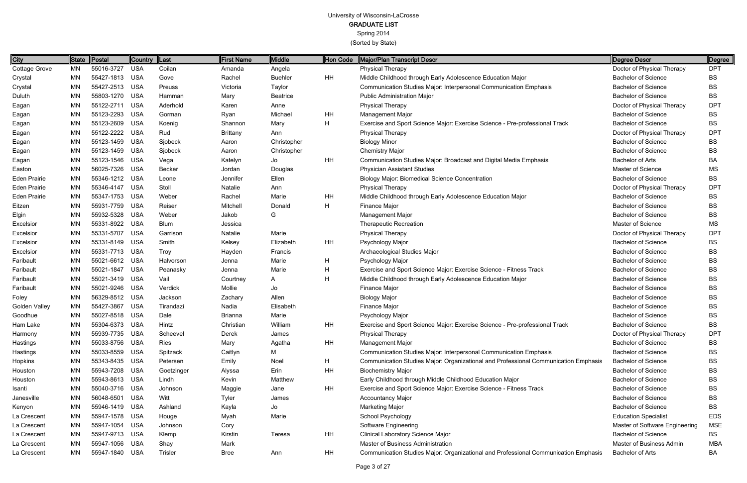Spring 2014

| <b>City</b>          | State     | Postal         | Country    | $\ $ Last      | First Name      | Middle          | Hon Code  | Major/Plan Transcript Descr                                                         | Degree Descr                   | Degree          |
|----------------------|-----------|----------------|------------|----------------|-----------------|-----------------|-----------|-------------------------------------------------------------------------------------|--------------------------------|-----------------|
| <b>Cottage Grove</b> | <b>MN</b> | 55016-3727     | <b>USA</b> | Coilan         | Amanda          | Angela          |           | <b>Physical Therapy</b>                                                             | Doctor of Physical Therapy     | <b>DPT</b>      |
| Crystal              | MN        | 55427-1813     | <b>USA</b> | Gove           | Rachel          | <b>Buehler</b>  | <b>HH</b> | Middle Childhood through Early Adolescence Education Major                          | <b>Bachelor of Science</b>     | <b>BS</b>       |
| Crystal              | <b>MN</b> | 55427-2513     | USA        | Preuss         | Victoria        | Taylor          |           | Communication Studies Major: Interpersonal Communication Emphasis                   | <b>Bachelor of Science</b>     | BS              |
| Duluth               | <b>MN</b> | 55803-1270     | <b>USA</b> | Hamman         | Mary            | <b>Beatrice</b> |           | <b>Public Administration Major</b>                                                  | <b>Bachelor of Science</b>     | BS              |
| Eagan                | <b>MN</b> | 55122-2711     | <b>USA</b> | Aderhold       | Karen           | Anne            |           | Physical Therapy                                                                    | Doctor of Physical Therapy     | <b>DPT</b>      |
| Eagan                | <b>MN</b> | 55123-2293     | <b>USA</b> | Gorman         | Ryan            | Michael         | HH        | Management Major                                                                    | <b>Bachelor of Science</b>     | <b>BS</b>       |
| Eagan                | <b>MN</b> | 55123-2609     | <b>USA</b> | Koenig         | Shannon         | Mary            | H         | Exercise and Sport Science Major: Exercise Science - Pre-professional Track         | <b>Bachelor of Science</b>     | BS              |
| Eagan                | <b>MN</b> | 55122-2222     | <b>USA</b> | Rud            | <b>Brittany</b> | Ann             |           | <b>Physical Therapy</b>                                                             | Doctor of Physical Therapy     | DP <sub>1</sub> |
| Eagan                | MN        | 55123-1459     | <b>USA</b> | Sjobeck        | Aaron           | Christopher     |           | <b>Biology Minor</b>                                                                | <b>Bachelor of Science</b>     | BS              |
| Eagan                | <b>MN</b> | 55123-1459     | <b>USA</b> | Sjobeck        | Aaron           | Christopher     |           | <b>Chemistry Major</b>                                                              | <b>Bachelor of Science</b>     | BS              |
| Eagan                | <b>MN</b> | 55123-1546     | USA        | Vega           | Katelyn         | Jo              | HH        | Communication Studies Major: Broadcast and Digital Media Emphasis                   | <b>Bachelor of Arts</b>        | ВA              |
| Easton               | <b>MN</b> | 56025-7326     | <b>USA</b> | Becker         | Jordan          | Douglas         |           | <b>Physician Assistant Studies</b>                                                  | Master of Science              | <b>MS</b>       |
| <b>Eden Prairie</b>  | <b>MN</b> | 55346-1212     | <b>USA</b> | Leone          | Jennifer        | Ellen           |           | <b>Biology Major: Biomedical Science Concentration</b>                              | <b>Bachelor of Science</b>     | BS              |
| <b>Eden Prairie</b>  | <b>MN</b> | 55346-4147     | <b>USA</b> | Stoll          | Natalie         | Ann             |           | Physical Therapy                                                                    | Doctor of Physical Therapy     | <b>DPT</b>      |
| <b>Eden Prairie</b>  | <b>MN</b> | 55347-1753     | <b>USA</b> | Weber          | Rachel          | Marie           | HH        | Middle Childhood through Early Adolescence Education Major                          | <b>Bachelor of Science</b>     | BS              |
| Eitzen               | <b>MN</b> | 55931-7759     | <b>USA</b> | Reiser         | Mitchell        | Donald          | H         | <b>Finance Major</b>                                                                | <b>Bachelor of Science</b>     | BS              |
| Elgin                | <b>MN</b> | 55932-5328     | <b>USA</b> | Weber          | Jakob           | G               |           | Management Major                                                                    | <b>Bachelor of Science</b>     | <b>BS</b>       |
| Excelsion            | <b>MN</b> | 55331-8922     | <b>USA</b> | <b>Blum</b>    | Jessica         |                 |           | <b>Therapeutic Recreation</b>                                                       | Master of Science              | <b>MS</b>       |
| Excelsior            | <b>MN</b> | 55331-5707     | <b>USA</b> | Garrison       | Natalie         | Marie           |           | <b>Physical Therapy</b>                                                             | Doctor of Physical Therapy     | <b>DPT</b>      |
| Excelsion            | <b>MN</b> | 55331-8149     | <b>USA</b> | Smith          | Kelsey          | Elizabeth       | <b>HH</b> | Psychology Major                                                                    | <b>Bachelor of Science</b>     | <b>BS</b>       |
| Excelsior            | <b>MN</b> | 55331-7713     | USA        | Troy           | Hayden          | Francis         |           | Archaeological Studies Major                                                        | <b>Bachelor of Science</b>     | BS              |
| Faribault            | <b>MN</b> | 55021-6612     | <b>USA</b> | Halvorson      | Jenna           | Marie           | H         | Psychology Major                                                                    | <b>Bachelor of Science</b>     | <b>BS</b>       |
| Faribault            | <b>MN</b> | 55021-1847     | <b>USA</b> | Peanasky       | Jenna           | Marie           | Н         | Exercise and Sport Science Major: Exercise Science - Fitness Track                  | <b>Bachelor of Science</b>     | BS              |
| Faribault            | <b>MN</b> | 55021-3419     | <b>USA</b> | Vail           | Courtney        | A               | H         | Middle Childhood through Early Adolescence Education Major                          | <b>Bachelor of Science</b>     | BS              |
| Faribault            | <b>MN</b> | 55021-9246     | <b>USA</b> | Verdick        | Mollie          | Jo              |           | <b>Finance Major</b>                                                                | <b>Bachelor of Science</b>     | BS              |
| Foley                | <b>MN</b> | 56329-8512     | <b>USA</b> | Jackson        | Zachary         | Allen           |           | <b>Biology Major</b>                                                                | <b>Bachelor of Science</b>     | <b>BS</b>       |
| <b>Golden Valley</b> | <b>MN</b> | 55427-3867     | <b>USA</b> | Tirandazi      | Nadia           | Elisabeth       |           | <b>Finance Major</b>                                                                | <b>Bachelor of Science</b>     | BS              |
| Goodhue              | <b>MN</b> | 55027-8518     | <b>USA</b> | Dale           | <b>Brianna</b>  | Marie           |           | Psychology Major                                                                    | <b>Bachelor of Science</b>     | <b>BS</b>       |
| Ham Lake             | <b>MN</b> | 55304-6373 USA |            | Hintz          | Christian       | William         | HH        | Exercise and Sport Science Major: Exercise Science - Pre-professional Track         | <b>Bachelor of Science</b>     | <b>BS</b>       |
| Harmony              | MN        | 55939-7735     | USA        | Scheevel       | Derek           | James           |           | <b>Physical Therapy</b>                                                             | Doctor of Physical Therapy     | <b>DPT</b>      |
| Hastings             | <b>MN</b> | 55033-8756     | <b>USA</b> | Ries           | Mary            | Agatha          | HH        | Management Major                                                                    | <b>Bachelor of Science</b>     | BS              |
| Hastings             | <b>MN</b> | 55033-8559     | <b>USA</b> | Spitzack       | Caitlyn         | М               |           | Communication Studies Major: Interpersonal Communication Emphasis                   | <b>Bachelor of Science</b>     | BS              |
| Hopkins              | <b>MN</b> | 55343-8435     | USA        | Petersen       | Emily           | Noel            | H         | Communication Studies Major: Organizational and Professional Communication Emphasis | <b>Bachelor of Science</b>     | BS              |
| Houston              | <b>MN</b> | 55943-7208     | <b>USA</b> | Goetzinger     | Alyssa          | Erin            | HH        | <b>Biochemistry Major</b>                                                           | <b>Bachelor of Science</b>     | BS              |
| Houston              | <b>MN</b> | 55943-8613 USA |            | Lindh          | Kevin           | Matthew         |           | Early Childhood through Middle Childhood Education Major                            | <b>Bachelor of Science</b>     | <b>BS</b>       |
| Isanti               | <b>MN</b> | 55040-3716     | USA        | Johnson        | Maggie          | Jane            | <b>HH</b> | Exercise and Sport Science Major: Exercise Science - Fitness Track                  | <b>Bachelor of Science</b>     | <b>BS</b>       |
| Janesville           | <b>MN</b> | 56048-6501     | USA        | Witt           | Tyler           | James           |           | <b>Accountancy Major</b>                                                            | <b>Bachelor of Science</b>     | BS              |
| Kenyon               | <b>MN</b> | 55946-1419     | USA        | Ashland        | Kayla           | Jo              |           | <b>Marketing Major</b>                                                              | <b>Bachelor of Science</b>     | <b>BS</b>       |
| La Crescent          | <b>MN</b> | 55947-1578 USA |            | Houge          | Myah            | Marie           |           | <b>School Psychology</b>                                                            | <b>Education Specialist</b>    | <b>EDS</b>      |
| La Crescent          | <b>MN</b> | 55947-1054     | USA        | Johnson        | Cory            |                 |           | Software Engineering                                                                | Master of Software Engineering | <b>MSE</b>      |
| La Crescent          | <b>MN</b> | 55947-9713 USA |            | Klemp          | Kirstin         | Teresa          | HH        | Clinical Laboratory Science Major                                                   | <b>Bachelor of Science</b>     | BS              |
| La Crescent          | MN        | 55947-1056     | USA        | Shay           | Mark            |                 |           | Master of Business Administration                                                   | Master of Business Admin       | MBA             |
| La Crescent          | <b>MN</b> | 55947-1840 USA |            | <b>Trisler</b> | Bree            | Ann             | HH        | Communication Studies Major: Organizational and Professional Communication Emphasis | Bachelor of Arts               | BA              |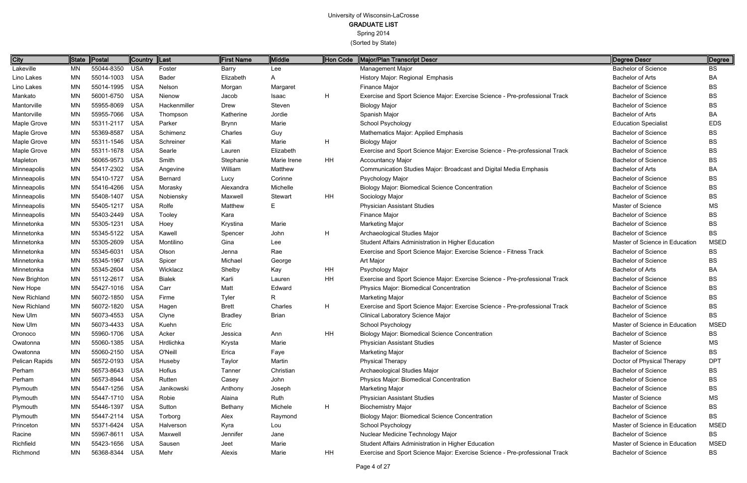Spring 2014

| City               |    | State   Postal | <b>Country</b> | $\ $ Last     | <b>First Name</b> | Middle       | Hon Code  | Major/Plan Transcript Descr                                                 | Degree Descr                   | Degree      |
|--------------------|----|----------------|----------------|---------------|-------------------|--------------|-----------|-----------------------------------------------------------------------------|--------------------------------|-------------|
| Lakeville          | MN | 55044-8350 USA |                | Foster        | Barry             | Lee          |           | Management Major                                                            | <b>Bachelor of Science</b>     | ВS          |
| Lino Lakes         | MN | 55014-1003 USA |                | <b>Bader</b>  | Elizabeth         | A            |           | History Major: Regional Emphasis                                            | <b>Bachelor of Arts</b>        | ВA          |
| Lino Lakes         | MN | 55014-1995 USA |                | Nelson        | Morgan            | Margaret     |           | Finance Major                                                               | <b>Bachelor of Science</b>     | BS          |
| Mankato            | MN | 56001-6750 USA |                | Nienow        | Jacob             | Isaac        | H         | Exercise and Sport Science Major: Exercise Science - Pre-professional Track | <b>Bachelor of Science</b>     | BS          |
| Mantorville        | MN | 55955-8069 USA |                | Hackenmiller  | Drew              | Steven       |           | <b>Biology Major</b>                                                        | <b>Bachelor of Science</b>     | BS          |
| Mantorville        | MN | 55955-7066 USA |                | Thompson      | Katherine         | Jordie       |           | Spanish Major                                                               | <b>Bachelor of Arts</b>        | ВA          |
| Maple Grove        | ΜN | 55311-2117 USA |                | Parker        | Brynn             | Marie        |           | School Psychology                                                           | <b>Education Specialist</b>    | <b>EDS</b>  |
| Maple Grove        | MN | 55369-8587     | <b>USA</b>     | Schimenz      | Charles           | Guy          |           | Mathematics Major: Applied Emphasis                                         | <b>Bachelor of Science</b>     | ВS          |
| Maple Grove        | MN | 55311-1546 USA |                | Schreiner     | Kali              | Marie        | H         | <b>Biology Major</b>                                                        | <b>Bachelor of Science</b>     | BS          |
| Maple Grove        | MN | 55311-1678 USA |                | Searle        | Lauren            | Elizabeth    |           | Exercise and Sport Science Major: Exercise Science - Pre-professional Track | <b>Bachelor of Science</b>     | BS          |
| Mapleton           | MN | 56065-9573 USA |                | Smith         | Stephanie         | Marie Irene  | HH        | <b>Accountancy Major</b>                                                    | <b>Bachelor of Science</b>     | BS          |
| Minneapolis        | MN | 55417-2302 USA |                | Angevine      | William           | Matthew      |           | Communication Studies Major: Broadcast and Digital Media Emphasis           | <b>Bachelor of Arts</b>        | ВA          |
| Minneapolis        | MN | 55410-1727 USA |                | Bernard       | Lucy              | Corinne      |           | Psychology Major                                                            | <b>Bachelor of Science</b>     | BS          |
| Minneapolis        | MN | 55416-4266 USA |                | Morasky       | Alexandra         | Michelle     |           | <b>Biology Major: Biomedical Science Concentration</b>                      | <b>Bachelor of Science</b>     | BS          |
| Minneapolis        | MN | 55408-1407 USA |                | Nobiensky     | Maxwell           | Stewart      | <b>HH</b> | Sociology Major                                                             | <b>Bachelor of Science</b>     | BS          |
| <b>Minneapolis</b> | MN | 55405-1217     | USA            | Rolfe         | Matthew           | E.           |           | <b>Physician Assistant Studies</b>                                          | Master of Science              | МS          |
| Minneapolis        | MN | 55403-2449 USA |                | Tooley        | Kara              |              |           | Finance Major                                                               | <b>Bachelor of Science</b>     | BS          |
| Minnetonka         | MN | 55305-1231     | <b>USA</b>     | Hoey          | Krystina          | Marie        |           | Marketing Major                                                             | <b>Bachelor of Science</b>     | BS          |
| Minnetonka         | MN | 55345-5122 USA |                | Kawell        | Spencer           | John         | H         | Archaeological Studies Major                                                | <b>Bachelor of Science</b>     | BS          |
| Minnetonka         | MN | 55305-2609 USA |                | Montilino     | Gina              | Lee          |           | Student Affairs Administration in Higher Education                          | Master of Science in Education | <b>MSED</b> |
| Minnetonka         | MN | 55345-6031     | <b>USA</b>     | Olson         | Jenna             | Rae          |           | Exercise and Sport Science Major: Exercise Science - Fitness Track          | <b>Bachelor of Science</b>     | BS          |
| Minnetonka         | MN | 55345-1967     | <b>USA</b>     | Spicer        | Michael           | George       |           | Art Major                                                                   | <b>Bachelor of Science</b>     | BS          |
| Minnetonka         | MN | 55345-2604 USA |                | Wicklacz      | Shelby            | Kay          | HH        | Psychology Major                                                            | <b>Bachelor of Arts</b>        | BA          |
| New Brighton       | MN | 55112-2617     | USA            | <b>Bialek</b> | Karli             | Lauren       | HH        | Exercise and Sport Science Major: Exercise Science - Pre-professional Track | <b>Bachelor of Science</b>     | ВS          |
| New Hope           | MN | 55427-1016 USA |                | Carr          | Matt              | Edward       |           | Physics Major: Biomedical Concentration                                     | <b>Bachelor of Science</b>     | ВS          |
| New Richland       | MN | 56072-1850 USA |                | Firme         | Tyler             | R.           |           | Marketing Major                                                             | <b>Bachelor of Science</b>     | BS          |
| New Richland       | MN | 56072-1820 USA |                | Hagen         | <b>Brett</b>      | Charles      | H         | Exercise and Sport Science Major: Exercise Science - Pre-professional Track | <b>Bachelor of Science</b>     | BS          |
| New Ulm            | MN | 56073-4553 USA |                | Clyne         | <b>Bradley</b>    | <b>Brian</b> |           | Clinical Laboratory Science Major                                           | <b>Bachelor of Science</b>     | BS          |
| New Ulm            | MN | 56073-4433 USA |                | Kuehn         | Eric              |              |           | School Psychology                                                           | Master of Science in Education | <b>MSED</b> |
| Oronoco            | ΜN | 55960-1706 USA |                | Acker         | Jessica           | Ann          | <b>HH</b> | <b>Biology Major: Biomedical Science Concentration</b>                      | <b>Bachelor of Science</b>     | BS          |
| Owatonna           | ΜN | 55060-1385 USA |                | Hrdlichka     | Krysta            | Marie        |           | <b>Physician Assistant Studies</b>                                          | Master of Science              | MS.         |
| Owatonna           | ΜN | 55060-2150 USA |                | O'Neill       | Erica             | Faye         |           | Marketing Major                                                             | <b>Bachelor of Science</b>     | BS          |
| Pelican Rapids     | MN | 56572-0193 USA |                | Huseby        | Taylor            | Martin       |           | <b>Physical Therapy</b>                                                     | Doctor of Physical Therapy     | <b>DPT</b>  |
| Perham             | ΜN | 56573-8643 USA |                | Hofius        | Tanner            | Christian    |           | Archaeological Studies Major                                                | <b>Bachelor of Science</b>     | BS          |
| Perham             | ΜN | 56573-8944 USA |                | Rutten        | Casey             | John         |           | <b>Physics Major: Biomedical Concentration</b>                              | <b>Bachelor of Science</b>     | BS          |
| Plymouth           | ΜN | 55447-1256 USA |                | Janikowski    | Anthony           | Joseph       |           | Marketing Major                                                             | <b>Bachelor of Science</b>     | ВS          |
| Plymouth           | ΜN | 55447-1710 USA |                | Robie         | Alaina            | Ruth         |           | <b>Physician Assistant Studies</b>                                          | Master of Science              | MS.         |
| Plymouth           | ΜN | 55446-1397 USA |                | Sutton        | Bethany           | Michele      | H         | <b>Biochemistry Major</b>                                                   | <b>Bachelor of Science</b>     | ВS          |
| Plymouth           | ΜN | 55447-2114 USA |                | Torborg       | Alex              | Raymond      |           | <b>Biology Major: Biomedical Science Concentration</b>                      | <b>Bachelor of Science</b>     | BS          |
| Princeton          | ΜN | 55371-6424 USA |                | Halverson     | Kyra              | Lou          |           | School Psychology                                                           | Master of Science in Education | <b>MSED</b> |
| Racine             | ΜN | 55967-8611 USA |                | Maxwell       | Jennifer          | Jane         |           | Nuclear Medicine Technology Major                                           | <b>Bachelor of Science</b>     | BS          |
| Richfield          | MN | 55423-1656 USA |                | Sausen        | Jeet              | Marie        |           | Student Affairs Administration in Higher Education                          | Master of Science in Education | <b>MSED</b> |
| Richmond           | ΜN | 56368-8344 USA |                | Mehr          | Alexis            | Marie        | HH        | Exercise and Sport Science Major: Exercise Science - Pre-professional Track | <b>Bachelor of Science</b>     | BS          |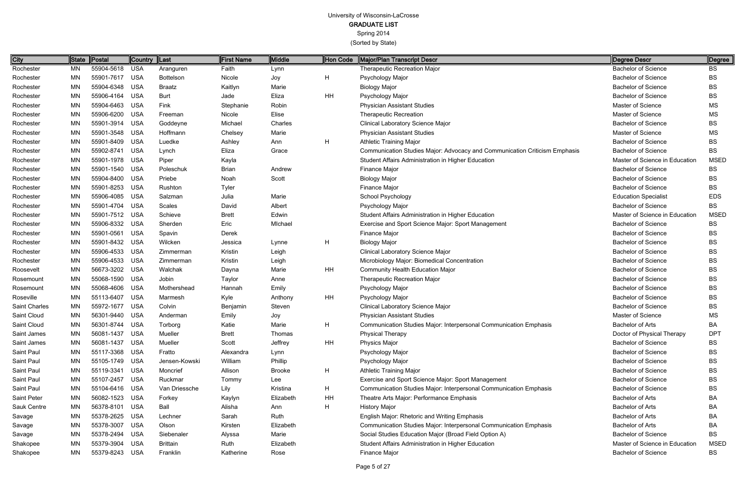Spring 2014

| <b>City</b>   |           | State Postal   | Country    | ∥Last           | <b>First Name</b> | <b>Middle</b> | Hon Code       | Major/Plan Transcript Descr                                                | Degree Descr                   | ∥Degree     |
|---------------|-----------|----------------|------------|-----------------|-------------------|---------------|----------------|----------------------------------------------------------------------------|--------------------------------|-------------|
| Rochester     | MN        | 55904-5618     | <b>USA</b> | Aranguren       | Faith             | Lynn          |                | <b>Therapeutic Recreation Major</b>                                        | <b>Bachelor of Science</b>     | BS          |
| Rochester     | MN        | 55901-7617     | <b>USA</b> | Bottelson       | Nicole            | Joy           | H              | Psychology Major                                                           | <b>Bachelor of Science</b>     | <b>BS</b>   |
| Rochester     | MN        | 55904-6348     | <b>USA</b> | <b>Braatz</b>   | Kaitlyn           | Marie         |                | <b>Biology Major</b>                                                       | <b>Bachelor of Science</b>     | <b>BS</b>   |
| Rochester     | MN        | 55906-4164     | <b>USA</b> | <b>Burt</b>     | Jade              | Eliza         | HH             | Psychology Major                                                           | <b>Bachelor of Science</b>     | <b>BS</b>   |
| Rochester     | <b>MN</b> | 55904-6463     | <b>USA</b> | Fink            | Stephanie         | Robin         |                | <b>Physician Assistant Studies</b>                                         | Master of Science              | MS          |
| Rochester     | MN        | 55906-6200     | <b>USA</b> | Freeman         | Nicole            | Elise         |                | <b>Therapeutic Recreation</b>                                              | Master of Science              | <b>MS</b>   |
| Rochester     | MN        | 55901-3914     | <b>USA</b> | Goddeyne        | Michael           | Charles       |                | Clinical Laboratory Science Major                                          | <b>Bachelor of Science</b>     | <b>BS</b>   |
| Rochester     | MN        | 55901-3548     | <b>USA</b> | Hoffmann        | Chelsey           | Marie         |                | <b>Physician Assistant Studies</b>                                         | Master of Science              | MS          |
| Rochester     | MN        | 55901-8409     | <b>USA</b> | Luedke          | Ashley            | Ann           | $\mathsf{H}$   | <b>Athletic Training Major</b>                                             | <b>Bachelor of Science</b>     | <b>BS</b>   |
| Rochester     | MN        | 55902-8741     | <b>USA</b> | Lynch           | Eliza             | Grace         |                | Communication Studies Major: Advocacy and Communication Criticism Emphasis | <b>Bachelor of Science</b>     | <b>BS</b>   |
| Rochester     | <b>MN</b> | 55901-1978     | <b>USA</b> | Piper           | Kayla             |               |                | Student Affairs Administration in Higher Education                         | Master of Science in Education | <b>MSED</b> |
| Rochester     | MN        | 55901-1540     | <b>USA</b> | Poleschuk       | Brian             | Andrew        |                | Finance Major                                                              | <b>Bachelor of Science</b>     | <b>BS</b>   |
| Rochester     | MN        | 55904-8400     | <b>USA</b> | Priebe          | Noah              | Scott         |                | <b>Biology Major</b>                                                       | <b>Bachelor of Science</b>     | <b>BS</b>   |
| Rochester     | MN        | 55901-8253     | <b>USA</b> | Rushton         | Tyler             |               |                | Finance Major                                                              | <b>Bachelor of Science</b>     | <b>BS</b>   |
| Rochester     | MN        | 55906-4085     | <b>USA</b> | Salzman         | Julia             | Marie         |                | School Psychology                                                          | <b>Education Specialist</b>    | <b>EDS</b>  |
| Rochester     | MN        | 55901-4704     | <b>USA</b> | Scales          | David             | Albert        |                | Psychology Major                                                           | <b>Bachelor of Science</b>     | <b>BS</b>   |
| Rochester     | MN        | 55901-7512 USA |            | Schieve         | <b>Brett</b>      | Edwin         |                | Student Affairs Administration in Higher Education                         | Master of Science in Education | <b>MSED</b> |
| Rochester     | MN        | 55906-8332     | <b>USA</b> | Sherden         | Eric              | Michael       |                | Exercise and Sport Science Major: Sport Management                         | <b>Bachelor of Science</b>     | BS          |
| Rochester     | MN        | 55901-0561     | <b>USA</b> | Spavin          | Derek             |               |                | Finance Major                                                              | <b>Bachelor of Science</b>     | <b>BS</b>   |
| Rochester     | MN        | 55901-8432     | <b>USA</b> | Wilcken         | Jessica           | Lynne         | $\overline{H}$ | <b>Biology Major</b>                                                       | <b>Bachelor of Science</b>     | <b>BS</b>   |
| Rochester     | MN        | 55906-4533     | <b>USA</b> | Zimmerman       | Kristin           | Leigh         |                | Clinical Laboratory Science Major                                          | <b>Bachelor of Science</b>     | <b>BS</b>   |
| Rochester     | MN        | 55906-4533     | <b>USA</b> | Zimmerman       | Kristin           | Leigh         |                | Microbiology Major: Biomedical Concentration                               | <b>Bachelor of Science</b>     | <b>BS</b>   |
| Roosevelt     | MN        | 56673-3202 USA |            | Walchak         | Dayna             | Marie         | HH             | Community Health Education Major                                           | <b>Bachelor of Science</b>     | <b>BS</b>   |
| Rosemount     | MN        | 55068-1590     | <b>USA</b> | Jobin           | Taylor            | Anne          |                | Therapeutic Recreation Major                                               | <b>Bachelor of Science</b>     | <b>BS</b>   |
| Rosemount     | <b>MN</b> | 55068-4606     | <b>USA</b> | Mothershead     | Hannah            | Emily         |                | Psychology Major                                                           | <b>Bachelor of Science</b>     | <b>BS</b>   |
| Roseville     | MN        | 55113-6407     | <b>USA</b> | Marmesh         | Kyle              | Anthony       | <b>HH</b>      | Psychology Major                                                           | <b>Bachelor of Science</b>     | <b>BS</b>   |
| Saint Charles | MN        | 55972-1677     | <b>USA</b> | Colvin          | Benjamin          | Steven        |                | Clinical Laboratory Science Major                                          | <b>Bachelor of Science</b>     | <b>BS</b>   |
| Saint Cloud   | MN        | 56301-9440     | <b>USA</b> | Anderman        | Emily             | Joy           |                | <b>Physician Assistant Studies</b>                                         | Master of Science              | MS          |
| Saint Cloud   | MN        | 56301-8744     | USA        | Torborg         | Katie             | Marie         | Н              | Communication Studies Major: Interpersonal Communication Emphasis          | Bachelor of Arts               | BA          |
| Saint James   | MN        | 56081-1437     | USA        | Mueller         | <b>Brett</b>      | Thomas        |                | <b>Physical Therapy</b>                                                    | Doctor of Physical Therapy     | <b>DPT</b>  |
| Saint James   | ΜN        | 56081-1437     | <b>USA</b> | Mueller         | Scott             | Jeffrey       | HH             | <b>Physics Major</b>                                                       | <b>Bachelor of Science</b>     | <b>BS</b>   |
| Saint Paul    | ΜN        | 55117-3368     | <b>USA</b> | Fratto          | Alexandra         | Lynn          |                | Psychology Major                                                           | <b>Bachelor of Science</b>     | BS.         |
| Saint Paul    | MN        | 55105-1749 USA |            | Jensen-Kowski   | William           | Phillip       |                | Psychology Major                                                           | <b>Bachelor of Science</b>     | BS.         |
| Saint Paul    | ΜN        | 55119-3341     | USA        | Moncrief        | Allison           | <b>Brooke</b> | $\mathsf{H}$   | <b>Athletic Training Major</b>                                             | <b>Bachelor of Science</b>     | BS          |
| Saint Paul    | MN        | 55107-2457     | USA        | Ruckmar         | Tommy             | Lee           |                | Exercise and Sport Science Major: Sport Management                         | <b>Bachelor of Science</b>     | <b>BS</b>   |
| Saint Paul    | ΜN        | 55104-6416 USA |            | Van Driessche   | Lily              | Kristina      | $\mathsf{H}$   | Communication Studies Major: Interpersonal Communication Emphasis          | <b>Bachelor of Science</b>     | <b>BS</b>   |
| Saint Peter   | MN        | 56082-1523 USA |            | Forkey          | Kaylyn            | Elizabeth     | HH             | Theatre Arts Major: Performance Emphasis                                   | <b>Bachelor of Arts</b>        | BA          |
| Sauk Centre   | ΜN        | 56378-8101 USA |            | Ball            | Alisha            | Ann           | H              | <b>History Major</b>                                                       | <b>Bachelor of Arts</b>        | BA          |
| Savage        | MN        | 55378-2625     | USA        | Lechner         | Sarah             | Ruth          |                | English Major: Rhetoric and Writing Emphasis                               | <b>Bachelor of Arts</b>        | BA          |
| Savage        | ΜN        | 55378-3007     | USA        | Olson           | Kirsten           | Elizabeth     |                | Communication Studies Major: Interpersonal Communication Emphasis          | <b>Bachelor of Arts</b>        | BA          |
| Savage        | MN        | 55378-2494     | <b>USA</b> | Siebenaler      | Alyssa            | Marie         |                | Social Studies Education Major (Broad Field Option A)                      | <b>Bachelor of Science</b>     | BS.         |
| Shakopee      | MN        | 55379-3904     | <b>USA</b> | <b>Brittain</b> | Ruth              | Elizabeth     |                | Student Affairs Administration in Higher Education                         | Master of Science in Education | <b>MSED</b> |
| Shakopee      | MN        | 55379-8243     | <b>USA</b> | Franklin        | Katherine         | Rose          |                | Finance Major                                                              | <b>Bachelor of Science</b>     | BS          |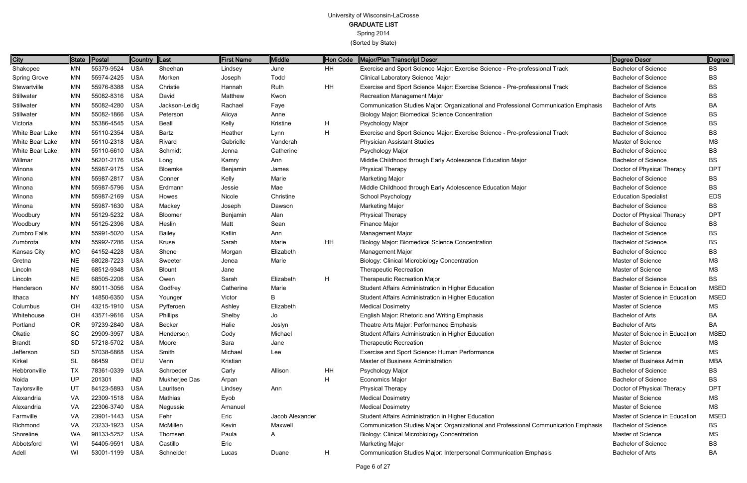Spring 2014

| City                | State     | Postal         | Country  Last |                | <b>First Name</b> | Middle          | Hon Code | Major/Plan Transcript Descr                                                         | Degree Descr                   | ∥Degree     |
|---------------------|-----------|----------------|---------------|----------------|-------------------|-----------------|----------|-------------------------------------------------------------------------------------|--------------------------------|-------------|
| Shakopee            | MN        | 55379-9524     | <b>USA</b>    | Sheehan        | Lindsey           | June            | HH       | Exercise and Sport Science Major: Exercise Science - Pre-professional Track         | <b>Bachelor of Science</b>     | BS          |
| <b>Spring Grove</b> | <b>MN</b> | 55974-2425 USA |               | Morken         | Joseph            | Todd            |          | <b>Clinical Laboratory Science Major</b>                                            | <b>Bachelor of Science</b>     | <b>BS</b>   |
| Stewartville        | <b>MN</b> | 55976-8388 USA |               | Christie       | Hannah            | Ruth            | HH       | Exercise and Sport Science Major: Exercise Science - Pre-professional Track         | <b>Bachelor of Science</b>     | <b>BS</b>   |
| Stillwater          | MN        | 55082-8316 USA |               | David          | Matthew           | Kwon            |          | <b>Recreation Management Major</b>                                                  | <b>Bachelor of Science</b>     | <b>BS</b>   |
| Stillwater          | MN        | 55082-4280 USA |               | Jackson-Leidig | Rachael           | Faye            |          | Communication Studies Major: Organizational and Professional Communication Emphasis | <b>Bachelor of Arts</b>        | BA          |
| Stillwater          | MN        | 55082-1866 USA |               | Peterson       | Alicya            | Anne            |          | <b>Biology Major: Biomedical Science Concentration</b>                              | <b>Bachelor of Science</b>     | <b>BS</b>   |
| Victoria            | <b>MN</b> | 55386-4545 USA |               | Beall          | Kelly             | Kristine        | H        | Psychology Major                                                                    | <b>Bachelor of Science</b>     | BS          |
| White Bear Lake     | <b>MN</b> | 55110-2354     | USA           | Bartz          | Heather           | Lynn            | H        | Exercise and Sport Science Major: Exercise Science - Pre-professional Track         | <b>Bachelor of Science</b>     | <b>BS</b>   |
| White Bear Lake     | ΜN        | 55110-2318 USA |               | Rivard         | Gabrielle         | Vanderah        |          | <b>Physician Assistant Studies</b>                                                  | Master of Science              | MS          |
| White Bear Lake     | ΜN        | 55110-6610 USA |               | Schmidt        | Jenna             | Catherine       |          | Psychology Major                                                                    | <b>Bachelor of Science</b>     | BS          |
| Willmar             | MN        | 56201-2176 USA |               | Long           | Kamry             | Ann             |          | Middle Childhood through Early Adolescence Education Major                          | <b>Bachelor of Science</b>     | <b>BS</b>   |
| Winona              | MN        | 55987-9175 USA |               | Bloemke        | Benjamin          | James           |          | <b>Physical Therapy</b>                                                             | Doctor of Physical Therapy     | <b>DPT</b>  |
| Winona              | MN        | 55987-2817 USA |               | Conner         | Kelly             | Marie           |          | <b>Marketing Major</b>                                                              | <b>Bachelor of Science</b>     | <b>BS</b>   |
| Winona              | MN        | 55987-5796 USA |               | Erdmann        | Jessie            | Mae             |          | Middle Childhood through Early Adolescence Education Major                          | <b>Bachelor of Science</b>     | BS          |
| Winona              | MN        | 55987-2169 USA |               | Howes          | Nicole            | Christine       |          | School Psychology                                                                   | <b>Education Specialist</b>    | <b>EDS</b>  |
| Winona              | MN        | 55987-1630     | USA           | Mackey         | Joseph            | Dawson          |          | <b>Marketing Major</b>                                                              | <b>Bachelor of Science</b>     | BS          |
| Woodbury            | <b>MN</b> | 55129-5232 USA |               | Bloomer        | Benjamin          | Alan            |          | <b>Physical Therapy</b>                                                             | Doctor of Physical Therapy     | <b>DPT</b>  |
| Woodbury            | <b>MN</b> | 55125-2396 USA |               | Heslin         | Matt              | Sean            |          | Finance Major                                                                       | <b>Bachelor of Science</b>     | BS          |
| Zumbro Falls        | <b>MN</b> | 55991-5020 USA |               | <b>Bailey</b>  | Katlin            | Ann             |          | Management Major                                                                    | <b>Bachelor of Science</b>     | BS          |
| Zumbrota            | <b>MN</b> | 55992-7286     | USA           | Kruse          | Sarah             | Marie           | HH       | <b>Biology Major: Biomedical Science Concentration</b>                              | <b>Bachelor of Science</b>     | BS          |
| Kansas City         | <b>MO</b> | 64152-4228 USA |               | Shene          | Morgan            | Elizabeth       |          | <b>Management Major</b>                                                             | <b>Bachelor of Science</b>     | BS          |
| Gretna              | <b>NE</b> | 68028-7223     | USA           | Sweeter        | Jenea             | Marie           |          | <b>Biology: Clinical Microbiology Concentration</b>                                 | <b>Master of Science</b>       | MS          |
| Lincoln             | <b>NE</b> | 68512-9348 USA |               | <b>Blount</b>  | Jane              |                 |          | <b>Therapeutic Recreation</b>                                                       | <b>Master of Science</b>       | MS          |
| Lincoln             | <b>NE</b> | 68505-2206     | USA           | Owen           | Sarah             | Elizabeth       | H        | <b>Therapeutic Recreation Major</b>                                                 | <b>Bachelor of Science</b>     | BS          |
| Henderson           | <b>NV</b> | 89011-3056 USA |               | Godfrey        | Catherine         | Marie           |          | Student Affairs Administration in Higher Education                                  | Master of Science in Education | MSED        |
| Ithaca              | <b>NY</b> | 14850-6350 USA |               | Younger        | Victor            | B               |          | Student Affairs Administration in Higher Education                                  | Master of Science in Education | <b>MSED</b> |
| Columbus            | OH        | 43215-1910 USA |               | Pyfferoen      | Ashley            | Elizabeth       |          | <b>Medical Dosimetry</b>                                                            | <b>Master of Science</b>       | ΜS          |
| Whitehouse          | OH        | 43571-9616 USA |               | Phillips       | Shelby            | Jo              |          | English Major: Rhetoric and Writing Emphasis                                        | <b>Bachelor of Arts</b>        | BA          |
| Portland            | OR.       | 97239-2840 USA |               | <b>Becker</b>  | Halie             | Joslyn          |          | Theatre Arts Major: Performance Emphasis                                            | Bachelor of Arts               | ВA          |
| Okatie              | SC        | 29909-3957 USA |               | Henderson      | Cody              | Michael         |          | Student Affairs Administration in Higher Education                                  | Master of Science in Education | <b>MSED</b> |
| Brandt              | <b>SD</b> | 57218-5702 USA |               | Moore          | Sara              | Jane            |          | <b>Therapeutic Recreation</b>                                                       | <b>Master of Science</b>       | МS          |
| Jefferson           | <b>SD</b> | 57038-6868 USA |               | Smith          | Michael           | Lee             |          | Exercise and Sport Science: Human Performance                                       | <b>Master of Science</b>       | МS          |
| Kirkel              | SL        | 66459          | DEU           | Venn           | Kristian          |                 |          | Master of Business Administration                                                   | Master of Business Admin       | MBA         |
| Hebbronville        | TX        | 78361-0339     | USA           | Schroeder      | Carly             | Allison         | HH       | Psychology Major                                                                    | <b>Bachelor of Science</b>     | BS          |
| Noida               | UP        | 201301         | <b>IND</b>    | Mukherjee Das  | Arpan             |                 | н        | <b>Economics Major</b>                                                              | <b>Bachelor of Science</b>     | BS          |
| Taylorsville        | UT        | 84123-5893 USA |               | Lauritsen      | Lindsey           | Ann             |          | <b>Physical Therapy</b>                                                             | Doctor of Physical Therapy     | <b>DPT</b>  |
| Alexandria          | VA.       | 22309-1518 USA |               | Mathias        | Eyob              |                 |          | <b>Medical Dosimetry</b>                                                            | <b>Master of Science</b>       | МS          |
| Alexandria          | VA.       | 22306-3740 USA |               | Negussie       | Amanuel           |                 |          | <b>Medical Dosimetry</b>                                                            | Master of Science              | MS          |
| Farmville           | VA        | 23901-1443 USA |               | Fehr           | Eric              | Jacob Alexander |          | Student Affairs Administration in Higher Education                                  | Master of Science in Education | <b>MSED</b> |
| Richmond            | VA.       | 23233-1923 USA |               | McMillen       | Kevin             | Maxwell         |          | Communication Studies Major: Organizational and Professional Communication Emphasis | <b>Bachelor of Science</b>     | BS          |
| Shoreline           | WA        | 98133-5252 USA |               | Thomsen        | Paula             | A               |          | <b>Biology: Clinical Microbiology Concentration</b>                                 | <b>Master of Science</b>       | ΜS          |
| Abbotsford          | WI.       | 54405-9591 USA |               | Castillo       | Eric              |                 |          | <b>Marketing Major</b>                                                              | <b>Bachelor of Science</b>     | BS          |
| Adell               | WI        | 53001-1199 USA |               | Schneider      | Lucas             | Duane           | H        | Communication Studies Major: Interpersonal Communication Emphasis                   | <b>Bachelor of Arts</b>        | BA          |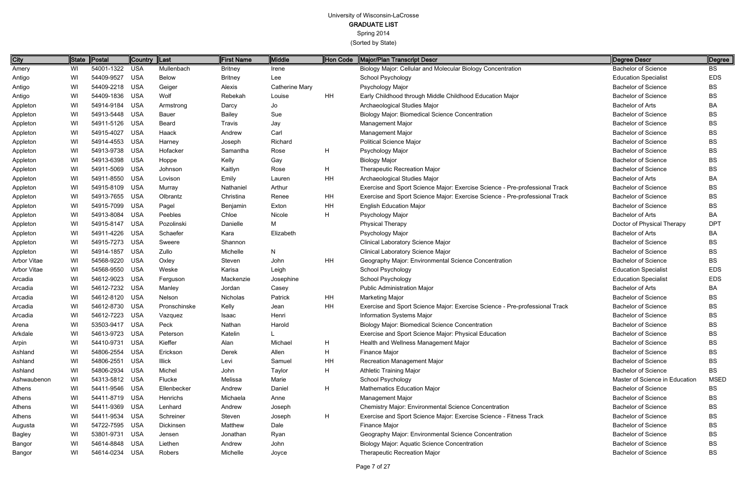| <b>City</b>        |    | State Postal   | Country  Last |               | <b>First Name</b> | Middle                | Hon Code | Major/Plan Transcript Descr                                                 | Degree Descr                   | Degree      |
|--------------------|----|----------------|---------------|---------------|-------------------|-----------------------|----------|-----------------------------------------------------------------------------|--------------------------------|-------------|
| Amery              | WI | 54001-1322 USA |               | Mullenbach    | <b>Britney</b>    | Irene                 |          | Biology Major: Cellular and Molecular Biology Concentration                 | <b>Bachelor of Science</b>     | BS          |
| Antigo             | WI | 54409-9527     | <b>USA</b>    | <b>Below</b>  | <b>Britney</b>    | Lee                   |          | School Psychology                                                           | <b>Education Specialist</b>    | <b>EDS</b>  |
| Antigo             | WI | 54409-2218 USA |               | Geiger        | Alexis            | <b>Catherine Mary</b> |          | Psychology Major                                                            | <b>Bachelor of Science</b>     | <b>BS</b>   |
| Antigo             | WI | 54409-1836 USA |               | Wolf          | Rebekah           | Louise                | HH       | Early Childhood through Middle Childhood Education Major                    | <b>Bachelor of Science</b>     | BS          |
| Appleton           | WI | 54914-9184 USA |               | Armstrong     | Darcy             | Jo                    |          | Archaeological Studies Major                                                | <b>Bachelor of Arts</b>        | BA          |
| Appleton           | WI | 54913-5448 USA |               | Bauer         | <b>Bailey</b>     | Sue                   |          | <b>Biology Major: Biomedical Science Concentration</b>                      | <b>Bachelor of Science</b>     | <b>BS</b>   |
| Appleton           | WI | 54911-5126 USA |               | Beard         | Travis            | Jay                   |          | Management Major                                                            | <b>Bachelor of Science</b>     | BS          |
| Appleton           | WI | 54915-4027     | <b>USA</b>    | Haack         | Andrew            | Carl                  |          | Management Major                                                            | <b>Bachelor of Science</b>     | <b>BS</b>   |
| Appleton           | WI | 54914-4553 USA |               | Harney        | Joseph            | Richard               |          | <b>Political Science Major</b>                                              | <b>Bachelor of Science</b>     | BS          |
| Appleton           | WI | 54913-9738 USA |               | Hofacker      | Samantha          | Rose                  | H        | Psychology Major                                                            | <b>Bachelor of Science</b>     | <b>BS</b>   |
| Appleton           | WI | 54913-6398 USA |               | Hoppe         | Kelly             | Gay                   |          | <b>Biology Major</b>                                                        | <b>Bachelor of Science</b>     | BS          |
| Appleton           | WI | 54911-5069 USA |               | Johnson       | Kaitlyn           | Rose                  | H        | <b>Therapeutic Recreation Major</b>                                         | <b>Bachelor of Science</b>     | <b>BS</b>   |
| Appleton           | WI | 54911-8550 USA |               | Lovison       | Emily             | Lauren                | HH       | Archaeological Studies Major                                                | <b>Bachelor of Arts</b>        | BA          |
| Appleton           | WI | 54915-8109 USA |               | Murray        | Nathaniel         | Arthur                |          | Exercise and Sport Science Major: Exercise Science - Pre-professional Track | <b>Bachelor of Science</b>     | <b>BS</b>   |
| Appleton           | WI | 54913-7655 USA |               | Olbrantz      | Christina         | Renee                 | HH       | Exercise and Sport Science Major: Exercise Science - Pre-professional Track | <b>Bachelor of Science</b>     | BS          |
| Appleton           | WI | 54915-7099 USA |               | Pagel         | Benjamin          | Exton                 | HH       | <b>English Education Major</b>                                              | <b>Bachelor of Science</b>     | <b>BS</b>   |
| Appleton           | WI | 54913-8084 USA |               | Peebles       | Chloe             | Nicole                | H.       | Psychology Major                                                            | <b>Bachelor of Arts</b>        | BA          |
| Appleton           | WI | 54915-8147 USA |               | Pozolinski    | Danielle          | М                     |          | <b>Physical Therapy</b>                                                     | Doctor of Physical Therapy     | <b>DPT</b>  |
| Appleton           | WI | 54911-4226 USA |               | Schaefer      | Kara              | Elizabeth             |          | Psychology Major                                                            | <b>Bachelor of Arts</b>        | BA          |
| Appleton           | WI | 54915-7273 USA |               | Sweere        | Shannon           |                       |          | <b>Clinical Laboratory Science Major</b>                                    | <b>Bachelor of Science</b>     | BS          |
| Appleton           | WI | 54914-1857 USA |               | Zullo         | Michelle          | N                     |          | <b>Clinical Laboratory Science Major</b>                                    | <b>Bachelor of Science</b>     | BS          |
| <b>Arbor Vitae</b> | WI | 54568-9220 USA |               | Oxley         | Steven            | John                  | HH       | Geography Major: Environmental Science Concentration                        | <b>Bachelor of Science</b>     | BS          |
| <b>Arbor Vitae</b> | WI | 54568-9550 USA |               | Weske         | Karisa            | Leigh                 |          | School Psychology                                                           | <b>Education Specialist</b>    | <b>EDS</b>  |
| Arcadia            | WI | 54612-9023     | USA           | Ferguson      | Mackenzie         | Josephine             |          | School Psychology                                                           | <b>Education Specialist</b>    | <b>EDS</b>  |
| Arcadia            | WI | 54612-7232 USA |               | Manley        | Jordan            | Casey                 |          | <b>Public Administration Major</b>                                          | <b>Bachelor of Arts</b>        | BA          |
| Arcadia            | WI | 54612-8120 USA |               | Nelson        | Nicholas          | Patrick               | HH       | <b>Marketing Major</b>                                                      | <b>Bachelor of Science</b>     | BS          |
| Arcadia            | WI | 54612-8730 USA |               | Pronschinske  | Kelly             | Jean                  | HH       | Exercise and Sport Science Major: Exercise Science - Pre-professional Track | <b>Bachelor of Science</b>     | BS          |
| Arcadia            | WI | 54612-7223 USA |               | Vazquez       | Isaac             | Henri                 |          | Information Systems Major                                                   | <b>Bachelor of Science</b>     | <b>BS</b>   |
| Arena              | WI | 53503-9417 USA |               | Peck          | Nathan            | Harold                |          | <b>Biology Major: Biomedical Science Concentration</b>                      | <b>Bachelor of Science</b>     | <b>BS</b>   |
| Arkdale            | WI | 54613-9723 USA |               | Peterson      | Katelin           |                       |          | Exercise and Sport Science Major: Physical Education                        | <b>Bachelor of Science</b>     | BS          |
| Arpin              | WI | 54410-9731 USA |               | Kieffer       | Alan              | Michael               | H        | Health and Wellness Management Major                                        | <b>Bachelor of Science</b>     | BS          |
| Ashland            | WI | 54806-2554 USA |               | Erickson      | Derek             | Allen                 | H        | Finance Major                                                               | <b>Bachelor of Science</b>     | BS          |
| Ashland            | WI | 54806-2551 USA |               | <b>Illick</b> | Levi              | Samuel                | HH       | <b>Recreation Management Major</b>                                          | <b>Bachelor of Science</b>     | BS          |
| Ashland            | WI | 54806-2934 USA |               | Michel        | John              | Taylor                | H        | <b>Athletic Training Major</b>                                              | <b>Bachelor of Science</b>     | BS          |
| Ashwaubenon        | WI | 54313-5812 USA |               | Flucke        | Melissa           | Marie                 |          | School Psychology                                                           | Master of Science in Education | <b>MSED</b> |
| Athens             | WI | 54411-9546 USA |               | Ellenbecker   | Andrew            | Daniel                | H        | <b>Mathematics Education Major</b>                                          | <b>Bachelor of Science</b>     | BS          |
| Athens             | WI | 54411-8719 USA |               | Henrichs      | Michaela          | Anne                  |          | Management Major                                                            | <b>Bachelor of Science</b>     | BS          |
| Athens             | WI | 54411-9369 USA |               | Lenhard       | Andrew            | Joseph                |          | Chemistry Major: Environmental Science Concentration                        | <b>Bachelor of Science</b>     | BS          |
| Athens             | WI | 54411-9534 USA |               | Schreiner     | Steven            | Joseph                | H        | Exercise and Sport Science Major: Exercise Science - Fitness Track          | <b>Bachelor of Science</b>     | BS          |
| Augusta            | WI | 54722-7595 USA |               | Dickinsen     | Matthew           | Dale                  |          | Finance Major                                                               | <b>Bachelor of Science</b>     | BS          |
| <b>Bagley</b>      | WI | 53801-9731 USA |               | Jensen        | Jonathan          | Ryan                  |          | Geography Major: Environmental Science Concentration                        | <b>Bachelor of Science</b>     | BS          |
| Bangor             | WI | 54614-8848 USA |               | Liethen       | Andrew            | John                  |          | <b>Biology Major: Aquatic Science Concentration</b>                         | <b>Bachelor of Science</b>     | BS          |
| Bangor             | WI | 54614-0234 USA |               | Robers        | Michelle          | Joyce                 |          | <b>Therapeutic Recreation Major</b>                                         | <b>Bachelor of Science</b>     | BS          |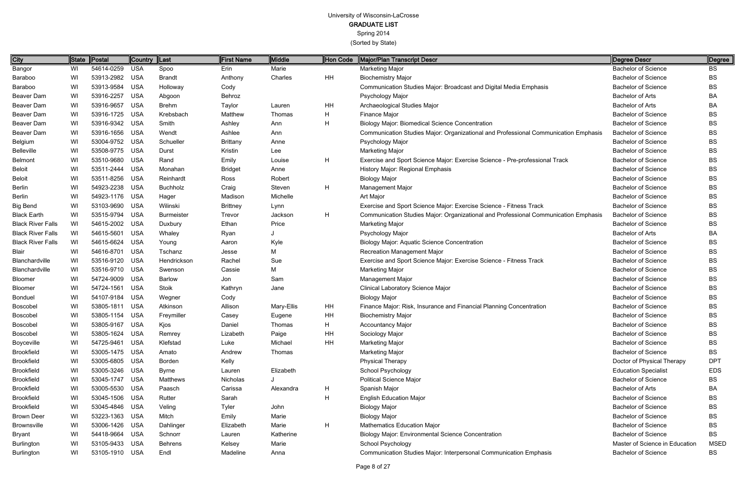# University of Wisconsin-LaCrosse

## GRADUATE LIST

Spring 2014

| City                     | <b>State</b> | <b>Postal</b>  | Country  Last |                   | <b>First Name</b> | Middle     | Hon Code  | Major/Plan Transcript Descr                                                         | Degree Descr                   | Degree      |
|--------------------------|--------------|----------------|---------------|-------------------|-------------------|------------|-----------|-------------------------------------------------------------------------------------|--------------------------------|-------------|
| Bangor                   | WI           | 54614-0259 USA |               | Spoo              | Erin              | Marie      |           | <b>Marketing Major</b>                                                              | <b>Bachelor of Science</b>     | BS          |
| Baraboo                  | WI           | 53913-2982 USA |               | <b>Brandt</b>     | Anthony           | Charles    | HH        | <b>Biochemistry Major</b>                                                           | <b>Bachelor of Science</b>     | BS          |
| Baraboo                  | WI           | 53913-9584     | USA           | Holloway          | Cody              |            |           | Communication Studies Major: Broadcast and Digital Media Emphasis                   | <b>Bachelor of Science</b>     | BS          |
| Beaver Dam               | WI           | 53916-2257     | USA           | Abgoon            | Behroz            |            |           | Psychology Major                                                                    | <b>Bachelor of Arts</b>        | BA          |
| Beaver Dam               | WI           | 53916-9657 USA |               | <b>Brehm</b>      | Taylor            | Lauren     | HH        | Archaeological Studies Major                                                        | <b>Bachelor of Arts</b>        | BA          |
| Beaver Dam               | WI           | 53916-1725 USA |               | Krebsbach         | Matthew           | Thomas     | H         | Finance Major                                                                       | <b>Bachelor of Science</b>     | BS          |
| Beaver Dam               | WI           | 53916-9342 USA |               | Smith             | Ashley            | Ann        | н         | <b>Biology Major: Biomedical Science Concentration</b>                              | <b>Bachelor of Science</b>     | BS          |
| Beaver Dam               | WI           | 53916-1656 USA |               | Wendt             | Ashlee            | Ann        |           | Communication Studies Major: Organizational and Professional Communication Emphasis | <b>Bachelor of Science</b>     | BS          |
| Belgium                  | WI           | 53004-9752 USA |               | Schueller         | <b>Brittany</b>   | Anne       |           | Psychology Major                                                                    | <b>Bachelor of Science</b>     | BS          |
| <b>Belleville</b>        | WI           | 53508-9775 USA |               | Durst             | Kristin           | Lee        |           | <b>Marketing Major</b>                                                              | <b>Bachelor of Science</b>     | <b>BS</b>   |
| Belmont                  | WI           | 53510-9680 USA |               | Rand              | Emily             | Louise     | H         | Exercise and Sport Science Major: Exercise Science - Pre-professional Track         | <b>Bachelor of Science</b>     | BS          |
| <b>Beloit</b>            | WI           | 53511-2444     | USA           | Monahan           | <b>Bridget</b>    | Anne       |           | History Major: Regional Emphasis                                                    | <b>Bachelor of Science</b>     | BS          |
| Beloit                   | WI           | 53511-8256 USA |               | Reinhardt         | Ross              | Robert     |           | <b>Biology Major</b>                                                                | <b>Bachelor of Science</b>     | BS          |
| Berlin                   | WI           | 54923-2238 USA |               | <b>Buchholz</b>   | Craig             | Steven     | H         | Management Major                                                                    | <b>Bachelor of Science</b>     | BS          |
| Berlin                   | WI           | 54923-1176 USA |               | Hager             | Madison           | Michelle   |           | Art Major                                                                           | <b>Bachelor of Science</b>     | BS          |
| <b>Big Bend</b>          | WI           | 53103-9690 USA |               | Wilinski          | <b>Brittney</b>   | Lynn       |           | Exercise and Sport Science Major: Exercise Science - Fitness Track                  | <b>Bachelor of Science</b>     | <b>BS</b>   |
| <b>Black Earth</b>       | WI           | 53515-9794 USA |               | <b>Burmeister</b> | Trevor            | Jackson    | H         | Communication Studies Major: Organizational and Professional Communication Emphasis | <b>Bachelor of Science</b>     | BS          |
| <b>Black River Falls</b> | WI           | 54615-2002 USA |               | Duxbury           | Ethan             | Price      |           | <b>Marketing Major</b>                                                              | <b>Bachelor of Science</b>     | BS          |
| <b>Black River Falls</b> | WI           | 54615-5601 USA |               | Whaley            | Ryan              |            |           | Psychology Major                                                                    | <b>Bachelor of Arts</b>        | BA          |
| <b>Black River Falls</b> | WI           | 54615-6624     | USA           | Young             | Aaron             | Kyle       |           | <b>Biology Major: Aquatic Science Concentration</b>                                 | <b>Bachelor of Science</b>     | BS          |
| Blair                    | WI           | 54616-8701 USA |               | Tschanz           | Jesse             | М          |           | <b>Recreation Management Major</b>                                                  | <b>Bachelor of Science</b>     | BS          |
| <b>Blanchardville</b>    | WI           | 53516-9120 USA |               | Hendrickson       | Rachel            | Sue        |           | Exercise and Sport Science Major: Exercise Science - Fitness Track                  | <b>Bachelor of Science</b>     | BS          |
| <b>Blanchardville</b>    | WI           | 53516-9710 USA |               | Swenson           | Cassie            | М          |           | <b>Marketing Major</b>                                                              | <b>Bachelor of Science</b>     | BS          |
| Bloomer                  | WI           | 54724-9009 USA |               | <b>Barlow</b>     | Jon               | Sam        |           | <b>Management Major</b>                                                             | <b>Bachelor of Science</b>     | BS          |
| Bloomer                  | WI           | 54724-1561 USA |               | Stoik             | Kathryn           | Jane       |           | <b>Clinical Laboratory Science Major</b>                                            | <b>Bachelor of Science</b>     | BS          |
| Bonduel                  | WI           | 54107-9184     | USA           | Wegner            | Cody              |            |           | <b>Biology Major</b>                                                                | <b>Bachelor of Science</b>     | BS          |
| Boscobel                 | WI           | 53805-1811 USA |               | Atkinson          | Allison           | Mary-Ellis | HH        | Finance Major: Risk, Insurance and Financial Planning Concentration                 | <b>Bachelor of Science</b>     | BS          |
| Boscobel                 | WI           | 53805-1154 USA |               | Freymiller        | Casey             | Eugene     | HH        | <b>Biochemistry Major</b>                                                           | <b>Bachelor of Science</b>     | BS          |
| Boscobel                 | WI           | 53805-9167 USA |               | Kjos              | Daniel            | Thomas     | H         | <b>Accountancy Major</b>                                                            | <b>Bachelor of Science</b>     | <b>BS</b>   |
| Boscobel                 | WI           | 53805-1624 USA |               | Remrey            | Lizabeth          | Paige      | HH        | Sociology Major                                                                     | <b>Bachelor of Science</b>     | BS          |
| Boyceville               | WI           | 54725-9461 USA |               | Klefstad          | Luke              | Michael    | <b>HH</b> | <b>Marketing Major</b>                                                              | <b>Bachelor of Science</b>     | <b>BS</b>   |
| <b>Brookfield</b>        | WI           | 53005-1475 USA |               | Amato             | Andrew            | Thomas     |           | Marketing Major                                                                     | <b>Bachelor of Science</b>     | BS          |
| <b>Brookfield</b>        | WI           | 53005-6805 USA |               | Borden            | Kelly             |            |           | <b>Physical Therapy</b>                                                             | Doctor of Physical Therapy     | <b>DPT</b>  |
| <b>Brookfield</b>        | WI           | 53005-3246 USA |               | <b>Byrne</b>      | Lauren            | Elizabeth  |           | School Psychology                                                                   | <b>Education Specialist</b>    | <b>EDS</b>  |
| <b>Brookfield</b>        | WI           | 53045-1747 USA |               | Matthews          | Nicholas          |            |           | <b>Political Science Major</b>                                                      | <b>Bachelor of Science</b>     | BS          |
| <b>Brookfield</b>        | WI           | 53005-5530 USA |               | Paasch            | Carissa           | Alexandra  | H         | Spanish Major                                                                       | <b>Bachelor of Arts</b>        | BA          |
| <b>Brookfield</b>        | WI           | 53045-1506 USA |               | Rutter            | Sarah             |            | H         | <b>English Education Major</b>                                                      | <b>Bachelor of Science</b>     | BS          |
| <b>Brookfield</b>        | WI           | 53045-4846 USA |               | Veling            | <b>Tyler</b>      | John       |           | <b>Biology Major</b>                                                                | <b>Bachelor of Science</b>     | BS          |
| <b>Brown Deer</b>        | WI           | 53223-1363 USA |               | Mitch             | Emily             | Marie      |           | <b>Biology Major</b>                                                                | <b>Bachelor of Science</b>     | BS          |
| <b>Brownsville</b>       | WI           | 53006-1426 USA |               | Dahlinger         | Elizabeth         | Marie      | H         | <b>Mathematics Education Major</b>                                                  | <b>Bachelor of Science</b>     | <b>BS</b>   |
| Bryant                   | WI           | 54418-9664 USA |               | Schnorr           | Lauren            | Katherine  |           | <b>Biology Major: Environmental Science Concentration</b>                           | <b>Bachelor of Science</b>     | BS          |
| <b>Burlington</b>        | WI           | 53105-9433 USA |               | <b>Behrens</b>    | Kelsey            | Marie      |           | <b>School Psychology</b>                                                            | Master of Science in Education | <b>MSED</b> |
| <b>Burlington</b>        | WI           | 53105-1910 USA |               | Endl              | Madeline          | Anna       |           | Communication Studies Major: Interpersonal Communication Emphasis                   | <b>Bachelor of Science</b>     | BS          |
|                          |              |                |               |                   |                   |            |           |                                                                                     |                                |             |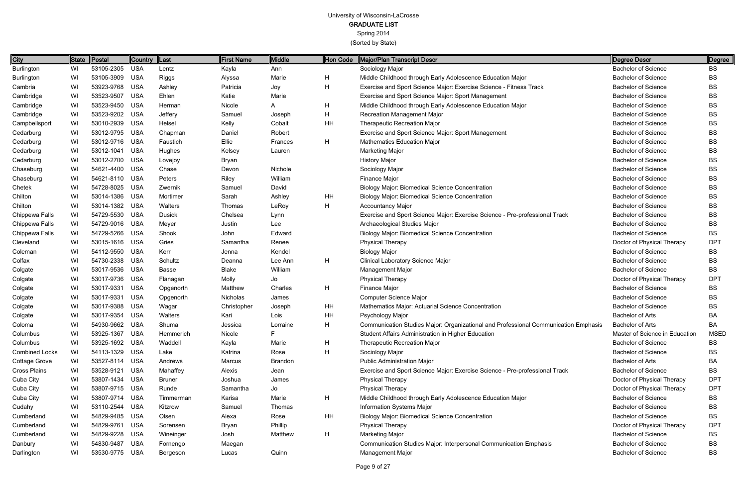Spring 2014

| <b>City</b>           | $\parallel$ State | Postal         | Country  Last |               | <b>First Name</b> | Middle         | Hon Code | Major/Plan Transcript Descr                                                         | Degree Descr                   | ∥Degree     |
|-----------------------|-------------------|----------------|---------------|---------------|-------------------|----------------|----------|-------------------------------------------------------------------------------------|--------------------------------|-------------|
| <b>Burlington</b>     | WI                | 53105-2305     | USA           | Lentz         | Kayla             | Ann            |          | Sociology Major                                                                     | <b>Bachelor of Science</b>     | BS          |
| Burlington            | WI                | 53105-3909 USA |               | Riggs         | Alyssa            | Marie          | H        | Middle Childhood through Early Adolescence Education Major                          | <b>Bachelor of Science</b>     | <b>BS</b>   |
| Cambria               | WI                | 53923-9768 USA |               | Ashley        | Patricia          | Joy            | н        | Exercise and Sport Science Major: Exercise Science - Fitness Track                  | <b>Bachelor of Science</b>     | <b>BS</b>   |
| Cambridge             | WI                | 53523-9507     | <b>USA</b>    | Ehlen         | Katie             | Marie          |          | Exercise and Sport Science Major: Sport Management                                  | <b>Bachelor of Science</b>     | <b>BS</b>   |
| Cambridge             | WI                | 53523-9450 USA |               | Herman        | Nicole            | A              | H        | Middle Childhood through Early Adolescence Education Major                          | <b>Bachelor of Science</b>     | BS          |
| Cambridge             | WI                | 53523-9202 USA |               | Jeffery       | Samuel            | Joseph         | Н        | <b>Recreation Management Major</b>                                                  | <b>Bachelor of Science</b>     | <b>BS</b>   |
| Campbellsport         | WI                | 53010-2939 USA |               | Helsel        | Kelly             | Cobalt         | HH       | <b>Therapeutic Recreation Major</b>                                                 | <b>Bachelor of Science</b>     | <b>BS</b>   |
| Cedarburg             | WI                | 53012-9795 USA |               | Chapman       | Daniel            | Robert         |          | Exercise and Sport Science Major: Sport Management                                  | <b>Bachelor of Science</b>     | <b>BS</b>   |
| Cedarburg             | WI                | 53012-9716 USA |               | Faustich      | Ellie             | Frances        | H        | <b>Mathematics Education Major</b>                                                  | <b>Bachelor of Science</b>     | BS          |
| Cedarburg             | WI                | 53012-1041 USA |               | Hughes        | Kelsey            | Lauren         |          | <b>Marketing Major</b>                                                              | <b>Bachelor of Science</b>     | BS          |
| Cedarburg             | WI                | 53012-2700 USA |               | Lovejoy       | Bryan             |                |          | <b>History Major</b>                                                                | <b>Bachelor of Science</b>     | <b>BS</b>   |
| Chaseburg             | WI                | 54621-4400 USA |               | Chase         | Devon             | Nichole        |          | Sociology Major                                                                     | <b>Bachelor of Science</b>     | <b>BS</b>   |
| Chaseburg             | WI                | 54621-8110 USA |               | Peters        | Riley             | William        |          | Finance Major                                                                       | <b>Bachelor of Science</b>     | <b>BS</b>   |
| Chetek                | WI                | 54728-8025 USA |               | Zwernik       | Samuel            | David          |          | <b>Biology Major: Biomedical Science Concentration</b>                              | <b>Bachelor of Science</b>     | <b>BS</b>   |
| Chilton               | WI                | 53014-1386 USA |               | Mortimer      | Sarah             | Ashley         | HH       | <b>Biology Major: Biomedical Science Concentration</b>                              | <b>Bachelor of Science</b>     | BS          |
| Chilton               | WI                | 53014-1382 USA |               | Walters       | Thomas            | LeRoy          | H        | <b>Accountancy Major</b>                                                            | <b>Bachelor of Science</b>     | <b>BS</b>   |
| Chippewa Falls        | WI                | 54729-5530 USA |               | <b>Dusick</b> | Chelsea           | Lynn           |          | Exercise and Sport Science Major: Exercise Science - Pre-professional Track         | <b>Bachelor of Science</b>     | BS          |
| Chippewa Falls        | WI                | 54729-9016 USA |               | Meyer         | Justin            | Lee            |          | Archaeological Studies Major                                                        | <b>Bachelor of Science</b>     | <b>BS</b>   |
| Chippewa Falls        | WI                | 54729-5266 USA |               | Shook         | John              | Edward         |          | <b>Biology Major: Biomedical Science Concentration</b>                              | <b>Bachelor of Science</b>     | <b>BS</b>   |
| Cleveland             | WI                | 53015-1616 USA |               | Gries         | Samantha          | Renee          |          | <b>Physical Therapy</b>                                                             | Doctor of Physical Therapy     | <b>DPT</b>  |
| Coleman               | WI                | 54112-9550 USA |               | Kerr          | Jenna             | Kendel         |          | <b>Biology Major</b>                                                                | <b>Bachelor of Science</b>     | <b>BS</b>   |
| Colfax                | WI                | 54730-2338     | USA           | Schultz       | Deanna            | Lee Ann        | H        | <b>Clinical Laboratory Science Major</b>                                            | <b>Bachelor of Science</b>     | <b>BS</b>   |
| Colgate               | WI                | 53017-9536 USA |               | Basse         | <b>Blake</b>      | William        |          | <b>Management Major</b>                                                             | <b>Bachelor of Science</b>     | BS          |
| Colgate               | WI                | 53017-9736     | USA           | Flanagan      | Molly             | Jo             |          | <b>Physical Therapy</b>                                                             | Doctor of Physical Therapy     | <b>DPT</b>  |
| Colgate               | WI                | 53017-9331 USA |               | Opgenorth     | Matthew           | Charles        | H        | Finance Major                                                                       | <b>Bachelor of Science</b>     | <b>BS</b>   |
| Colgate               | WI                | 53017-9331     | USA           | Opgenorth     | Nicholas          | James          |          | <b>Computer Science Major</b>                                                       | <b>Bachelor of Science</b>     | <b>BS</b>   |
| Colgate               | WI                | 53017-9388 USA |               | Wagar         | Christopher       | Joseph         | HH       | Mathematics Major: Actuarial Science Concentration                                  | <b>Bachelor of Science</b>     | BS          |
| Colgate               | WI                | 53017-9354     | USA           | Walters       | Kari              | Lois           | HH       | Psychology Major                                                                    | <b>Bachelor of Arts</b>        | ВA          |
| Coloma                | WI                | 54930-9662 USA |               | Shuma         | Jessica           | Lorraine       |          | Communication Studies Major: Organizational and Professional Communication Emphasis | Bachelor of Arts               | ВA          |
| Columbus              | WI                | 53925-1367 USA |               | Hemmerich     | Nicole            |                |          | Student Affairs Administration in Higher Education                                  | Master of Science in Education | <b>MSED</b> |
| Columbus              | WI                | 53925-1692 USA |               | Waddell       | Kayla             | Marie          | H.       | <b>Therapeutic Recreation Major</b>                                                 | <b>Bachelor of Science</b>     | <b>BS</b>   |
| <b>Combined Locks</b> | WI                | 54113-1329 USA |               | Lake          | Katrina           | Rose           | н        | Sociology Major                                                                     | <b>Bachelor of Science</b>     | BS          |
| Cottage Grove         | WI                | 53527-8114 USA |               | Andrews       | Marcus            | <b>Brandon</b> |          | <b>Public Administration Major</b>                                                  | Bachelor of Arts               | BA          |
| Cross Plains          | WI                | 53528-9121 USA |               | Mahaffey      | Alexis            | Jean           |          | Exercise and Sport Science Major: Exercise Science - Pre-professional Track         | <b>Bachelor of Science</b>     | BS          |
| Cuba City             | WI                | 53807-1434 USA |               | <b>Bruner</b> | Joshua            | James          |          | <b>Physical Therapy</b>                                                             | Doctor of Physical Therapy     | <b>DPT</b>  |
| Cuba City             | WI                | 53807-9715 USA |               | Runde         | Samantha          | Jo             |          | <b>Physical Therapy</b>                                                             | Doctor of Physical Therapy     | <b>DPT</b>  |
| Cuba City             | WI                | 53807-9714 USA |               | Timmerman     | Karisa            | Marie          | H        | Middle Childhood through Early Adolescence Education Major                          | <b>Bachelor of Science</b>     | BS          |
| Cudahy                | WI                | 53110-2544 USA |               | Kitzrow       | Samuel            | Thomas         |          | Information Systems Major                                                           | <b>Bachelor of Science</b>     | BS          |
| Cumberland            | WI                | 54829-9485 USA |               | Olsen         | Alexa             | Rose           | HH       | <b>Biology Major: Biomedical Science Concentration</b>                              | <b>Bachelor of Science</b>     | BS          |
| Cumberland            | WI                | 54829-9761 USA |               | Sorensen      | Bryan             | Phillip        |          | <b>Physical Therapy</b>                                                             | Doctor of Physical Therapy     | <b>DPT</b>  |
| Cumberland            | WI                | 54829-9228 USA |               | Wineinger     | Josh              | Matthew        | H        | <b>Marketing Major</b>                                                              | <b>Bachelor of Science</b>     | BS          |
| Danbury               | WI                | 54830-9487 USA |               | Fornengo      | Maegan            |                |          | Communication Studies Major: Interpersonal Communication Emphasis                   | <b>Bachelor of Science</b>     | BS          |
| Darlington            | WI                | 53530-9775 USA |               | Bergeson      | Lucas             | Quinn          |          | <b>Management Major</b>                                                             | <b>Bachelor of Science</b>     | BS          |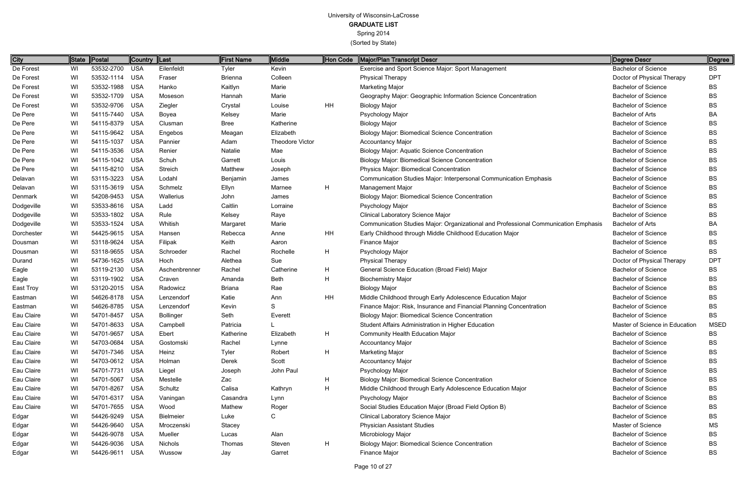| City       |    | State Postal   | Country  Last |                  | <b>First Name</b> | Middle                 | Hon Code  | Major/Plan Transcript Descr                                                         | Degree Descr                   | Degree     |
|------------|----|----------------|---------------|------------------|-------------------|------------------------|-----------|-------------------------------------------------------------------------------------|--------------------------------|------------|
| De Forest  | WI | 53532-2700     | USA           | Eilenfeldt       | Tyler             | Kevin                  |           | Exercise and Sport Science Major: Sport Management                                  | <b>Bachelor of Science</b>     | <b>BS</b>  |
| De Forest  | WI | 53532-1114     | <b>USA</b>    | Fraser           | <b>Brienna</b>    | Colleen                |           | <b>Physical Therapy</b>                                                             | Doctor of Physical Therapy     | <b>DPT</b> |
| De Forest  | WI | 53532-1988     | USA           | Hanko            | Kaitlyn           | Marie                  |           | <b>Marketing Major</b>                                                              | <b>Bachelor of Science</b>     | BS         |
| De Forest  | WI | 53532-1709     | <b>USA</b>    | Moseson          | Hannah            | Marie                  |           | Geography Major: Geographic Information Science Concentration                       | <b>Bachelor of Science</b>     | BS         |
| De Forest  | WI | 53532-9706     | USA           | Ziegler          | Crystal           | Louise                 | <b>HH</b> | <b>Biology Major</b>                                                                | <b>Bachelor of Science</b>     | BS         |
| De Pere    | WI | 54115-7440     | <b>USA</b>    | Boyea            | Kelsey            | Marie                  |           | Psychology Major                                                                    | <b>Bachelor of Arts</b>        | BA         |
| De Pere    | WI | 54115-8379     | <b>USA</b>    | Clusman          | Bree              | Katherine              |           | <b>Biology Major</b>                                                                | <b>Bachelor of Science</b>     | BS.        |
| De Pere    | WI | 54115-9642     | USA           | Engebos          | Meagan            | Elizabeth              |           | <b>Biology Major: Biomedical Science Concentration</b>                              | <b>Bachelor of Science</b>     | BS         |
| De Pere    | WI | 54115-1037     | <b>USA</b>    | Pannier          | Adam              | <b>Theodore Victor</b> |           | <b>Accountancy Major</b>                                                            | <b>Bachelor of Science</b>     | BS         |
| De Pere    | WI | 54115-3536     | USA           | Renier           | Natalie           | Mae                    |           | <b>Biology Major: Aquatic Science Concentration</b>                                 | <b>Bachelor of Science</b>     | <b>BS</b>  |
| De Pere    | WI | 54115-1042 USA |               | Schuh            | Garrett           | Louis                  |           | <b>Biology Major: Biomedical Science Concentration</b>                              | <b>Bachelor of Science</b>     | BS         |
| De Pere    | WI | 54115-8210     | <b>USA</b>    | Streich          | Matthew           | Joseph                 |           | Physics Major: Biomedical Concentration                                             | <b>Bachelor of Science</b>     | <b>BS</b>  |
| Delavan    | WI | 53115-3223     | USA           | Lodahl           | Benjamin          | James                  |           | Communication Studies Major: Interpersonal Communication Emphasis                   | <b>Bachelor of Science</b>     | BS         |
| Delavan    | WI | 53115-3619     | USA           | Schmelz          | Ellyn             | Marnee                 | H         | Management Major                                                                    | <b>Bachelor of Science</b>     | BS         |
| Denmark    | WI | 54208-9453     | <b>USA</b>    | Wallerius        | John              | James                  |           | <b>Biology Major: Biomedical Science Concentration</b>                              | <b>Bachelor of Science</b>     | BS         |
| Dodgeville | WI | 53533-8616     | <b>USA</b>    | Ladd             | Caitlin           | Lorraine               |           | Psychology Major                                                                    | <b>Bachelor of Science</b>     | <b>BS</b>  |
| Dodgeville | WI | 53533-1802 USA |               | Rule             | Kelsey            | Raye                   |           | <b>Clinical Laboratory Science Major</b>                                            | <b>Bachelor of Science</b>     | BS         |
| Dodgeville | WI | 53533-1524     | USA           | Whitish          | Margaret          | Marie                  |           | Communication Studies Major: Organizational and Professional Communication Emphasis | <b>Bachelor of Arts</b>        | BA         |
| Dorchester | WI | 54425-9615 USA |               | Hansen           | Rebecca           | Anne                   | HH        | Early Childhood through Middle Childhood Education Major                            | <b>Bachelor of Science</b>     | BS.        |
| Dousman    | WI | 53118-9624     | <b>USA</b>    | Filipak          | Keith             | Aaron                  |           | Finance Major                                                                       | <b>Bachelor of Science</b>     | <b>BS</b>  |
| Dousman    | WI | 53118-9655     | USA           | Schroeder        | Rachel            | Rochelle               | H         | Psychology Major                                                                    | <b>Bachelor of Science</b>     | <b>BS</b>  |
| Durand     | WI | 54736-1625     | USA           | Hoch             | Alethea           | Sue                    |           | <b>Physical Therapy</b>                                                             | Doctor of Physical Therapy     | <b>DPT</b> |
| Eagle      | WI | 53119-2130 USA |               | Aschenbrenner    | Rachel            | Catherine              | H         | General Science Education (Broad Field) Major                                       | <b>Bachelor of Science</b>     | BS         |
| Eagle      | WI | 53119-1902     | USA           | Craven           | Amanda            | <b>Beth</b>            | H         | <b>Biochemistry Major</b>                                                           | <b>Bachelor of Science</b>     | <b>BS</b>  |
| East Troy  | WI | 53120-2015 USA |               | Radowicz         | <b>Briana</b>     | Rae                    |           | <b>Biology Major</b>                                                                | <b>Bachelor of Science</b>     | BS.        |
| Eastman    | WI | 54626-8178     | USA           | Lenzendorf       | Katie             | Ann                    | HH        | Middle Childhood through Early Adolescence Education Major                          | <b>Bachelor of Science</b>     | ВS         |
| Eastman    | WI | 54626-8785     | USA           | Lenzendorf       | Kevin             | S                      |           | Finance Major: Risk, Insurance and Financial Planning Concentration                 | <b>Bachelor of Science</b>     | ВS         |
| Eau Claire | WI | 54701-8457     | <b>USA</b>    | <b>Bollinger</b> | Seth              | Everett                |           | <b>Biology Major: Biomedical Science Concentration</b>                              | <b>Bachelor of Science</b>     | <b>BS</b>  |
| Eau Claire | WI | 54701-8633 USA |               | Campbell         | Patricia          |                        |           | Student Affairs Administration in Higher Education                                  | Master of Science in Education | MSED       |
| Eau Claire | WI | 54701-9657     | USA           | Ebert            | Katherine         | Elizabeth              | H         | <b>Community Health Education Major</b>                                             | <b>Bachelor of Science</b>     | BS         |
| Eau Claire | WI | 54703-0684 USA |               | Gostomski        | Rachel            | Lynne                  |           | <b>Accountancy Major</b>                                                            | <b>Bachelor of Science</b>     | BS         |
| Eau Claire | WI | 54701-7346 USA |               | Heinz            | Tyler             | Robert                 | H         | <b>Marketing Major</b>                                                              | <b>Bachelor of Science</b>     | BS         |
| Eau Claire | WI | 54703-0612 USA |               | Holman           | Derek             | Scott                  |           | <b>Accountancy Major</b>                                                            | <b>Bachelor of Science</b>     | BS         |
| Eau Claire | WI | 54701-7731 USA |               | Liegel           | Joseph            | John Paul              |           | Psychology Major                                                                    | <b>Bachelor of Science</b>     | BS         |
| Eau Claire | WI | 54701-5067 USA |               | Mestelle         | Zac               |                        | H         | <b>Biology Major: Biomedical Science Concentration</b>                              | <b>Bachelor of Science</b>     | BS         |
| Eau Claire | WI | 54701-8267     | USA           | Schultz          | Calisa            | Kathryn                | H         | Middle Childhood through Early Adolescence Education Major                          | <b>Bachelor of Science</b>     | BS         |
| Eau Claire | WI | 54701-6317 USA |               | Vaningan         | Casandra          | Lynn                   |           | Psychology Major                                                                    | <b>Bachelor of Science</b>     | BS         |
| Eau Claire | WI | 54701-7655 USA |               | Wood             | Mathew            | Roger                  |           | Social Studies Education Major (Broad Field Option B)                               | <b>Bachelor of Science</b>     | BS         |
| Edgar      | WI | 54426-9249 USA |               | <b>Bielmeier</b> | Luke              | C.                     |           | Clinical Laboratory Science Major                                                   | <b>Bachelor of Science</b>     | BS         |
| Edgar      | WI | 54426-9640 USA |               | Mroczenski       | Stacey            |                        |           | <b>Physician Assistant Studies</b>                                                  | Master of Science              | MS         |
| Edgar      | WI | 54426-9078 USA |               | Mueller          | Lucas             | Alan                   |           | Microbiology Major                                                                  | <b>Bachelor of Science</b>     | BS         |
| Edgar      | WI | 54426-9036 USA |               | Nichols          | Thomas            | Steven                 | H         | <b>Biology Major: Biomedical Science Concentration</b>                              | <b>Bachelor of Science</b>     | BS         |
| Edgar      | WI | 54426-9611 USA |               | Wussow           | Jay               | Garret                 |           | Finance Major                                                                       | <b>Bachelor of Science</b>     | BS         |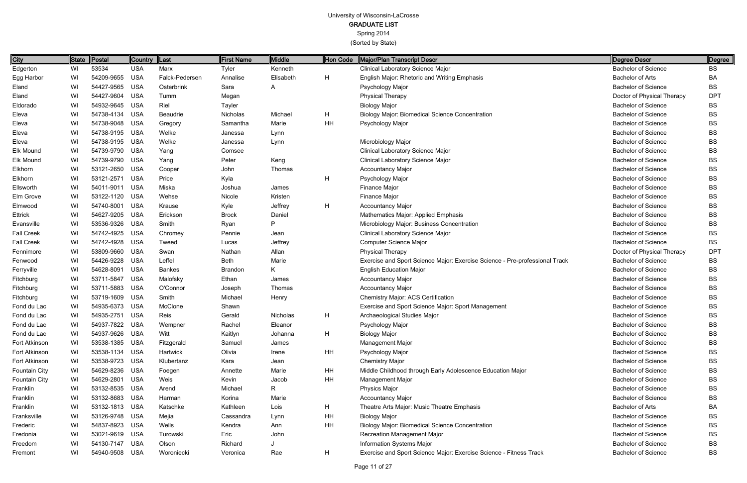| Edgerton<br>53534<br><b>USA</b><br>Marx<br>Clinical Laboratory Science Major<br><b>Bachelor of Science</b><br>WI<br><b>BS</b><br>Tyler<br>Kenneth<br>H<br>WI<br>54209-9655<br><b>USA</b><br>Falck-Pedersen<br><b>Bachelor of Arts</b><br><b>BA</b><br>Annalise<br>Elisabeth<br>English Major: Rhetoric and Writing Emphasis<br>54427-9565<br><b>USA</b><br><b>Bachelor of Science</b><br>WI<br><b>BS</b><br>Osterbrink<br>Sara<br>Psychology Major<br>A<br><b>DPT</b><br>WI<br>54427-9604<br><b>USA</b><br><b>Physical Therapy</b><br>Tumm<br>Doctor of Physical Therapy<br>Megan<br>Riel<br>WI<br>54932-9645 USA<br><b>Bachelor of Science</b><br>Tayler<br><b>Biology Major</b><br>BS<br>H<br>WI<br>54738-4134 USA<br><b>Bachelor of Science</b><br>Nicholas<br>Michael<br><b>Biology Major: Biomedical Science Concentration</b><br>BS<br>Beaudrie<br>Eleva<br>54738-9048 USA<br>HH<br><b>Bachelor of Science</b><br>WI<br>Samantha<br>Marie<br>Psychology Major<br>BS<br>Gregory<br>WI<br>54738-9195 USA<br>Welke<br><b>Bachelor of Science</b><br>BS<br>Lynn<br>Janessa<br>54738-9195 USA<br><b>Bachelor of Science</b><br>WI<br>Welke<br>Microbiology Major<br>BS<br>Janessa<br>Lynn<br>54739-9790 USA<br><b>Bachelor of Science</b><br>WI<br>Yang<br>Comsee<br>Clinical Laboratory Science Major<br>BS<br>WI<br>54739-9790 USA<br>Keng<br>Clinical Laboratory Science Major<br><b>Bachelor of Science</b><br>Peter<br>BS<br>Yang<br>Elkhorn<br>WI<br>53121-2650<br><b>USA</b><br><b>Bachelor of Science</b><br>Thomas<br>Accountancy Major<br>BS<br>Cooper<br>John<br>Elkhorn<br>53121-2571 USA<br>H<br><b>Bachelor of Science</b><br>WI<br>Price<br>Kyla<br>Psychology Major<br>BS<br>Ellsworth<br>WI<br>54011-9011 USA<br>Miska<br>Finance Major<br><b>Bachelor of Science</b><br>Joshua<br>James<br>BS<br>WI<br>53122-1120<br>USA<br>Kristen<br>Finance Major<br><b>Bachelor of Science</b><br>Wehse<br>Nicole<br>BS<br>H<br>Elmwood<br>WI<br>54740-8001<br>USA<br><b>Bachelor of Science</b><br>Krause<br>Kyle<br>Jeffrey<br><b>Accountancy Major</b><br>BS<br>54627-9205<br><b>Bachelor of Science</b><br>WI<br>USA<br>Erickson<br>Mathematics Major: Applied Emphasis<br><b>BS</b><br><b>Brock</b><br>Daniel<br>P<br>WI<br>53536-9326 USA<br>Smith<br>Microbiology Major: Business Concentration<br><b>Bachelor of Science</b><br>Evansville<br>Ryan<br>BS<br>WI<br>54742-4925<br><b>USA</b><br>Clinical Laboratory Science Major<br><b>Bachelor of Science</b><br><b>BS</b><br>Chromey<br>Pennie<br>Jean<br><b>Fall Creek</b><br>WI<br>54742-4928<br><b>USA</b><br>Jeffrey<br>Computer Science Major<br><b>Bachelor of Science</b><br><b>BS</b><br>Tweed<br>Lucas<br>53809-9660<br><b>DPT</b><br>WI<br>USA<br>Allan<br><b>Physical Therapy</b><br>Swan<br>Nathan<br>Doctor of Physical Therapy<br>Leffel<br>WI<br>54426-9228<br><b>USA</b><br><b>Beth</b><br>Marie<br><b>Bachelor of Science</b><br>Fenwood<br>Exercise and Sport Science Major: Exercise Science - Pre-professional Track<br>BS<br>K.<br>Ferryville<br>WI<br>54628-8091<br>USA<br><b>English Education Major</b><br><b>Bachelor of Science</b><br><b>Bankes</b><br>Brandon<br>BS<br>WI<br>53711-5847<br><b>USA</b><br>Malofsky<br><b>Bachelor of Science</b><br>Ethan<br>James<br><b>Accountancy Major</b><br>BS<br>53711-5883<br>WI<br>USA<br>O'Connor<br><b>Accountancy Major</b><br><b>Bachelor of Science</b><br>Thomas<br>BS<br>Joseph<br>WI<br>53719-1609<br>USA<br>Smith<br>Michael<br>Chemistry Major: ACS Certification<br><b>Bachelor of Science</b><br>Henry<br>BS<br>WI<br>54935-6373<br>USA<br>McClone<br>Exercise and Sport Science Major: Sport Management<br><b>Bachelor of Science</b><br><b>BS</b><br>Shawn<br>Reis<br>H<br>WI<br>54935-2751 USA<br>Gerald<br>Nicholas<br>Archaeological Studies Major<br><b>Bachelor of Science</b><br>BS<br>WI<br>54937-7822 USA<br><b>Bachelor of Science</b><br>BS<br>Wempner<br>Rachel<br>Eleanor<br>Psychology Major<br>H<br>Witt<br>54937-9626 USA<br>Kaitlyn<br><b>Biology Major</b><br><b>Bachelor of Science</b><br>BS<br>WI<br>Johanna<br>53538-1385 USA<br>Management Major<br><b>Bachelor of Science</b><br>WI<br>Samuel<br>BS<br>Fitzgerald<br>James<br>HH<br>53538-1134 USA<br>Hartwick<br>Olivia<br>Psychology Major<br><b>Bachelor of Science</b><br>WI<br>BS<br>Irene<br>53538-9723 USA<br><b>Chemistry Major</b><br><b>Bachelor of Science</b><br>WI<br>Klubertanz<br>BS<br>Kara<br>Jean<br>HH<br>WI<br>54629-8236<br>USA<br>Marie<br>Middle Childhood through Early Adolescence Education Major<br><b>Bachelor of Science</b><br>BS<br>Annette<br>Foegen<br>54629-2801 USA<br>Weis<br>HH<br><b>Bachelor of Science</b><br>WI<br>Management Major<br>BS<br>Kevin<br>Jacob<br>53132-8535 USA<br>R.<br><b>Bachelor of Science</b><br>WI<br>Arend<br>Michael<br>Physics Major<br>BS<br>WI<br>53132-8683 USA<br>Marie<br><b>Accountancy Major</b><br><b>Bachelor of Science</b><br>Korina<br>BS<br>Harman<br>H<br>WI<br>53132-1813 USA<br>Katschke<br>Kathleen<br>Lois<br>Theatre Arts Major: Music Theatre Emphasis<br><b>Bachelor of Arts</b><br>BA<br>HH<br><b>Bachelor of Science</b><br>WI<br>53126-9748 USA<br>Mejia<br><b>Biology Major</b><br>BS<br>Cassandra<br>Lynn<br>54837-8923 USA<br>Wells<br>HH<br>Biology Major: Biomedical Science Concentration<br><b>Bachelor of Science</b><br>WI<br>Kendra<br>BS<br>Ann<br>WI<br>53021-9619 USA<br>John<br>Recreation Management Major<br><b>Bachelor of Science</b><br>Eric<br>BS<br>Turowski<br>54130-7147 USA<br>Information Systems Major<br><b>Bachelor of Science</b><br>WI<br>Olson<br>Richard<br>BS<br>H<br>WI<br>54940-9508 USA<br>Exercise and Sport Science Major: Exercise Science - Fitness Track<br><b>Bachelor of Science</b><br><b>BS</b><br>Woroniecki<br>Rae<br>Veronica | City                 | State | Postal | <b>Country</b> | $\ $ Last | <b>First Name</b> | <b>Middle</b> | Hon Code | Major/Plan Transcript Descr | Degree Descr | Degree |
|-------------------------------------------------------------------------------------------------------------------------------------------------------------------------------------------------------------------------------------------------------------------------------------------------------------------------------------------------------------------------------------------------------------------------------------------------------------------------------------------------------------------------------------------------------------------------------------------------------------------------------------------------------------------------------------------------------------------------------------------------------------------------------------------------------------------------------------------------------------------------------------------------------------------------------------------------------------------------------------------------------------------------------------------------------------------------------------------------------------------------------------------------------------------------------------------------------------------------------------------------------------------------------------------------------------------------------------------------------------------------------------------------------------------------------------------------------------------------------------------------------------------------------------------------------------------------------------------------------------------------------------------------------------------------------------------------------------------------------------------------------------------------------------------------------------------------------------------------------------------------------------------------------------------------------------------------------------------------------------------------------------------------------------------------------------------------------------------------------------------------------------------------------------------------------------------------------------------------------------------------------------------------------------------------------------------------------------------------------------------------------------------------------------------------------------------------------------------------------------------------------------------------------------------------------------------------------------------------------------------------------------------------------------------------------------------------------------------------------------------------------------------------------------------------------------------------------------------------------------------------------------------------------------------------------------------------------------------------------------------------------------------------------------------------------------------------------------------------------------------------------------------------------------------------------------------------------------------------------------------------------------------------------------------------------------------------------------------------------------------------------------------------------------------------------------------------------------------------------------------------------------------------------------------------------------------------------------------------------------------------------------------------------------------------------------------------------------------------------------------------------------------------------------------------------------------------------------------------------------------------------------------------------------------------------------------------------------------------------------------------------------------------------------------------------------------------------------------------------------------------------------------------------------------------------------------------------------------------------------------------------------------------------------------------------------------------------------------------------------------------------------------------------------------------------------------------------------------------------------------------------------------------------------------------------------------------------------------------------------------------------------------------------------------------------------------------------------------------------------------------------------------------------------------------------------------------------------------------------------------------------------------------------------------------------------------------------------------------------------------------------------------------------------------------------------------------------------------------------------------------------------------------------------------------------------------------------------------------------------------------------------------------------------------------------------------------------------------------------------------------------------------------------------------------------------------------------------------------------------------------------------------------------------------------------------------------------------------------------------------------------------------------------------------------------------------------------------------------------------------------------------------------------------------------|----------------------|-------|--------|----------------|-----------|-------------------|---------------|----------|-----------------------------|--------------|--------|
|                                                                                                                                                                                                                                                                                                                                                                                                                                                                                                                                                                                                                                                                                                                                                                                                                                                                                                                                                                                                                                                                                                                                                                                                                                                                                                                                                                                                                                                                                                                                                                                                                                                                                                                                                                                                                                                                                                                                                                                                                                                                                                                                                                                                                                                                                                                                                                                                                                                                                                                                                                                                                                                                                                                                                                                                                                                                                                                                                                                                                                                                                                                                                                                                                                                                                                                                                                                                                                                                                                                                                                                                                                                                                                                                                                                                                                                                                                                                                                                                                                                                                                                                                                                                                                                                                                                                                                                                                                                                                                                                                                                                                                                                                                                                                                                                                                                                                                                                                                                                                                                                                                                                                                                                                                                                                                                                                                                                                                                                                                                                                                                                                                                                                                                                                                                                 |                      |       |        |                |           |                   |               |          |                             |              |        |
|                                                                                                                                                                                                                                                                                                                                                                                                                                                                                                                                                                                                                                                                                                                                                                                                                                                                                                                                                                                                                                                                                                                                                                                                                                                                                                                                                                                                                                                                                                                                                                                                                                                                                                                                                                                                                                                                                                                                                                                                                                                                                                                                                                                                                                                                                                                                                                                                                                                                                                                                                                                                                                                                                                                                                                                                                                                                                                                                                                                                                                                                                                                                                                                                                                                                                                                                                                                                                                                                                                                                                                                                                                                                                                                                                                                                                                                                                                                                                                                                                                                                                                                                                                                                                                                                                                                                                                                                                                                                                                                                                                                                                                                                                                                                                                                                                                                                                                                                                                                                                                                                                                                                                                                                                                                                                                                                                                                                                                                                                                                                                                                                                                                                                                                                                                                                 | Egg Harbor           |       |        |                |           |                   |               |          |                             |              |        |
|                                                                                                                                                                                                                                                                                                                                                                                                                                                                                                                                                                                                                                                                                                                                                                                                                                                                                                                                                                                                                                                                                                                                                                                                                                                                                                                                                                                                                                                                                                                                                                                                                                                                                                                                                                                                                                                                                                                                                                                                                                                                                                                                                                                                                                                                                                                                                                                                                                                                                                                                                                                                                                                                                                                                                                                                                                                                                                                                                                                                                                                                                                                                                                                                                                                                                                                                                                                                                                                                                                                                                                                                                                                                                                                                                                                                                                                                                                                                                                                                                                                                                                                                                                                                                                                                                                                                                                                                                                                                                                                                                                                                                                                                                                                                                                                                                                                                                                                                                                                                                                                                                                                                                                                                                                                                                                                                                                                                                                                                                                                                                                                                                                                                                                                                                                                                 | Eland                |       |        |                |           |                   |               |          |                             |              |        |
|                                                                                                                                                                                                                                                                                                                                                                                                                                                                                                                                                                                                                                                                                                                                                                                                                                                                                                                                                                                                                                                                                                                                                                                                                                                                                                                                                                                                                                                                                                                                                                                                                                                                                                                                                                                                                                                                                                                                                                                                                                                                                                                                                                                                                                                                                                                                                                                                                                                                                                                                                                                                                                                                                                                                                                                                                                                                                                                                                                                                                                                                                                                                                                                                                                                                                                                                                                                                                                                                                                                                                                                                                                                                                                                                                                                                                                                                                                                                                                                                                                                                                                                                                                                                                                                                                                                                                                                                                                                                                                                                                                                                                                                                                                                                                                                                                                                                                                                                                                                                                                                                                                                                                                                                                                                                                                                                                                                                                                                                                                                                                                                                                                                                                                                                                                                                 | Eland                |       |        |                |           |                   |               |          |                             |              |        |
|                                                                                                                                                                                                                                                                                                                                                                                                                                                                                                                                                                                                                                                                                                                                                                                                                                                                                                                                                                                                                                                                                                                                                                                                                                                                                                                                                                                                                                                                                                                                                                                                                                                                                                                                                                                                                                                                                                                                                                                                                                                                                                                                                                                                                                                                                                                                                                                                                                                                                                                                                                                                                                                                                                                                                                                                                                                                                                                                                                                                                                                                                                                                                                                                                                                                                                                                                                                                                                                                                                                                                                                                                                                                                                                                                                                                                                                                                                                                                                                                                                                                                                                                                                                                                                                                                                                                                                                                                                                                                                                                                                                                                                                                                                                                                                                                                                                                                                                                                                                                                                                                                                                                                                                                                                                                                                                                                                                                                                                                                                                                                                                                                                                                                                                                                                                                 | Eldorado             |       |        |                |           |                   |               |          |                             |              |        |
|                                                                                                                                                                                                                                                                                                                                                                                                                                                                                                                                                                                                                                                                                                                                                                                                                                                                                                                                                                                                                                                                                                                                                                                                                                                                                                                                                                                                                                                                                                                                                                                                                                                                                                                                                                                                                                                                                                                                                                                                                                                                                                                                                                                                                                                                                                                                                                                                                                                                                                                                                                                                                                                                                                                                                                                                                                                                                                                                                                                                                                                                                                                                                                                                                                                                                                                                                                                                                                                                                                                                                                                                                                                                                                                                                                                                                                                                                                                                                                                                                                                                                                                                                                                                                                                                                                                                                                                                                                                                                                                                                                                                                                                                                                                                                                                                                                                                                                                                                                                                                                                                                                                                                                                                                                                                                                                                                                                                                                                                                                                                                                                                                                                                                                                                                                                                 | Eleva                |       |        |                |           |                   |               |          |                             |              |        |
|                                                                                                                                                                                                                                                                                                                                                                                                                                                                                                                                                                                                                                                                                                                                                                                                                                                                                                                                                                                                                                                                                                                                                                                                                                                                                                                                                                                                                                                                                                                                                                                                                                                                                                                                                                                                                                                                                                                                                                                                                                                                                                                                                                                                                                                                                                                                                                                                                                                                                                                                                                                                                                                                                                                                                                                                                                                                                                                                                                                                                                                                                                                                                                                                                                                                                                                                                                                                                                                                                                                                                                                                                                                                                                                                                                                                                                                                                                                                                                                                                                                                                                                                                                                                                                                                                                                                                                                                                                                                                                                                                                                                                                                                                                                                                                                                                                                                                                                                                                                                                                                                                                                                                                                                                                                                                                                                                                                                                                                                                                                                                                                                                                                                                                                                                                                                 |                      |       |        |                |           |                   |               |          |                             |              |        |
|                                                                                                                                                                                                                                                                                                                                                                                                                                                                                                                                                                                                                                                                                                                                                                                                                                                                                                                                                                                                                                                                                                                                                                                                                                                                                                                                                                                                                                                                                                                                                                                                                                                                                                                                                                                                                                                                                                                                                                                                                                                                                                                                                                                                                                                                                                                                                                                                                                                                                                                                                                                                                                                                                                                                                                                                                                                                                                                                                                                                                                                                                                                                                                                                                                                                                                                                                                                                                                                                                                                                                                                                                                                                                                                                                                                                                                                                                                                                                                                                                                                                                                                                                                                                                                                                                                                                                                                                                                                                                                                                                                                                                                                                                                                                                                                                                                                                                                                                                                                                                                                                                                                                                                                                                                                                                                                                                                                                                                                                                                                                                                                                                                                                                                                                                                                                 | Eleva                |       |        |                |           |                   |               |          |                             |              |        |
|                                                                                                                                                                                                                                                                                                                                                                                                                                                                                                                                                                                                                                                                                                                                                                                                                                                                                                                                                                                                                                                                                                                                                                                                                                                                                                                                                                                                                                                                                                                                                                                                                                                                                                                                                                                                                                                                                                                                                                                                                                                                                                                                                                                                                                                                                                                                                                                                                                                                                                                                                                                                                                                                                                                                                                                                                                                                                                                                                                                                                                                                                                                                                                                                                                                                                                                                                                                                                                                                                                                                                                                                                                                                                                                                                                                                                                                                                                                                                                                                                                                                                                                                                                                                                                                                                                                                                                                                                                                                                                                                                                                                                                                                                                                                                                                                                                                                                                                                                                                                                                                                                                                                                                                                                                                                                                                                                                                                                                                                                                                                                                                                                                                                                                                                                                                                 | Eleva                |       |        |                |           |                   |               |          |                             |              |        |
|                                                                                                                                                                                                                                                                                                                                                                                                                                                                                                                                                                                                                                                                                                                                                                                                                                                                                                                                                                                                                                                                                                                                                                                                                                                                                                                                                                                                                                                                                                                                                                                                                                                                                                                                                                                                                                                                                                                                                                                                                                                                                                                                                                                                                                                                                                                                                                                                                                                                                                                                                                                                                                                                                                                                                                                                                                                                                                                                                                                                                                                                                                                                                                                                                                                                                                                                                                                                                                                                                                                                                                                                                                                                                                                                                                                                                                                                                                                                                                                                                                                                                                                                                                                                                                                                                                                                                                                                                                                                                                                                                                                                                                                                                                                                                                                                                                                                                                                                                                                                                                                                                                                                                                                                                                                                                                                                                                                                                                                                                                                                                                                                                                                                                                                                                                                                 | Elk Mound            |       |        |                |           |                   |               |          |                             |              |        |
|                                                                                                                                                                                                                                                                                                                                                                                                                                                                                                                                                                                                                                                                                                                                                                                                                                                                                                                                                                                                                                                                                                                                                                                                                                                                                                                                                                                                                                                                                                                                                                                                                                                                                                                                                                                                                                                                                                                                                                                                                                                                                                                                                                                                                                                                                                                                                                                                                                                                                                                                                                                                                                                                                                                                                                                                                                                                                                                                                                                                                                                                                                                                                                                                                                                                                                                                                                                                                                                                                                                                                                                                                                                                                                                                                                                                                                                                                                                                                                                                                                                                                                                                                                                                                                                                                                                                                                                                                                                                                                                                                                                                                                                                                                                                                                                                                                                                                                                                                                                                                                                                                                                                                                                                                                                                                                                                                                                                                                                                                                                                                                                                                                                                                                                                                                                                 | Elk Mound            |       |        |                |           |                   |               |          |                             |              |        |
|                                                                                                                                                                                                                                                                                                                                                                                                                                                                                                                                                                                                                                                                                                                                                                                                                                                                                                                                                                                                                                                                                                                                                                                                                                                                                                                                                                                                                                                                                                                                                                                                                                                                                                                                                                                                                                                                                                                                                                                                                                                                                                                                                                                                                                                                                                                                                                                                                                                                                                                                                                                                                                                                                                                                                                                                                                                                                                                                                                                                                                                                                                                                                                                                                                                                                                                                                                                                                                                                                                                                                                                                                                                                                                                                                                                                                                                                                                                                                                                                                                                                                                                                                                                                                                                                                                                                                                                                                                                                                                                                                                                                                                                                                                                                                                                                                                                                                                                                                                                                                                                                                                                                                                                                                                                                                                                                                                                                                                                                                                                                                                                                                                                                                                                                                                                                 |                      |       |        |                |           |                   |               |          |                             |              |        |
|                                                                                                                                                                                                                                                                                                                                                                                                                                                                                                                                                                                                                                                                                                                                                                                                                                                                                                                                                                                                                                                                                                                                                                                                                                                                                                                                                                                                                                                                                                                                                                                                                                                                                                                                                                                                                                                                                                                                                                                                                                                                                                                                                                                                                                                                                                                                                                                                                                                                                                                                                                                                                                                                                                                                                                                                                                                                                                                                                                                                                                                                                                                                                                                                                                                                                                                                                                                                                                                                                                                                                                                                                                                                                                                                                                                                                                                                                                                                                                                                                                                                                                                                                                                                                                                                                                                                                                                                                                                                                                                                                                                                                                                                                                                                                                                                                                                                                                                                                                                                                                                                                                                                                                                                                                                                                                                                                                                                                                                                                                                                                                                                                                                                                                                                                                                                 |                      |       |        |                |           |                   |               |          |                             |              |        |
|                                                                                                                                                                                                                                                                                                                                                                                                                                                                                                                                                                                                                                                                                                                                                                                                                                                                                                                                                                                                                                                                                                                                                                                                                                                                                                                                                                                                                                                                                                                                                                                                                                                                                                                                                                                                                                                                                                                                                                                                                                                                                                                                                                                                                                                                                                                                                                                                                                                                                                                                                                                                                                                                                                                                                                                                                                                                                                                                                                                                                                                                                                                                                                                                                                                                                                                                                                                                                                                                                                                                                                                                                                                                                                                                                                                                                                                                                                                                                                                                                                                                                                                                                                                                                                                                                                                                                                                                                                                                                                                                                                                                                                                                                                                                                                                                                                                                                                                                                                                                                                                                                                                                                                                                                                                                                                                                                                                                                                                                                                                                                                                                                                                                                                                                                                                                 |                      |       |        |                |           |                   |               |          |                             |              |        |
|                                                                                                                                                                                                                                                                                                                                                                                                                                                                                                                                                                                                                                                                                                                                                                                                                                                                                                                                                                                                                                                                                                                                                                                                                                                                                                                                                                                                                                                                                                                                                                                                                                                                                                                                                                                                                                                                                                                                                                                                                                                                                                                                                                                                                                                                                                                                                                                                                                                                                                                                                                                                                                                                                                                                                                                                                                                                                                                                                                                                                                                                                                                                                                                                                                                                                                                                                                                                                                                                                                                                                                                                                                                                                                                                                                                                                                                                                                                                                                                                                                                                                                                                                                                                                                                                                                                                                                                                                                                                                                                                                                                                                                                                                                                                                                                                                                                                                                                                                                                                                                                                                                                                                                                                                                                                                                                                                                                                                                                                                                                                                                                                                                                                                                                                                                                                 | Elm Grove            |       |        |                |           |                   |               |          |                             |              |        |
|                                                                                                                                                                                                                                                                                                                                                                                                                                                                                                                                                                                                                                                                                                                                                                                                                                                                                                                                                                                                                                                                                                                                                                                                                                                                                                                                                                                                                                                                                                                                                                                                                                                                                                                                                                                                                                                                                                                                                                                                                                                                                                                                                                                                                                                                                                                                                                                                                                                                                                                                                                                                                                                                                                                                                                                                                                                                                                                                                                                                                                                                                                                                                                                                                                                                                                                                                                                                                                                                                                                                                                                                                                                                                                                                                                                                                                                                                                                                                                                                                                                                                                                                                                                                                                                                                                                                                                                                                                                                                                                                                                                                                                                                                                                                                                                                                                                                                                                                                                                                                                                                                                                                                                                                                                                                                                                                                                                                                                                                                                                                                                                                                                                                                                                                                                                                 |                      |       |        |                |           |                   |               |          |                             |              |        |
|                                                                                                                                                                                                                                                                                                                                                                                                                                                                                                                                                                                                                                                                                                                                                                                                                                                                                                                                                                                                                                                                                                                                                                                                                                                                                                                                                                                                                                                                                                                                                                                                                                                                                                                                                                                                                                                                                                                                                                                                                                                                                                                                                                                                                                                                                                                                                                                                                                                                                                                                                                                                                                                                                                                                                                                                                                                                                                                                                                                                                                                                                                                                                                                                                                                                                                                                                                                                                                                                                                                                                                                                                                                                                                                                                                                                                                                                                                                                                                                                                                                                                                                                                                                                                                                                                                                                                                                                                                                                                                                                                                                                                                                                                                                                                                                                                                                                                                                                                                                                                                                                                                                                                                                                                                                                                                                                                                                                                                                                                                                                                                                                                                                                                                                                                                                                 | Ettrick              |       |        |                |           |                   |               |          |                             |              |        |
|                                                                                                                                                                                                                                                                                                                                                                                                                                                                                                                                                                                                                                                                                                                                                                                                                                                                                                                                                                                                                                                                                                                                                                                                                                                                                                                                                                                                                                                                                                                                                                                                                                                                                                                                                                                                                                                                                                                                                                                                                                                                                                                                                                                                                                                                                                                                                                                                                                                                                                                                                                                                                                                                                                                                                                                                                                                                                                                                                                                                                                                                                                                                                                                                                                                                                                                                                                                                                                                                                                                                                                                                                                                                                                                                                                                                                                                                                                                                                                                                                                                                                                                                                                                                                                                                                                                                                                                                                                                                                                                                                                                                                                                                                                                                                                                                                                                                                                                                                                                                                                                                                                                                                                                                                                                                                                                                                                                                                                                                                                                                                                                                                                                                                                                                                                                                 |                      |       |        |                |           |                   |               |          |                             |              |        |
|                                                                                                                                                                                                                                                                                                                                                                                                                                                                                                                                                                                                                                                                                                                                                                                                                                                                                                                                                                                                                                                                                                                                                                                                                                                                                                                                                                                                                                                                                                                                                                                                                                                                                                                                                                                                                                                                                                                                                                                                                                                                                                                                                                                                                                                                                                                                                                                                                                                                                                                                                                                                                                                                                                                                                                                                                                                                                                                                                                                                                                                                                                                                                                                                                                                                                                                                                                                                                                                                                                                                                                                                                                                                                                                                                                                                                                                                                                                                                                                                                                                                                                                                                                                                                                                                                                                                                                                                                                                                                                                                                                                                                                                                                                                                                                                                                                                                                                                                                                                                                                                                                                                                                                                                                                                                                                                                                                                                                                                                                                                                                                                                                                                                                                                                                                                                 | <b>Fall Creek</b>    |       |        |                |           |                   |               |          |                             |              |        |
|                                                                                                                                                                                                                                                                                                                                                                                                                                                                                                                                                                                                                                                                                                                                                                                                                                                                                                                                                                                                                                                                                                                                                                                                                                                                                                                                                                                                                                                                                                                                                                                                                                                                                                                                                                                                                                                                                                                                                                                                                                                                                                                                                                                                                                                                                                                                                                                                                                                                                                                                                                                                                                                                                                                                                                                                                                                                                                                                                                                                                                                                                                                                                                                                                                                                                                                                                                                                                                                                                                                                                                                                                                                                                                                                                                                                                                                                                                                                                                                                                                                                                                                                                                                                                                                                                                                                                                                                                                                                                                                                                                                                                                                                                                                                                                                                                                                                                                                                                                                                                                                                                                                                                                                                                                                                                                                                                                                                                                                                                                                                                                                                                                                                                                                                                                                                 |                      |       |        |                |           |                   |               |          |                             |              |        |
|                                                                                                                                                                                                                                                                                                                                                                                                                                                                                                                                                                                                                                                                                                                                                                                                                                                                                                                                                                                                                                                                                                                                                                                                                                                                                                                                                                                                                                                                                                                                                                                                                                                                                                                                                                                                                                                                                                                                                                                                                                                                                                                                                                                                                                                                                                                                                                                                                                                                                                                                                                                                                                                                                                                                                                                                                                                                                                                                                                                                                                                                                                                                                                                                                                                                                                                                                                                                                                                                                                                                                                                                                                                                                                                                                                                                                                                                                                                                                                                                                                                                                                                                                                                                                                                                                                                                                                                                                                                                                                                                                                                                                                                                                                                                                                                                                                                                                                                                                                                                                                                                                                                                                                                                                                                                                                                                                                                                                                                                                                                                                                                                                                                                                                                                                                                                 | Fennimore            |       |        |                |           |                   |               |          |                             |              |        |
|                                                                                                                                                                                                                                                                                                                                                                                                                                                                                                                                                                                                                                                                                                                                                                                                                                                                                                                                                                                                                                                                                                                                                                                                                                                                                                                                                                                                                                                                                                                                                                                                                                                                                                                                                                                                                                                                                                                                                                                                                                                                                                                                                                                                                                                                                                                                                                                                                                                                                                                                                                                                                                                                                                                                                                                                                                                                                                                                                                                                                                                                                                                                                                                                                                                                                                                                                                                                                                                                                                                                                                                                                                                                                                                                                                                                                                                                                                                                                                                                                                                                                                                                                                                                                                                                                                                                                                                                                                                                                                                                                                                                                                                                                                                                                                                                                                                                                                                                                                                                                                                                                                                                                                                                                                                                                                                                                                                                                                                                                                                                                                                                                                                                                                                                                                                                 |                      |       |        |                |           |                   |               |          |                             |              |        |
|                                                                                                                                                                                                                                                                                                                                                                                                                                                                                                                                                                                                                                                                                                                                                                                                                                                                                                                                                                                                                                                                                                                                                                                                                                                                                                                                                                                                                                                                                                                                                                                                                                                                                                                                                                                                                                                                                                                                                                                                                                                                                                                                                                                                                                                                                                                                                                                                                                                                                                                                                                                                                                                                                                                                                                                                                                                                                                                                                                                                                                                                                                                                                                                                                                                                                                                                                                                                                                                                                                                                                                                                                                                                                                                                                                                                                                                                                                                                                                                                                                                                                                                                                                                                                                                                                                                                                                                                                                                                                                                                                                                                                                                                                                                                                                                                                                                                                                                                                                                                                                                                                                                                                                                                                                                                                                                                                                                                                                                                                                                                                                                                                                                                                                                                                                                                 |                      |       |        |                |           |                   |               |          |                             |              |        |
|                                                                                                                                                                                                                                                                                                                                                                                                                                                                                                                                                                                                                                                                                                                                                                                                                                                                                                                                                                                                                                                                                                                                                                                                                                                                                                                                                                                                                                                                                                                                                                                                                                                                                                                                                                                                                                                                                                                                                                                                                                                                                                                                                                                                                                                                                                                                                                                                                                                                                                                                                                                                                                                                                                                                                                                                                                                                                                                                                                                                                                                                                                                                                                                                                                                                                                                                                                                                                                                                                                                                                                                                                                                                                                                                                                                                                                                                                                                                                                                                                                                                                                                                                                                                                                                                                                                                                                                                                                                                                                                                                                                                                                                                                                                                                                                                                                                                                                                                                                                                                                                                                                                                                                                                                                                                                                                                                                                                                                                                                                                                                                                                                                                                                                                                                                                                 | Fitchburg            |       |        |                |           |                   |               |          |                             |              |        |
|                                                                                                                                                                                                                                                                                                                                                                                                                                                                                                                                                                                                                                                                                                                                                                                                                                                                                                                                                                                                                                                                                                                                                                                                                                                                                                                                                                                                                                                                                                                                                                                                                                                                                                                                                                                                                                                                                                                                                                                                                                                                                                                                                                                                                                                                                                                                                                                                                                                                                                                                                                                                                                                                                                                                                                                                                                                                                                                                                                                                                                                                                                                                                                                                                                                                                                                                                                                                                                                                                                                                                                                                                                                                                                                                                                                                                                                                                                                                                                                                                                                                                                                                                                                                                                                                                                                                                                                                                                                                                                                                                                                                                                                                                                                                                                                                                                                                                                                                                                                                                                                                                                                                                                                                                                                                                                                                                                                                                                                                                                                                                                                                                                                                                                                                                                                                 | Fitchburg            |       |        |                |           |                   |               |          |                             |              |        |
|                                                                                                                                                                                                                                                                                                                                                                                                                                                                                                                                                                                                                                                                                                                                                                                                                                                                                                                                                                                                                                                                                                                                                                                                                                                                                                                                                                                                                                                                                                                                                                                                                                                                                                                                                                                                                                                                                                                                                                                                                                                                                                                                                                                                                                                                                                                                                                                                                                                                                                                                                                                                                                                                                                                                                                                                                                                                                                                                                                                                                                                                                                                                                                                                                                                                                                                                                                                                                                                                                                                                                                                                                                                                                                                                                                                                                                                                                                                                                                                                                                                                                                                                                                                                                                                                                                                                                                                                                                                                                                                                                                                                                                                                                                                                                                                                                                                                                                                                                                                                                                                                                                                                                                                                                                                                                                                                                                                                                                                                                                                                                                                                                                                                                                                                                                                                 | Fitchburg            |       |        |                |           |                   |               |          |                             |              |        |
|                                                                                                                                                                                                                                                                                                                                                                                                                                                                                                                                                                                                                                                                                                                                                                                                                                                                                                                                                                                                                                                                                                                                                                                                                                                                                                                                                                                                                                                                                                                                                                                                                                                                                                                                                                                                                                                                                                                                                                                                                                                                                                                                                                                                                                                                                                                                                                                                                                                                                                                                                                                                                                                                                                                                                                                                                                                                                                                                                                                                                                                                                                                                                                                                                                                                                                                                                                                                                                                                                                                                                                                                                                                                                                                                                                                                                                                                                                                                                                                                                                                                                                                                                                                                                                                                                                                                                                                                                                                                                                                                                                                                                                                                                                                                                                                                                                                                                                                                                                                                                                                                                                                                                                                                                                                                                                                                                                                                                                                                                                                                                                                                                                                                                                                                                                                                 | Fond du Lac          |       |        |                |           |                   |               |          |                             |              |        |
|                                                                                                                                                                                                                                                                                                                                                                                                                                                                                                                                                                                                                                                                                                                                                                                                                                                                                                                                                                                                                                                                                                                                                                                                                                                                                                                                                                                                                                                                                                                                                                                                                                                                                                                                                                                                                                                                                                                                                                                                                                                                                                                                                                                                                                                                                                                                                                                                                                                                                                                                                                                                                                                                                                                                                                                                                                                                                                                                                                                                                                                                                                                                                                                                                                                                                                                                                                                                                                                                                                                                                                                                                                                                                                                                                                                                                                                                                                                                                                                                                                                                                                                                                                                                                                                                                                                                                                                                                                                                                                                                                                                                                                                                                                                                                                                                                                                                                                                                                                                                                                                                                                                                                                                                                                                                                                                                                                                                                                                                                                                                                                                                                                                                                                                                                                                                 | Fond du Lac          |       |        |                |           |                   |               |          |                             |              |        |
|                                                                                                                                                                                                                                                                                                                                                                                                                                                                                                                                                                                                                                                                                                                                                                                                                                                                                                                                                                                                                                                                                                                                                                                                                                                                                                                                                                                                                                                                                                                                                                                                                                                                                                                                                                                                                                                                                                                                                                                                                                                                                                                                                                                                                                                                                                                                                                                                                                                                                                                                                                                                                                                                                                                                                                                                                                                                                                                                                                                                                                                                                                                                                                                                                                                                                                                                                                                                                                                                                                                                                                                                                                                                                                                                                                                                                                                                                                                                                                                                                                                                                                                                                                                                                                                                                                                                                                                                                                                                                                                                                                                                                                                                                                                                                                                                                                                                                                                                                                                                                                                                                                                                                                                                                                                                                                                                                                                                                                                                                                                                                                                                                                                                                                                                                                                                 | Fond du Lac          |       |        |                |           |                   |               |          |                             |              |        |
|                                                                                                                                                                                                                                                                                                                                                                                                                                                                                                                                                                                                                                                                                                                                                                                                                                                                                                                                                                                                                                                                                                                                                                                                                                                                                                                                                                                                                                                                                                                                                                                                                                                                                                                                                                                                                                                                                                                                                                                                                                                                                                                                                                                                                                                                                                                                                                                                                                                                                                                                                                                                                                                                                                                                                                                                                                                                                                                                                                                                                                                                                                                                                                                                                                                                                                                                                                                                                                                                                                                                                                                                                                                                                                                                                                                                                                                                                                                                                                                                                                                                                                                                                                                                                                                                                                                                                                                                                                                                                                                                                                                                                                                                                                                                                                                                                                                                                                                                                                                                                                                                                                                                                                                                                                                                                                                                                                                                                                                                                                                                                                                                                                                                                                                                                                                                 | Fond du Lac          |       |        |                |           |                   |               |          |                             |              |        |
|                                                                                                                                                                                                                                                                                                                                                                                                                                                                                                                                                                                                                                                                                                                                                                                                                                                                                                                                                                                                                                                                                                                                                                                                                                                                                                                                                                                                                                                                                                                                                                                                                                                                                                                                                                                                                                                                                                                                                                                                                                                                                                                                                                                                                                                                                                                                                                                                                                                                                                                                                                                                                                                                                                                                                                                                                                                                                                                                                                                                                                                                                                                                                                                                                                                                                                                                                                                                                                                                                                                                                                                                                                                                                                                                                                                                                                                                                                                                                                                                                                                                                                                                                                                                                                                                                                                                                                                                                                                                                                                                                                                                                                                                                                                                                                                                                                                                                                                                                                                                                                                                                                                                                                                                                                                                                                                                                                                                                                                                                                                                                                                                                                                                                                                                                                                                 | Fort Atkinson        |       |        |                |           |                   |               |          |                             |              |        |
|                                                                                                                                                                                                                                                                                                                                                                                                                                                                                                                                                                                                                                                                                                                                                                                                                                                                                                                                                                                                                                                                                                                                                                                                                                                                                                                                                                                                                                                                                                                                                                                                                                                                                                                                                                                                                                                                                                                                                                                                                                                                                                                                                                                                                                                                                                                                                                                                                                                                                                                                                                                                                                                                                                                                                                                                                                                                                                                                                                                                                                                                                                                                                                                                                                                                                                                                                                                                                                                                                                                                                                                                                                                                                                                                                                                                                                                                                                                                                                                                                                                                                                                                                                                                                                                                                                                                                                                                                                                                                                                                                                                                                                                                                                                                                                                                                                                                                                                                                                                                                                                                                                                                                                                                                                                                                                                                                                                                                                                                                                                                                                                                                                                                                                                                                                                                 | Fort Atkinson        |       |        |                |           |                   |               |          |                             |              |        |
|                                                                                                                                                                                                                                                                                                                                                                                                                                                                                                                                                                                                                                                                                                                                                                                                                                                                                                                                                                                                                                                                                                                                                                                                                                                                                                                                                                                                                                                                                                                                                                                                                                                                                                                                                                                                                                                                                                                                                                                                                                                                                                                                                                                                                                                                                                                                                                                                                                                                                                                                                                                                                                                                                                                                                                                                                                                                                                                                                                                                                                                                                                                                                                                                                                                                                                                                                                                                                                                                                                                                                                                                                                                                                                                                                                                                                                                                                                                                                                                                                                                                                                                                                                                                                                                                                                                                                                                                                                                                                                                                                                                                                                                                                                                                                                                                                                                                                                                                                                                                                                                                                                                                                                                                                                                                                                                                                                                                                                                                                                                                                                                                                                                                                                                                                                                                 | Fort Atkinson        |       |        |                |           |                   |               |          |                             |              |        |
|                                                                                                                                                                                                                                                                                                                                                                                                                                                                                                                                                                                                                                                                                                                                                                                                                                                                                                                                                                                                                                                                                                                                                                                                                                                                                                                                                                                                                                                                                                                                                                                                                                                                                                                                                                                                                                                                                                                                                                                                                                                                                                                                                                                                                                                                                                                                                                                                                                                                                                                                                                                                                                                                                                                                                                                                                                                                                                                                                                                                                                                                                                                                                                                                                                                                                                                                                                                                                                                                                                                                                                                                                                                                                                                                                                                                                                                                                                                                                                                                                                                                                                                                                                                                                                                                                                                                                                                                                                                                                                                                                                                                                                                                                                                                                                                                                                                                                                                                                                                                                                                                                                                                                                                                                                                                                                                                                                                                                                                                                                                                                                                                                                                                                                                                                                                                 | <b>Fountain City</b> |       |        |                |           |                   |               |          |                             |              |        |
|                                                                                                                                                                                                                                                                                                                                                                                                                                                                                                                                                                                                                                                                                                                                                                                                                                                                                                                                                                                                                                                                                                                                                                                                                                                                                                                                                                                                                                                                                                                                                                                                                                                                                                                                                                                                                                                                                                                                                                                                                                                                                                                                                                                                                                                                                                                                                                                                                                                                                                                                                                                                                                                                                                                                                                                                                                                                                                                                                                                                                                                                                                                                                                                                                                                                                                                                                                                                                                                                                                                                                                                                                                                                                                                                                                                                                                                                                                                                                                                                                                                                                                                                                                                                                                                                                                                                                                                                                                                                                                                                                                                                                                                                                                                                                                                                                                                                                                                                                                                                                                                                                                                                                                                                                                                                                                                                                                                                                                                                                                                                                                                                                                                                                                                                                                                                 | Fountain City        |       |        |                |           |                   |               |          |                             |              |        |
|                                                                                                                                                                                                                                                                                                                                                                                                                                                                                                                                                                                                                                                                                                                                                                                                                                                                                                                                                                                                                                                                                                                                                                                                                                                                                                                                                                                                                                                                                                                                                                                                                                                                                                                                                                                                                                                                                                                                                                                                                                                                                                                                                                                                                                                                                                                                                                                                                                                                                                                                                                                                                                                                                                                                                                                                                                                                                                                                                                                                                                                                                                                                                                                                                                                                                                                                                                                                                                                                                                                                                                                                                                                                                                                                                                                                                                                                                                                                                                                                                                                                                                                                                                                                                                                                                                                                                                                                                                                                                                                                                                                                                                                                                                                                                                                                                                                                                                                                                                                                                                                                                                                                                                                                                                                                                                                                                                                                                                                                                                                                                                                                                                                                                                                                                                                                 | Franklin             |       |        |                |           |                   |               |          |                             |              |        |
|                                                                                                                                                                                                                                                                                                                                                                                                                                                                                                                                                                                                                                                                                                                                                                                                                                                                                                                                                                                                                                                                                                                                                                                                                                                                                                                                                                                                                                                                                                                                                                                                                                                                                                                                                                                                                                                                                                                                                                                                                                                                                                                                                                                                                                                                                                                                                                                                                                                                                                                                                                                                                                                                                                                                                                                                                                                                                                                                                                                                                                                                                                                                                                                                                                                                                                                                                                                                                                                                                                                                                                                                                                                                                                                                                                                                                                                                                                                                                                                                                                                                                                                                                                                                                                                                                                                                                                                                                                                                                                                                                                                                                                                                                                                                                                                                                                                                                                                                                                                                                                                                                                                                                                                                                                                                                                                                                                                                                                                                                                                                                                                                                                                                                                                                                                                                 | Franklin             |       |        |                |           |                   |               |          |                             |              |        |
|                                                                                                                                                                                                                                                                                                                                                                                                                                                                                                                                                                                                                                                                                                                                                                                                                                                                                                                                                                                                                                                                                                                                                                                                                                                                                                                                                                                                                                                                                                                                                                                                                                                                                                                                                                                                                                                                                                                                                                                                                                                                                                                                                                                                                                                                                                                                                                                                                                                                                                                                                                                                                                                                                                                                                                                                                                                                                                                                                                                                                                                                                                                                                                                                                                                                                                                                                                                                                                                                                                                                                                                                                                                                                                                                                                                                                                                                                                                                                                                                                                                                                                                                                                                                                                                                                                                                                                                                                                                                                                                                                                                                                                                                                                                                                                                                                                                                                                                                                                                                                                                                                                                                                                                                                                                                                                                                                                                                                                                                                                                                                                                                                                                                                                                                                                                                 | Franklin             |       |        |                |           |                   |               |          |                             |              |        |
|                                                                                                                                                                                                                                                                                                                                                                                                                                                                                                                                                                                                                                                                                                                                                                                                                                                                                                                                                                                                                                                                                                                                                                                                                                                                                                                                                                                                                                                                                                                                                                                                                                                                                                                                                                                                                                                                                                                                                                                                                                                                                                                                                                                                                                                                                                                                                                                                                                                                                                                                                                                                                                                                                                                                                                                                                                                                                                                                                                                                                                                                                                                                                                                                                                                                                                                                                                                                                                                                                                                                                                                                                                                                                                                                                                                                                                                                                                                                                                                                                                                                                                                                                                                                                                                                                                                                                                                                                                                                                                                                                                                                                                                                                                                                                                                                                                                                                                                                                                                                                                                                                                                                                                                                                                                                                                                                                                                                                                                                                                                                                                                                                                                                                                                                                                                                 | Franksville          |       |        |                |           |                   |               |          |                             |              |        |
|                                                                                                                                                                                                                                                                                                                                                                                                                                                                                                                                                                                                                                                                                                                                                                                                                                                                                                                                                                                                                                                                                                                                                                                                                                                                                                                                                                                                                                                                                                                                                                                                                                                                                                                                                                                                                                                                                                                                                                                                                                                                                                                                                                                                                                                                                                                                                                                                                                                                                                                                                                                                                                                                                                                                                                                                                                                                                                                                                                                                                                                                                                                                                                                                                                                                                                                                                                                                                                                                                                                                                                                                                                                                                                                                                                                                                                                                                                                                                                                                                                                                                                                                                                                                                                                                                                                                                                                                                                                                                                                                                                                                                                                                                                                                                                                                                                                                                                                                                                                                                                                                                                                                                                                                                                                                                                                                                                                                                                                                                                                                                                                                                                                                                                                                                                                                 | Frederic             |       |        |                |           |                   |               |          |                             |              |        |
|                                                                                                                                                                                                                                                                                                                                                                                                                                                                                                                                                                                                                                                                                                                                                                                                                                                                                                                                                                                                                                                                                                                                                                                                                                                                                                                                                                                                                                                                                                                                                                                                                                                                                                                                                                                                                                                                                                                                                                                                                                                                                                                                                                                                                                                                                                                                                                                                                                                                                                                                                                                                                                                                                                                                                                                                                                                                                                                                                                                                                                                                                                                                                                                                                                                                                                                                                                                                                                                                                                                                                                                                                                                                                                                                                                                                                                                                                                                                                                                                                                                                                                                                                                                                                                                                                                                                                                                                                                                                                                                                                                                                                                                                                                                                                                                                                                                                                                                                                                                                                                                                                                                                                                                                                                                                                                                                                                                                                                                                                                                                                                                                                                                                                                                                                                                                 | Fredonia             |       |        |                |           |                   |               |          |                             |              |        |
|                                                                                                                                                                                                                                                                                                                                                                                                                                                                                                                                                                                                                                                                                                                                                                                                                                                                                                                                                                                                                                                                                                                                                                                                                                                                                                                                                                                                                                                                                                                                                                                                                                                                                                                                                                                                                                                                                                                                                                                                                                                                                                                                                                                                                                                                                                                                                                                                                                                                                                                                                                                                                                                                                                                                                                                                                                                                                                                                                                                                                                                                                                                                                                                                                                                                                                                                                                                                                                                                                                                                                                                                                                                                                                                                                                                                                                                                                                                                                                                                                                                                                                                                                                                                                                                                                                                                                                                                                                                                                                                                                                                                                                                                                                                                                                                                                                                                                                                                                                                                                                                                                                                                                                                                                                                                                                                                                                                                                                                                                                                                                                                                                                                                                                                                                                                                 | Freedom              |       |        |                |           |                   |               |          |                             |              |        |
|                                                                                                                                                                                                                                                                                                                                                                                                                                                                                                                                                                                                                                                                                                                                                                                                                                                                                                                                                                                                                                                                                                                                                                                                                                                                                                                                                                                                                                                                                                                                                                                                                                                                                                                                                                                                                                                                                                                                                                                                                                                                                                                                                                                                                                                                                                                                                                                                                                                                                                                                                                                                                                                                                                                                                                                                                                                                                                                                                                                                                                                                                                                                                                                                                                                                                                                                                                                                                                                                                                                                                                                                                                                                                                                                                                                                                                                                                                                                                                                                                                                                                                                                                                                                                                                                                                                                                                                                                                                                                                                                                                                                                                                                                                                                                                                                                                                                                                                                                                                                                                                                                                                                                                                                                                                                                                                                                                                                                                                                                                                                                                                                                                                                                                                                                                                                 | Fremont              |       |        |                |           |                   |               |          |                             |              |        |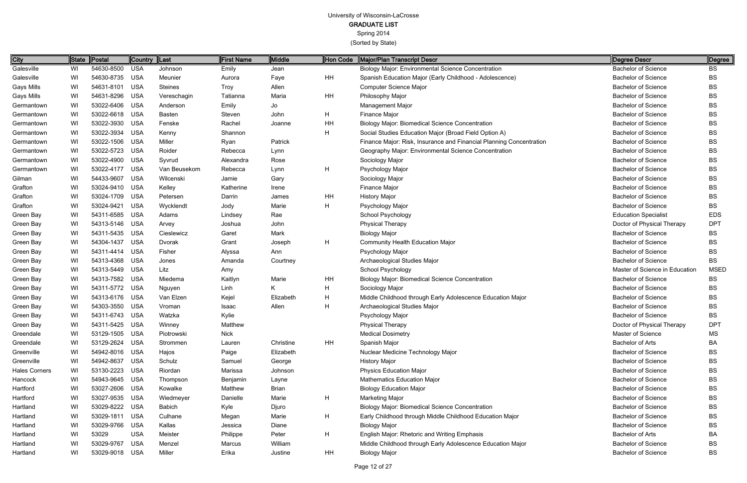| City                 |    | State Postal   | Country  Last |                | First Name  | <b>Middle</b> | Hon Code | Major/Plan Transcript Descr                                         | Degree Descr                   | Degree      |
|----------------------|----|----------------|---------------|----------------|-------------|---------------|----------|---------------------------------------------------------------------|--------------------------------|-------------|
| Galesville           | WI | 54630-8500     | USA           | Johnson        | Emily       | Jean          |          | <b>Biology Major: Environmental Science Concentration</b>           | <b>Bachelor of Science</b>     | ВS          |
| Galesville           | WI | 54630-8735 USA |               | Meunier        | Aurora      | Faye          | HH       | Spanish Education Major (Early Childhood - Adolescence)             | <b>Bachelor of Science</b>     | <b>BS</b>   |
| <b>Gays Mills</b>    | WI | 54631-8101 USA |               | <b>Steines</b> | <b>Troy</b> | Allen         |          | Computer Science Major                                              | <b>Bachelor of Science</b>     | <b>BS</b>   |
| <b>Gays Mills</b>    | WI | 54631-8296     | USA           | Vereschagin    | Tatianna    | Maria         | ΗH       | Philosophy Major                                                    | <b>Bachelor of Science</b>     | <b>BS</b>   |
| Germantown           | WI | 53022-6406 USA |               | Anderson       | Emily       | Jo            |          | Management Major                                                    | <b>Bachelor of Science</b>     | <b>BS</b>   |
| Germantown           | WI | 53022-6618 USA |               | <b>Basten</b>  | Steven      | John          | H.       | Finance Major                                                       | <b>Bachelor of Science</b>     | <b>BS</b>   |
| Germantown           | WI | 53022-3930 USA |               | Fenske         | Rachel      | Joanne        | ΗH       | <b>Biology Major: Biomedical Science Concentration</b>              | <b>Bachelor of Science</b>     | <b>BS</b>   |
| Germantown           | WI | 53022-3934     | <b>USA</b>    | Kenny          | Shannon     |               | H        | Social Studies Education Major (Broad Field Option A)               | <b>Bachelor of Science</b>     | <b>BS</b>   |
| Germantown           | WI | 53022-1506 USA |               | Miller         | Ryan        | Patrick       |          | Finance Major: Risk, Insurance and Financial Planning Concentration | <b>Bachelor of Science</b>     | <b>BS</b>   |
| Germantown           | WI | 53022-5723 USA |               | Roider         | Rebecca     | Lynn          |          | Geography Major: Environmental Science Concentration                | <b>Bachelor of Science</b>     | <b>BS</b>   |
| Germantown           | WI | 53022-4900 USA |               | Syvrud         | Alexandra   | Rose          |          | Sociology Major                                                     | <b>Bachelor of Science</b>     | <b>BS</b>   |
| Germantown           | WI | 53022-4177     | USA           | Van Beusekom   | Rebecca     | Lynn          | H        | Psychology Major                                                    | <b>Bachelor of Science</b>     | <b>BS</b>   |
| Gilman               | WI | 54433-9607     | USA           | Wilcenski      | Jamie       | Gary          |          | Sociology Major                                                     | <b>Bachelor of Science</b>     | <b>BS</b>   |
| Grafton              | WI | 53024-9410 USA |               | Kelley         | Katherine   | Irene         |          | Finance Major                                                       | <b>Bachelor of Science</b>     | <b>BS</b>   |
| Grafton              | WI | 53024-1709 USA |               | Petersen       | Darrin      | James         | ΗH       | <b>History Major</b>                                                | <b>Bachelor of Science</b>     | <b>BS</b>   |
| Grafton              | WI | 53024-9421     | USA           | Wycklendt      | Jody        | Marie         | Н        | Psychology Major                                                    | <b>Bachelor of Science</b>     | <b>BS</b>   |
| Green Bay            | WI | 54311-6585 USA |               | Adams          | Lindsey     | Rae           |          | <b>School Psychology</b>                                            | <b>Education Specialist</b>    | <b>EDS</b>  |
| Green Bay            | WI | 54313-5146 USA |               | Arvey          | Joshua      | John          |          | <b>Physical Therapy</b>                                             | Doctor of Physical Therapy     | <b>DPT</b>  |
| Green Bay            | WI | 54311-5435 USA |               | Cieslewicz     | Garet       | Mark          |          | <b>Biology Major</b>                                                | <b>Bachelor of Science</b>     | <b>BS</b>   |
| Green Bay            | WI | 54304-1437     | <b>USA</b>    | Dvorak         | Grant       | Joseph        | H        | Community Health Education Major                                    | <b>Bachelor of Science</b>     | <b>BS</b>   |
| Green Bay            | WI | 54311-4414 USA |               | Fisher         | Alyssa      | Ann           |          | Psychology Major                                                    | <b>Bachelor of Science</b>     | <b>BS</b>   |
| Green Bay            | WI | 54313-4368 USA |               | Jones          | Amanda      | Courtney      |          | Archaeological Studies Major                                        | <b>Bachelor of Science</b>     | <b>BS</b>   |
| Green Bay            | WI | 54313-5449 USA |               | Litz           | Amy         |               |          | School Psychology                                                   | Master of Science in Education | <b>MSED</b> |
| Green Bay            | WI | 54313-7582 USA |               | Miedema        | Kaitlyn     | Marie         | ΗH       | <b>Biology Major: Biomedical Science Concentration</b>              | <b>Bachelor of Science</b>     | <b>BS</b>   |
| Green Bay            | WI | 54311-5772 USA |               | Nguyen         | Linh        | K             | H        | Sociology Major                                                     | <b>Bachelor of Science</b>     | <b>BS</b>   |
| Green Bay            | WI | 54313-6176 USA |               | Van Elzen      | Kejel       | Elizabeth     | H        | Middle Childhood through Early Adolescence Education Major          | <b>Bachelor of Science</b>     | <b>BS</b>   |
| Green Bay            | WI | 54303-3550 USA |               | Vroman         | Isaac       | Allen         | Н        | Archaeological Studies Major                                        | <b>Bachelor of Science</b>     | <b>BS</b>   |
| Green Bay            | WI | 54311-6743 USA |               | Watzka         | Kylie       |               |          | Psychology Major                                                    | <b>Bachelor of Science</b>     | <b>BS</b>   |
| Green Bay            | WI | 54311-5425 USA |               | Winney         | Matthew     |               |          | <b>Physical Therapy</b>                                             | Doctor of Physical Therapy     | <b>DPT</b>  |
| Greendale            | WI | 53129-1505 USA |               | Piotrowski     | <b>Nick</b> |               |          | <b>Medical Dosimetry</b>                                            | Master of Science              | MS          |
| Greendale            | WI | 53129-2624 USA |               | Strommen       | Lauren      | Christine     | HH       | Spanish Major                                                       | Bachelor of Arts               | BA          |
| Greenville           | WI | 54942-8016 USA |               | Hajos          | Paige       | Elizabeth     |          | Nuclear Medicine Technology Major                                   | <b>Bachelor of Science</b>     | <b>BS</b>   |
| Greenville           | WI | 54942-8637 USA |               | Schulz         | Samuel      | George        |          | <b>History Major</b>                                                | <b>Bachelor of Science</b>     | <b>BS</b>   |
| <b>Hales Corners</b> | WI | 53130-2223 USA |               | Riordan        | Marissa     | Johnson       |          | <b>Physics Education Major</b>                                      | <b>Bachelor of Science</b>     | <b>BS</b>   |
| Hancock              | WI | 54943-9645 USA |               | Thompson       | Benjamin    | Layne         |          | <b>Mathematics Education Major</b>                                  | <b>Bachelor of Science</b>     | <b>BS</b>   |
| Hartford             | WI | 53027-2606 USA |               | Kowalke        | Matthew     | Brian         |          | <b>Biology Education Major</b>                                      | <b>Bachelor of Science</b>     | <b>BS</b>   |
| Hartford             | WI | 53027-9535 USA |               | Wiedmeyer      | Danielle    | Marie         | H        | <b>Marketing Major</b>                                              | <b>Bachelor of Science</b>     | <b>BS</b>   |
| Hartland             | WI | 53029-8222 USA |               | <b>Babich</b>  | Kyle        | Djuro         |          | <b>Biology Major: Biomedical Science Concentration</b>              | <b>Bachelor of Science</b>     | <b>BS</b>   |
| Hartland             | WI | 53029-1811 USA |               | Culhane        | Megan       | Marie         | H.       | Early Childhood through Middle Childhood Education Major            | <b>Bachelor of Science</b>     | <b>BS</b>   |
| Hartland             | WI | 53029-9766 USA |               | Kallas         | Jessica     | Diane         |          | <b>Biology Major</b>                                                | <b>Bachelor of Science</b>     | <b>BS</b>   |
| Hartland             | WI | 53029          | <b>USA</b>    | Meister        | Philippe    | Peter         | H.       | English Major: Rhetoric and Writing Emphasis                        | <b>Bachelor of Arts</b>        | BA          |
| Hartland             | WI | 53029-9767 USA |               | Menzel         | Marcus      | William       |          | Middle Childhood through Early Adolescence Education Major          | <b>Bachelor of Science</b>     | <b>BS</b>   |
| Hartland             | WI | 53029-9018 USA |               | Miller         | Erika       | Justine       | HH       | <b>Biology Major</b>                                                | <b>Bachelor of Science</b>     | BS          |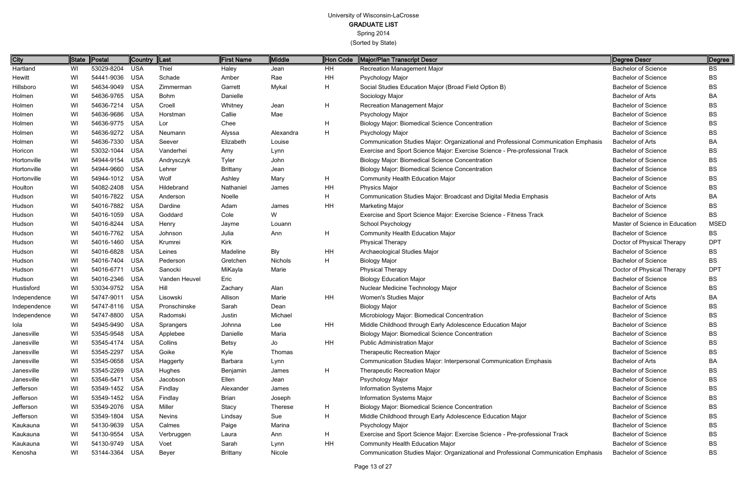Spring 2014

| <b>City</b>  |    | State Postal   | Country  Last |               | <b>First Name</b> | Middle         | Hon Code | Major/Plan Transcript Descr                                                         | Degree Descr                   | Degree      |
|--------------|----|----------------|---------------|---------------|-------------------|----------------|----------|-------------------------------------------------------------------------------------|--------------------------------|-------------|
| Hartland     | WI | 53029-8204 USA |               | Thiel         | Haley             | Jean           | HH       | Recreation Management Major                                                         | <b>Bachelor of Science</b>     | <b>BS</b>   |
| Hewitt       | WI | 54441-9036     | USA           | Schade        | Amber             | Rae            | HH       | Psychology Major                                                                    | <b>Bachelor of Science</b>     | <b>BS</b>   |
| Hillsboro    | WI | 54634-9049 USA |               | Zimmerman     | Garrett           | Mykal          | H        | Social Studies Education Major (Broad Field Option B)                               | <b>Bachelor of Science</b>     | BS          |
| Holmen       | WI | 54636-9765 USA |               | <b>Bohm</b>   | Danielle          |                |          | Sociology Major                                                                     | <b>Bachelor of Arts</b>        | BA          |
| Holmen       | WI | 54636-7214 USA |               | Croell        | Whitney           | Jean           | H        | Recreation Management Major                                                         | <b>Bachelor of Science</b>     | BS          |
| Holmen       | WI | 54636-9686 USA |               | Horstman      | Callie            | Mae            |          | Psychology Major                                                                    | <b>Bachelor of Science</b>     | <b>BS</b>   |
| Holmen       | WI | 54636-9775 USA |               | Lor           | Chee              |                | H        | <b>Biology Major: Biomedical Science Concentration</b>                              | <b>Bachelor of Science</b>     | BS          |
| Holmen       | WI | 54636-9272 USA |               | Neumann       | Alyssa            | Alexandra      | H        | Psychology Major                                                                    | <b>Bachelor of Science</b>     | BS          |
| Holmen       | WI | 54636-7330 USA |               | Seever        | Elizabeth         | Louise         |          | Communication Studies Major: Organizational and Professional Communication Emphasis | <b>Bachelor of Arts</b>        | BA          |
| Horicon      | WI | 53032-1044 USA |               | Vanderhei     | Amy               | Lynn           |          | Exercise and Sport Science Major: Exercise Science - Pre-professional Track         | <b>Bachelor of Science</b>     | <b>BS</b>   |
| Hortonville  | WI | 54944-9154 USA |               | Andrysczyk    | Tyler             | John           |          | <b>Biology Major: Biomedical Science Concentration</b>                              | <b>Bachelor of Science</b>     | BS          |
| Hortonville  | WI | 54944-9660     | USA           | Lehrer        | <b>Brittany</b>   | Jean           |          | <b>Biology Major: Biomedical Science Concentration</b>                              | <b>Bachelor of Science</b>     | <b>BS</b>   |
| Hortonville  | WI | 54944-1012 USA |               | Wolf          | Ashley            | Mary           | H        | <b>Community Health Education Major</b>                                             | <b>Bachelor of Science</b>     | BS          |
| Houlton      | WI | 54082-2408 USA |               | Hildebrand    | Nathaniel         | James          | HH       | <b>Physics Major</b>                                                                | <b>Bachelor of Science</b>     | <b>BS</b>   |
| Hudson       | WI | 54016-7822 USA |               | Anderson      | Noelle            |                | н        | Communication Studies Major: Broadcast and Digital Media Emphasis                   | <b>Bachelor of Arts</b>        | BA          |
| Hudson       | WI | 54016-7882 USA |               | Dardine       | Adam              | James          | HH       | <b>Marketing Major</b>                                                              | <b>Bachelor of Science</b>     | <b>BS</b>   |
| Hudson       | WI | 54016-1059 USA |               | Goddard       | Cole              | W              |          | Exercise and Sport Science Major: Exercise Science - Fitness Track                  | <b>Bachelor of Science</b>     | <b>BS</b>   |
| Hudson       | WI | 54016-8244 USA |               | Henry         | Jayme             | Louann         |          | School Psychology                                                                   | Master of Science in Education | <b>MSED</b> |
| Hudson       | WI | 54016-7762 USA |               | Johnson       | Julia             | Ann            | H        | <b>Community Health Education Major</b>                                             | <b>Bachelor of Science</b>     | <b>BS</b>   |
| Hudson       | WI | 54016-1460 USA |               | Krumrei       | Kirk              |                |          | <b>Physical Therapy</b>                                                             | Doctor of Physical Therapy     | <b>DPT</b>  |
| Hudson       | WI | 54016-6828 USA |               | Leines        | Madeline          | <b>Bly</b>     | HH       | Archaeological Studies Major                                                        | <b>Bachelor of Science</b>     | <b>BS</b>   |
| Hudson       | WI | 54016-7404 USA |               | Pederson      | Gretchen          | Nichols        | H        | <b>Biology Major</b>                                                                | <b>Bachelor of Science</b>     | BS          |
| Hudson       | WI | 54016-6771 USA |               | Sanocki       | MiKayla           | Marie          |          | <b>Physical Therapy</b>                                                             | Doctor of Physical Therapy     | <b>DPT</b>  |
| Hudson       | WI | 54016-2346 USA |               | Vanden Heuvel | Eric              |                |          | <b>Biology Education Major</b>                                                      | <b>Bachelor of Science</b>     | <b>BS</b>   |
| Hustisford   | WI | 53034-9752 USA |               | Hill          | Zachary           | Alan           |          | Nuclear Medicine Technology Major                                                   | <b>Bachelor of Science</b>     | BS          |
| Independence | WI | 54747-9011     | <b>USA</b>    | Lisowski      | Allison           | Marie          | HH       | Women's Studies Major                                                               | <b>Bachelor of Arts</b>        | BA          |
| Independence | WI | 54747-8116 USA |               | Pronschinske  | Sarah             | Dean           |          | <b>Biology Major</b>                                                                | <b>Bachelor of Science</b>     | BS          |
| Independence | WI | 54747-8800 USA |               | Radomski      | Justin            | Michael        |          | Microbiology Major: Biomedical Concentration                                        | <b>Bachelor of Science</b>     | <b>BS</b>   |
| lola         | WI | 54945-9490 USA |               | Sprangers     | Johnna            | Lee            | HH       | Middle Childhood through Early Adolescence Education Major                          | <b>Bachelor of Science</b>     | <b>BS</b>   |
| Janesville   | WI | 53545-9548 USA |               | Applebee      | Danielle          | Maria          |          | <b>Biology Major: Biomedical Science Concentration</b>                              | <b>Bachelor of Science</b>     | BS          |
| Janesville   | WI | 53545-4174 USA |               | Collins       | <b>Betsy</b>      | Jo             | HH       | <b>Public Administration Major</b>                                                  | <b>Bachelor of Science</b>     | BS          |
| Janesville   | WI | 53545-2297 USA |               | Goike         | Kyle              | Thomas         |          | <b>Therapeutic Recreation Major</b>                                                 | <b>Bachelor of Science</b>     | BS          |
| Janesville   | WI | 53545-0658 USA |               | Haggerty      | Barbara           | Lynn           |          | Communication Studies Major: Interpersonal Communication Emphasis                   | Bachelor of Arts               | BA          |
| Janesville   | WI | 53545-2269 USA |               | Hughes        | Benjamin          | James          | H        | <b>Therapeutic Recreation Major</b>                                                 | <b>Bachelor of Science</b>     | BS          |
| Janesville   | WI | 53546-5471 USA |               | Jacobson      | Ellen             | Jean           |          | Psychology Major                                                                    | <b>Bachelor of Science</b>     | BS          |
| Jefferson    | WI | 53549-1452 USA |               | Findlay       | Alexander         | James          |          | Information Systems Major                                                           | <b>Bachelor of Science</b>     | BS          |
| Jefferson    | WI | 53549-1452 USA |               | Findlay       | <b>Brian</b>      | Joseph         |          | Information Systems Major                                                           | <b>Bachelor of Science</b>     | BS          |
| Jefferson    | WI | 53549-2076 USA |               | Miller        | Stacy             | <b>Therese</b> | H        | <b>Biology Major: Biomedical Science Concentration</b>                              | <b>Bachelor of Science</b>     | BS          |
| Jefferson    | WI | 53549-1804 USA |               | <b>Nevins</b> | Lindsay           | Sue            | H        | Middle Childhood through Early Adolescence Education Major                          | <b>Bachelor of Science</b>     | BS          |
| Kaukauna     | WI | 54130-9639 USA |               | Calmes        | Paige             | Marina         |          | Psychology Major                                                                    | <b>Bachelor of Science</b>     | BS          |
| Kaukauna     | WI | 54130-9554 USA |               | Verbruggen    | Laura             | Ann            | H        | Exercise and Sport Science Major: Exercise Science - Pre-professional Track         | <b>Bachelor of Science</b>     | BS          |
| Kaukauna     | WI | 54130-9749 USA |               | Voet          | Sarah             | Lynn           | HH       | <b>Community Health Education Major</b>                                             | <b>Bachelor of Science</b>     | BS          |
| Kenosha      | WI | 53144-3364 USA |               | Beyer         | <b>Brittany</b>   | Nicole         |          | Communication Studies Major: Organizational and Professional Communication Emphasis | <b>Bachelor of Science</b>     | BS          |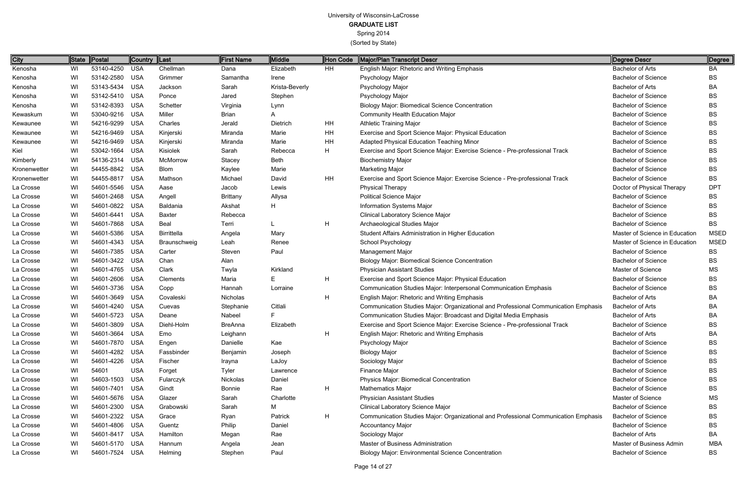| City         |    | State Postal   | Country  Last |                    | <b>First Name</b> | Middle         | Hon Code | Major/Plan Transcript Descr                                                         | Degree Descr                   | ∥Degree     |
|--------------|----|----------------|---------------|--------------------|-------------------|----------------|----------|-------------------------------------------------------------------------------------|--------------------------------|-------------|
| Kenosha      | WI | 53140-4250     | USA           | Chellman           | Dana              | Elizabeth      | HH       | English Major: Rhetoric and Writing Emphasis                                        | <b>Bachelor of Arts</b>        | BA          |
| Kenosha      | WI | 53142-2580 USA |               | Grimmer            | Samantha          | Irene          |          | Psychology Major                                                                    | <b>Bachelor of Science</b>     | <b>BS</b>   |
| Kenosha      | WI | 53143-5434 USA |               | Jackson            | Sarah             | Krista-Beverly |          | Psychology Major                                                                    | <b>Bachelor of Arts</b>        | BA          |
| Kenosha      | WI | 53142-5410     | USA           | Ponce              | Jared             | Stephen        |          | Psychology Major                                                                    | <b>Bachelor of Science</b>     | BS          |
| Kenosha      | WI | 53142-8393 USA |               | Schetter           | Virginia          | Lynn           |          | <b>Biology Major: Biomedical Science Concentration</b>                              | <b>Bachelor of Science</b>     | BS          |
| Kewaskum     | WI | 53040-9216 USA |               | Miller             | Brian             | A              |          | <b>Community Health Education Major</b>                                             | <b>Bachelor of Science</b>     | <b>BS</b>   |
| Kewaunee     | WI | 54216-9299 USA |               | Charles            | Jerald            | Dietrich       | HH       | <b>Athletic Training Major</b>                                                      | <b>Bachelor of Science</b>     | BS          |
| Kewaunee     | WI | 54216-9469     | USA           | Kinjerski          | Miranda           | Marie          | HH       | Exercise and Sport Science Major: Physical Education                                | <b>Bachelor of Science</b>     | BS          |
| Kewaunee     | WI | 54216-9469 USA |               | Kinjerski          | Miranda           | Marie          | HH       | <b>Adapted Physical Education Teaching Minor</b>                                    | <b>Bachelor of Science</b>     | BS          |
| Kiel         | WI | 53042-1664 USA |               | Kisiolek           | Sarah             | Rebecca        | H        | Exercise and Sport Science Major: Exercise Science - Pre-professional Track         | <b>Bachelor of Science</b>     | BS          |
| Kimberly     | WI | 54136-2314 USA |               | McMorrow           | Stacey            | <b>Beth</b>    |          | <b>Biochemistry Major</b>                                                           | <b>Bachelor of Science</b>     | BS          |
| Kronenwetter | WI | 54455-8842 USA |               | <b>Blom</b>        | Kaylee            | Marie          |          | <b>Marketing Major</b>                                                              | <b>Bachelor of Science</b>     | <b>BS</b>   |
| Kronenwetter | WI | 54455-8817 USA |               | Mathson            | Michael           | David          | HH       | Exercise and Sport Science Major: Exercise Science - Pre-professional Track         | <b>Bachelor of Science</b>     | <b>BS</b>   |
| La Crosse    | WI | 54601-5546 USA |               | Aase               | Jacob             | Lewis          |          | <b>Physical Therapy</b>                                                             | Doctor of Physical Therapy     | <b>DPT</b>  |
| La Crosse    | WI | 54601-2468 USA |               | Angell             | <b>Brittany</b>   | Allysa         |          | <b>Political Science Major</b>                                                      | <b>Bachelor of Science</b>     | BS          |
| La Crosse    | WI | 54601-0822     | USA           | Baldania           | Akshat            | H              |          | Information Systems Major                                                           | <b>Bachelor of Science</b>     | BS          |
| La Crosse    | WI | 54601-6441     | USA           | Baxter             | Rebecca           |                |          | Clinical Laboratory Science Major                                                   | <b>Bachelor of Science</b>     | BS          |
| La Crosse    | WI | 54601-7868     | USA           | Beal               | Terri             |                | H        | Archaeological Studies Major                                                        | <b>Bachelor of Science</b>     | <b>BS</b>   |
| La Crosse    | WI | 54601-5386     | USA           | <b>Birrittella</b> | Angela            | Mary           |          | Student Affairs Administration in Higher Education                                  | Master of Science in Education | MSED        |
| La Crosse    | WI | 54601-4343 USA |               | Braunschweig       | Leah              | Renee          |          | School Psychology                                                                   | Master of Science in Education | <b>MSED</b> |
| La Crosse    | WI | 54601-7385 USA |               | Carter             | Steven            | Paul           |          | Management Major                                                                    | <b>Bachelor of Science</b>     | <b>BS</b>   |
| La Crosse    | WI | 54601-3422 USA |               | Chan               | Alan              |                |          | <b>Biology Major: Biomedical Science Concentration</b>                              | <b>Bachelor of Science</b>     | BS          |
| La Crosse    | WI | 54601-4765 USA |               | Clark              | Twyla             | Kirkland       |          | <b>Physician Assistant Studies</b>                                                  | <b>Master of Science</b>       | МS          |
| La Crosse    | WI | 54601-2606 USA |               | Clements           | Maria             | Е              | H        | Exercise and Sport Science Major: Physical Education                                | <b>Bachelor of Science</b>     | BS          |
| La Crosse    | WI | 54601-3736 USA |               | Copp               | Hannah            | Lorraine       |          | Communication Studies Major: Interpersonal Communication Emphasis                   | <b>Bachelor of Science</b>     | BS          |
| La Crosse    | WI | 54601-3649 USA |               | Covaleski          | Nicholas          |                | H        | English Major: Rhetoric and Writing Emphasis                                        | <b>Bachelor of Arts</b>        | BA          |
| La Crosse    | WI | 54601-4240 USA |               | Cuevas             | Stephanie         | Citlali        |          | Communication Studies Major: Organizational and Professional Communication Emphasis | <b>Bachelor of Arts</b>        | BA          |
| La Crosse    | WI | 54601-5723 USA |               | Deane              | Nabeel            |                |          | Communication Studies Major: Broadcast and Digital Media Emphasis                   | <b>Bachelor of Arts</b>        | BA          |
| La Crosse    | WI | 54601-3809 USA |               | Diehl-Holm         | <b>BreAnna</b>    | Elizabeth      |          | Exercise and Sport Science Major: Exercise Science - Pre-professional Track         | <b>Bachelor of Science</b>     | ВS          |
| La Crosse    | WI | 54601-3664 USA |               | Emo                | Leighann          |                | H        | English Major: Rhetoric and Writing Emphasis                                        | Bachelor of Arts               | BA          |
| La Crosse    | WI | 54601-7870 USA |               | Engen              | Danielle          | Kae            |          | Psychology Major                                                                    | <b>Bachelor of Science</b>     | BS          |
| La Crosse    | WI | 54601-4282 USA |               | Fassbinder         | Benjamin          | Joseph         |          | <b>Biology Major</b>                                                                | <b>Bachelor of Science</b>     | BS          |
| La Crosse    | WI | 54601-4226 USA |               | Fischer            | Irayna            | LaJoy          |          | Sociology Major                                                                     | <b>Bachelor of Science</b>     | BS          |
| La Crosse    | WI | 54601          | <b>USA</b>    | Forget             | Tyler             | Lawrence       |          | Finance Major                                                                       | <b>Bachelor of Science</b>     | BS          |
| La Crosse    | WI | 54603-1503 USA |               | Fularczyk          | Nickolas          | Daniel         |          | Physics Major: Biomedical Concentration                                             | <b>Bachelor of Science</b>     | BS          |
| La Crosse    | WI | 54601-7401 USA |               | Gindt              | <b>Bonnie</b>     | Rae            | H        | <b>Mathematics Major</b>                                                            | <b>Bachelor of Science</b>     | BS          |
| La Crosse    | WI | 54601-5676 USA |               | Glazer             | Sarah             | Charlotte      |          | <b>Physician Assistant Studies</b>                                                  | Master of Science              | MS          |
| La Crosse    | WI | 54601-2300 USA |               | Grabowski          | Sarah             | Μ              |          | Clinical Laboratory Science Major                                                   | <b>Bachelor of Science</b>     | BS          |
| La Crosse    | WI | 54601-2322 USA |               | Grace              | Ryan              | Patrick        | H        | Communication Studies Major: Organizational and Professional Communication Emphasis | <b>Bachelor of Science</b>     | BS          |
| La Crosse    | WI | 54601-4806 USA |               | Guentz             | Philip            | Daniel         |          | <b>Accountancy Major</b>                                                            | <b>Bachelor of Science</b>     | BS          |
| La Crosse    | WI | 54601-8417 USA |               | Hamilton           | Megan             | Rae            |          | Sociology Major                                                                     | <b>Bachelor of Arts</b>        | BA          |
| La Crosse    | WI | 54601-5170 USA |               | Hannum             | Angela            | Jean           |          | Master of Business Administration                                                   | Master of Business Admin       | MBA         |
| La Crosse    | WI | 54601-7524 USA |               | <b>Helming</b>     | Stephen           | Paul           |          | <b>Biology Major: Environmental Science Concentration</b>                           | <b>Bachelor of Science</b>     | BS          |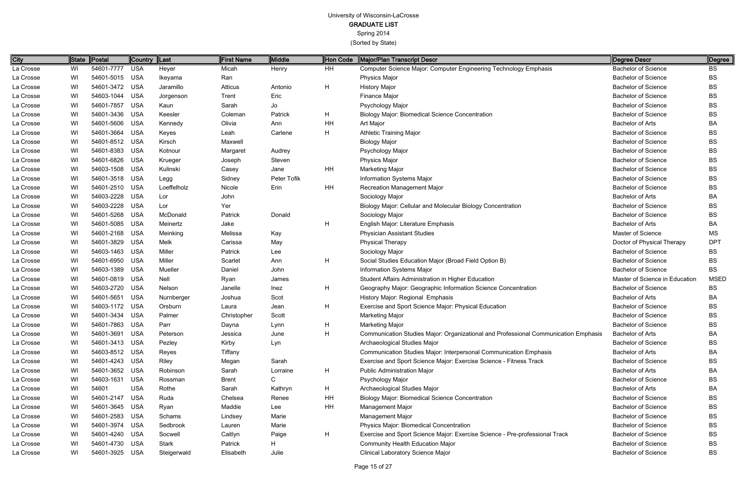Spring 2014

| <b>City</b> | State | Postal         | Country Last |             | <b>First Name</b> | Middle      | Hon Code | Major/Plan Transcript Descr                                                         | Degree Descr                   | Degree      |
|-------------|-------|----------------|--------------|-------------|-------------------|-------------|----------|-------------------------------------------------------------------------------------|--------------------------------|-------------|
| La Crosse   | WI    | 54601-7777     | USA          | Heyer       | Micah             | Henry       | HH       | Computer Science Major: Computer Engineering Technology Emphasis                    | <b>Bachelor of Science</b>     | BS          |
| La Crosse   | WI    | 54601-5015 USA |              | Ikeyama     | Ran               |             |          | <b>Physics Major</b>                                                                | <b>Bachelor of Science</b>     | <b>BS</b>   |
| La Crosse   | WI    | 54601-3472 USA |              | Jaramillo   | Atticus           | Antonio     | H        | <b>History Major</b>                                                                | <b>Bachelor of Science</b>     | BS          |
| La Crosse   | WI    | 54603-1044 USA |              | Jorgenson   | Trent             | Eric        |          | Finance Major                                                                       | <b>Bachelor of Science</b>     | BS          |
| La Crosse   | WI    | 54601-7857     | USA          | Kaun        | Sarah             | Jo          |          | Psychology Major                                                                    | <b>Bachelor of Science</b>     | BS          |
| La Crosse   | WI    | 54601-3436 USA |              | Keesler     | Coleman           | Patrick     | H.       | <b>Biology Major: Biomedical Science Concentration</b>                              | <b>Bachelor of Science</b>     | <b>BS</b>   |
| La Crosse   | WI    | 54601-5606 USA |              | Kennedy     | Olivia            | Ann         | HH       | Art Major                                                                           | <b>Bachelor of Arts</b>        | BA          |
| La Crosse   | WI    | 54601-3664 USA |              | Keyes       | Leah              | Carlene     | H        | <b>Athletic Training Major</b>                                                      | <b>Bachelor of Science</b>     | BS          |
| La Crosse   | WI    | 54601-8512 USA |              | Kirsch      | Maxwell           |             |          | <b>Biology Major</b>                                                                | <b>Bachelor of Science</b>     | BS          |
| La Crosse   | WI    | 54601-8383 USA |              | Kotnour     | Margaret          | Audrey      |          | Psychology Major                                                                    | <b>Bachelor of Science</b>     | BS          |
| La Crosse   | WI    | 54601-6826 USA |              | Krueger     | Joseph            | Steven      |          | <b>Physics Major</b>                                                                | <b>Bachelor of Science</b>     | BS          |
| La Crosse   | WI    | 54603-1508 USA |              | Kulinski    | Casey             | Jane        | HH       | <b>Marketing Major</b>                                                              | <b>Bachelor of Science</b>     | BS          |
| La Crosse   | WI    | 54601-3518 USA |              | Legg        | Sidney            | Peter Tofik |          | <b>Information Systems Major</b>                                                    | <b>Bachelor of Science</b>     | BS          |
| La Crosse   | WI    | 54601-2510 USA |              | Loeffelholz | Nicole            | Erin        | HH       | <b>Recreation Management Major</b>                                                  | <b>Bachelor of Science</b>     | BS          |
| La Crosse   | WI    | 54603-2228     | USA          | Lor         | John              |             |          | Sociology Major                                                                     | <b>Bachelor of Arts</b>        | BA          |
| La Crosse   | WI    | 54603-2228     | <b>USA</b>   | Lor         | Yer               |             |          | Biology Major: Cellular and Molecular Biology Concentration                         | <b>Bachelor of Science</b>     | <b>BS</b>   |
| La Crosse   | WI    | 54601-5268 USA |              | McDonald    | Patrick           | Donald      |          | Sociology Major                                                                     | <b>Bachelor of Science</b>     | BS          |
| La Crosse   | WI    | 54601-5085 USA |              | Meinertz    | Jake              |             | H        | English Major: Literature Emphasis                                                  | <b>Bachelor of Arts</b>        | BA          |
| La Crosse   | WI    | 54601-2168 USA |              | Meinking    | Melissa           | Kay         |          | <b>Physician Assistant Studies</b>                                                  | Master of Science              | <b>MS</b>   |
| La Crosse   | WI    | 54601-3829     | USA          | Melk        | Carissa           | May         |          | <b>Physical Therapy</b>                                                             | Doctor of Physical Therapy     | <b>DPT</b>  |
| La Crosse   | WI    | 54603-1463 USA |              | Miller      | Patrick           | Lee         |          | Sociology Major                                                                     | <b>Bachelor of Science</b>     | BS          |
| La Crosse   | WI    | 54601-6950 USA |              | Miller      | Scarlet           | Ann         | H        | Social Studies Education Major (Broad Field Option B)                               | <b>Bachelor of Science</b>     | BS          |
| La Crosse   | WI    | 54603-1389 USA |              | Mueller     | Daniel            | John        |          | Information Systems Major                                                           | <b>Bachelor of Science</b>     | <b>BS</b>   |
| La Crosse   | WI    | 54601-0819 USA |              | Nell        | Ryan              | James       |          | Student Affairs Administration in Higher Education                                  | Master of Science in Education | <b>MSED</b> |
| La Crosse   | WI    | 54603-2720 USA |              | Nelson      | Janelle           | Inez        | H        | Geography Major: Geographic Information Science Concentration                       | <b>Bachelor of Science</b>     | <b>BS</b>   |
| La Crosse   | WI    | 54601-5651 USA |              | Nurnberger  | Joshua            | Scot        |          | History Major: Regional Emphasis                                                    | <b>Bachelor of Arts</b>        | BA          |
| La Crosse   | WI    | 54603-1172 USA |              | Orsburn     | Laura             | Jean        | H        | Exercise and Sport Science Major: Physical Education                                | <b>Bachelor of Science</b>     | BS          |
| La Crosse   | WI    | 54601-3434 USA |              | Palmer      | Christopher       | Scott       |          | <b>Marketing Major</b>                                                              | <b>Bachelor of Science</b>     | BS          |
| La Crosse   | WI    | 54601-7863     | <b>USA</b>   | Parr        | Dayna             | Lynn        | H        | <b>Marketing Major</b>                                                              | <b>Bachelor of Science</b>     | <b>BS</b>   |
| La Crosse   | WI    | 54601-3691 USA |              | Peterson    | Jessica           | June        | H        | Communication Studies Major: Organizational and Professional Communication Emphasis | <b>Bachelor of Arts</b>        | BA          |
| La Crosse   | WI    | 54601-3413 USA |              | Pezley      | Kirby             | Lyn         |          | Archaeological Studies Major                                                        | <b>Bachelor of Science</b>     | BS          |
| La Crosse   | WI    | 54603-8512 USA |              | Reyes       | Tiffany           |             |          | Communication Studies Major: Interpersonal Communication Emphasis                   | <b>Bachelor of Arts</b>        | BA          |
| La Crosse   | WI    | 54601-4243 USA |              | Riley       | Megan             | Sarah       |          | Exercise and Sport Science Major: Exercise Science - Fitness Track                  | <b>Bachelor of Science</b>     | <b>BS</b>   |
| La Crosse   | WI    | 54601-3652 USA |              | Robinson    | Sarah             | Lorraine    | H        | <b>Public Administration Major</b>                                                  | <b>Bachelor of Arts</b>        | BA          |
| La Crosse   | WI    | 54603-1631 USA |              | Rossman     | <b>Brent</b>      | C           |          | Psychology Major                                                                    | <b>Bachelor of Science</b>     | BS          |
| La Crosse   | WI    | 54601          | <b>USA</b>   | Rothe       | Sarah             | Kathryn     | H.       | Archaeological Studies Major                                                        | <b>Bachelor of Arts</b>        | BA          |
| La Crosse   | WI    | 54601-2147 USA |              | Ruda        | Chelsea           | Renee       | HH       | <b>Biology Major: Biomedical Science Concentration</b>                              | <b>Bachelor of Science</b>     | BS          |
| La Crosse   | WI    | 54601-3645 USA |              | Ryan        | Maddie            | Lee         | HH       | Management Major                                                                    | <b>Bachelor of Science</b>     | BS          |
| La Crosse   | WI    | 54601-2583 USA |              | Schams      | Lindsey           | Marie       |          | Management Major                                                                    | <b>Bachelor of Science</b>     | BS          |
| La Crosse   | WI    | 54601-3974 USA |              | Sedbrook    | Lauren            | Marie       |          | Physics Major: Biomedical Concentration                                             | <b>Bachelor of Science</b>     | <b>BS</b>   |
| La Crosse   | WI    | 54601-4240 USA |              | Socwell     | Caitlyn           | Paige       | H        | Exercise and Sport Science Major: Exercise Science - Pre-professional Track         | <b>Bachelor of Science</b>     | BS          |
| La Crosse   | WI    | 54601-4730 USA |              | Stark       | Patrick           | H           |          | <b>Community Health Education Major</b>                                             | <b>Bachelor of Science</b>     | BS          |
| La Crosse   | WI    | 54601-3925 USA |              | Steigerwald | Elisabeth         | Julie       |          | Clinical Laboratory Science Major                                                   | <b>Bachelor of Science</b>     | BS          |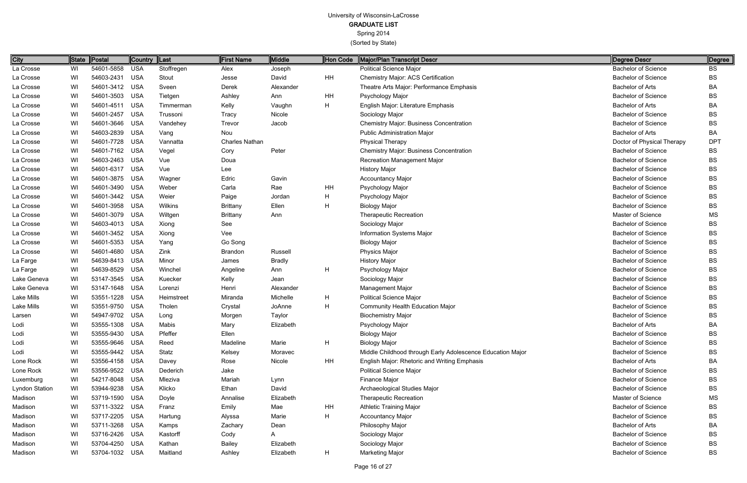| Degree Descr               | Degree    |
|----------------------------|-----------|
| <b>Bachelor of Science</b> | <b>BS</b> |
| <b>Bachelor of Science</b> | BS        |
| <b>Bachelor of Arts</b>    | ВA        |
| <b>Bachelor of Science</b> | BS        |
| <b>Bachelor of Arts</b>    | BA        |
| <b>Bachelor of Science</b> | BS        |
| <b>Bachelor of Science</b> | BS        |
| <b>Bachelor of Arts</b>    | BA        |
| Doctor of Physical Therapy | DPT       |
| <b>Bachelor of Science</b> | BS        |
| <b>Bachelor of Science</b> | BS        |
| <b>Bachelor of Science</b> | BS        |
| <b>Bachelor of Science</b> | BS        |
| <b>Bachelor of Science</b> | BS        |
| <b>Bachelor of Science</b> | BS        |
| <b>Bachelor of Science</b> | BS        |
| <b>Master of Science</b>   | MS        |
| <b>Bachelor of Science</b> | BS        |
| <b>Bachelor of Science</b> | BS        |
| <b>Bachelor of Science</b> | BS        |
| <b>Bachelor of Science</b> | BS        |
| <b>Bachelor of Science</b> | BS        |
| <b>Bachelor of Science</b> | BS        |
| <b>Bachelor of Science</b> | BS        |
| <b>Bachelor of Science</b> | BS        |
| <b>Bachelor of Science</b> | BS        |
| <b>Bachelor of Science</b> | BS        |
| <b>Bachelor of Science</b> | BS        |
| <b>Bachelor of Arts</b>    | ΒA        |
| <b>Bachelor of Science</b> | BS        |
| <b>Bachelor of Science</b> | BS        |
| <b>Bachelor of Science</b> | BS        |
| Bachelor of Arts           | BA        |
| <b>Bachelor of Science</b> | BS        |
| <b>Bachelor of Science</b> | BS        |
| <b>Bachelor of Science</b> | BS        |
| Master of Science          | MS        |
| <b>Bachelor of Science</b> | BS        |
| <b>Bachelor of Science</b> | BS        |
| Bachelor of Arts           | BA        |
| <b>Bachelor of Science</b> | BS        |
| <b>Bachelor of Science</b> | BS        |
| <b>Bachelor of Science</b> | BS        |

| City           | State | Postal         | Country  Last |            | First Name            | Middle         | Hon Code     | Major/Plan Transcript Descr                                | Degree Descr               | Degree     |
|----------------|-------|----------------|---------------|------------|-----------------------|----------------|--------------|------------------------------------------------------------|----------------------------|------------|
| La Crosse      | WI    | 54601-5858     | <b>USA</b>    | Stoffregen | Alex                  | Joseph         |              | <b>Political Science Major</b>                             | <b>Bachelor of Science</b> | <b>BS</b>  |
| La Crosse      | WI    | 54603-2431     | <b>USA</b>    | Stout      | Jesse                 | David          | HH           | Chemistry Major: ACS Certification                         | <b>Bachelor of Science</b> | <b>BS</b>  |
| La Crosse      | WI    | 54601-3412     | <b>USA</b>    | Sveen      | Derek                 | Alexander      |              | Theatre Arts Major: Performance Emphasis                   | <b>Bachelor of Arts</b>    | BA         |
| La Crosse      | WI    | 54601-3503     | <b>USA</b>    | Tietgen    | Ashley                | Ann            | HH           | Psychology Major                                           | <b>Bachelor of Science</b> | <b>BS</b>  |
| La Crosse      | WI    | 54601-4511     | <b>USA</b>    | Timmerman  | Kelly                 | Vaughn         | H            | English Major: Literature Emphasis                         | <b>Bachelor of Arts</b>    | BA         |
| La Crosse      | WI    | 54601-2457     | <b>USA</b>    | Trussoni   | Tracy                 | Nicole         |              | Sociology Major                                            | <b>Bachelor of Science</b> | <b>BS</b>  |
| La Crosse      | WI    | 54601-3646     | <b>USA</b>    | Vandehey   | Trevor                | Jacob          |              | <b>Chemistry Major: Business Concentration</b>             | <b>Bachelor of Science</b> | BS.        |
| La Crosse      | WI    | 54603-2839     | <b>USA</b>    | Vang       | Nou                   |                |              | <b>Public Administration Major</b>                         | <b>Bachelor of Arts</b>    | BA         |
| La Crosse      | WI    | 54601-7728     | <b>USA</b>    | Vannatta   | <b>Charles Nathan</b> |                |              | <b>Physical Therapy</b>                                    | Doctor of Physical Therapy | <b>DPT</b> |
| La Crosse      | WI    | 54601-7162     | <b>USA</b>    | Vegel      | Cory                  | Peter          |              | <b>Chemistry Major: Business Concentration</b>             | <b>Bachelor of Science</b> | <b>BS</b>  |
| La Crosse      | WI    | 54603-2463     | <b>USA</b>    | Vue        | Doua                  |                |              | Recreation Management Major                                | <b>Bachelor of Science</b> | <b>BS</b>  |
| La Crosse      | WI    | 54601-6317     | <b>USA</b>    | Vue        | Lee                   |                |              | <b>History Major</b>                                       | <b>Bachelor of Science</b> | BS         |
| La Crosse      | WI    | 54601-3875     | <b>USA</b>    | Wagner     | Edric                 | Gavin          |              | <b>Accountancy Major</b>                                   | <b>Bachelor of Science</b> | <b>BS</b>  |
| La Crosse      | WI    | 54601-3490     | <b>USA</b>    | Weber      | Carla                 | Rae            | HH           | Psychology Major                                           | <b>Bachelor of Science</b> | <b>BS</b>  |
| La Crosse      | WI    | 54601-3442     | <b>USA</b>    | Weier      | Paige                 | Jordan         | H            | Psychology Major                                           | <b>Bachelor of Science</b> | <b>BS</b>  |
| La Crosse      | WI    | 54601-3958     | <b>USA</b>    | Wilkins    | <b>Brittany</b>       | Ellen          | $\mathsf{H}$ | <b>Biology Major</b>                                       | <b>Bachelor of Science</b> | <b>BS</b>  |
| La Crosse      | WI    | 54601-3079     | <b>USA</b>    | Wiltgen    | <b>Brittany</b>       | Ann            |              | <b>Therapeutic Recreation</b>                              | Master of Science          | MS         |
| La Crosse      | WI    | 54603-4013     | <b>USA</b>    | Xiong      | See                   |                |              | Sociology Major                                            | <b>Bachelor of Science</b> | <b>BS</b>  |
| La Crosse      | WI    | 54601-3452     | <b>USA</b>    | Xiong      | Vee                   |                |              | Information Systems Major                                  | <b>Bachelor of Science</b> | <b>BS</b>  |
| La Crosse      | WI    | 54601-5353     | <b>USA</b>    | Yang       | Go Song               |                |              | <b>Biology Major</b>                                       | <b>Bachelor of Science</b> | <b>BS</b>  |
| La Crosse      | WI    | 54601-4680     | <b>USA</b>    | Zink       | Brandon               | <b>Russell</b> |              | <b>Physics Major</b>                                       | <b>Bachelor of Science</b> | <b>BS</b>  |
| La Farge       | WI    | 54639-8413     | <b>USA</b>    | Minor      | James                 | <b>Bradly</b>  |              | <b>History Major</b>                                       | <b>Bachelor of Science</b> | <b>BS</b>  |
| La Farge       | WI    | 54639-8529     | <b>USA</b>    | Winchel    | Angeline              | Ann            | H            | Psychology Major                                           | <b>Bachelor of Science</b> | <b>BS</b>  |
| Lake Geneva    | WI    | 53147-3545     | <b>USA</b>    | Kuecker    | Kelly                 | Jean           |              | Sociology Major                                            | <b>Bachelor of Science</b> | BS         |
| Lake Geneva    | WI    | 53147-1648     | <b>USA</b>    | Lorenzi    | Henri                 | Alexander      |              | Management Major                                           | <b>Bachelor of Science</b> | <b>BS</b>  |
| Lake Mills     | WI    | 53551-1228     | <b>USA</b>    | Heimstreet | Miranda               | Michelle       | H            | <b>Political Science Major</b>                             | <b>Bachelor of Science</b> | <b>BS</b>  |
| Lake Mills     | WI    | 53551-9750     | <b>USA</b>    | Tholen     | Crystal               | JoAnne         | H            | <b>Community Health Education Major</b>                    | <b>Bachelor of Science</b> | BS         |
| Larsen         | WI    | 54947-9702     | <b>USA</b>    | Long       | Morgen                | Taylor         |              | <b>Biochemistry Major</b>                                  | <b>Bachelor of Science</b> | BS         |
| Lodi           | WI    | 53555-1308 USA |               | Mabis      | Mary                  | Elizabeth      |              | Psychology Major                                           | <b>Bachelor of Arts</b>    | BA.        |
| Lodi           | WI    | 53555-9430 USA |               | Pfeffer    | Ellen                 |                |              | <b>Biology Major</b>                                       | <b>Bachelor of Science</b> | BS         |
| Lodi           | WI    | 53555-9646     | USA           | Reed       | Madeline              | Marie          | H            | <b>Biology Major</b>                                       | <b>Bachelor of Science</b> | BS         |
| Lodi           | WI    | 53555-9442 USA |               | Statz      | Kelsey                | Moravec        |              | Middle Childhood through Early Adolescence Education Major | <b>Bachelor of Science</b> | BS         |
| Lone Rock      | WI    | 53556-4158 USA |               | Davey      | Rose                  | Nicole         | HH           | English Major: Rhetoric and Writing Emphasis               | <b>Bachelor of Arts</b>    | BA         |
| Lone Rock      | WI    | 53556-9522     | <b>USA</b>    | Dederich   | Jake                  |                |              | <b>Political Science Major</b>                             | <b>Bachelor of Science</b> | BS         |
| Luxemburg      | WI    | 54217-8048 USA |               | Mleziva    | Mariah                | Lynn           |              | Finance Major                                              | <b>Bachelor of Science</b> | BS         |
| Lyndon Station | WI    | 53944-9238     | <b>USA</b>    | Klicko     | Ethan                 | David          |              | Archaeological Studies Major                               | <b>Bachelor of Science</b> | BS         |
| Madison        | WI    | 53719-1590     | USA           | Doyle      | Annalise              | Elizabeth      |              | <b>Therapeutic Recreation</b>                              | <b>Master of Science</b>   | MS         |
| Madison        | WI    | 53711-3322     | USA           | Franz      | Emily                 | Mae            | HH           | <b>Athletic Training Major</b>                             | <b>Bachelor of Science</b> | BS         |
| Madison        | WI    | 53717-2205 USA |               | Hartung    | Alyssa                | Marie          | H.           | <b>Accountancy Major</b>                                   | <b>Bachelor of Science</b> | BS         |
| Madison        | WI    | 53711-3268     | USA           | Kamps      | Zachary               | Dean           |              | Philosophy Major                                           | <b>Bachelor of Arts</b>    | BA         |
| Madison        | WI    | 53716-2426 USA |               | Kastorff   | Cody                  | A              |              | Sociology Major                                            | <b>Bachelor of Science</b> | BS         |
| Madison        | WI    | 53704-4250 USA |               | Kathan     | <b>Bailey</b>         | Elizabeth      |              | Sociology Major                                            | <b>Bachelor of Science</b> | BS         |
| Madison        | WI    | 53704-1032 USA |               | Maitland   | Ashley                | Elizabeth      | H            | <b>Marketing Major</b>                                     | <b>Bachelor of Science</b> | BS         |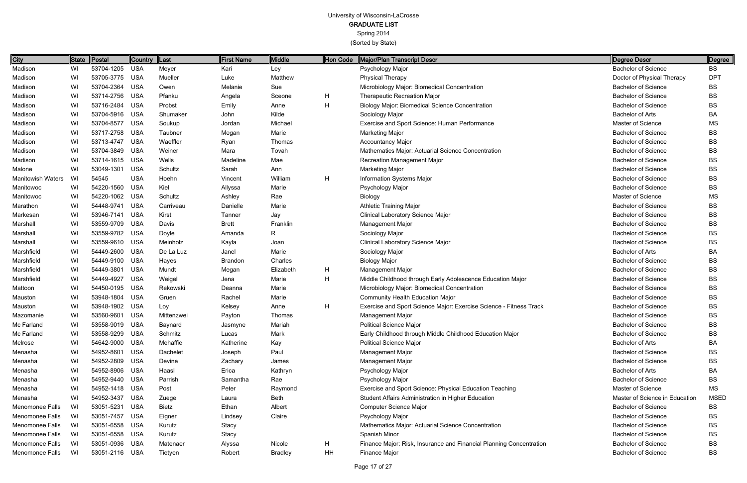| Degree Descr                   | Degree     |
|--------------------------------|------------|
| <b>Bachelor of Science</b>     | <b>BS</b>  |
| Doctor of Physical Therapy     | <b>DPT</b> |
| <b>Bachelor of Science</b>     | BS         |
| <b>Bachelor of Science</b>     | BS         |
| <b>Bachelor of Science</b>     | <b>BS</b>  |
| <b>Bachelor of Arts</b>        | BA         |
| <b>Master of Science</b>       | MS         |
| <b>Bachelor of Science</b>     | <b>BS</b>  |
| <b>Bachelor of Science</b>     | BS         |
| <b>Bachelor of Science</b>     | BS         |
| <b>Bachelor of Science</b>     | BS         |
| <b>Bachelor of Science</b>     | BS         |
| <b>Bachelor of Science</b>     | BS         |
| <b>Bachelor of Science</b>     | BS         |
| <b>Master of Science</b>       | MS         |
| <b>Bachelor of Science</b>     | <b>BS</b>  |
| <b>Bachelor of Science</b>     | BS         |
| <b>Bachelor of Science</b>     | BS         |
| <b>Bachelor of Science</b>     | BS         |
| <b>Bachelor of Science</b>     | BS         |
| <b>Bachelor of Arts</b>        | BA         |
| <b>Bachelor of Science</b>     | BS         |
| <b>Bachelor of Science</b>     | BS         |
| <b>Bachelor of Science</b>     | BS         |
| <b>Bachelor of Science</b>     | BS         |
| <b>Bachelor of Science</b>     | BS         |
| <b>Bachelor of Science</b>     | <b>BS</b>  |
| <b>Bachelor of Science</b>     | BS         |
| <b>Bachelor of Science</b>     | BS         |
| <b>Bachelor of Science</b>     | BS         |
| <b>Bachelor of Arts</b>        | BA         |
| <b>Bachelor of Science</b>     | BS         |
| <b>Bachelor of Science</b>     | BS         |
| <b>Bachelor of Arts</b>        | BA.        |
| <b>Bachelor of Science</b>     | BS         |
| Master of Science              | MS         |
| Master of Science in Education | MSED       |
| <b>Bachelor of Science</b>     | BS         |
| <b>Bachelor of Science</b>     | BS         |
| <b>Bachelor of Science</b>     | BS         |
| <b>Bachelor of Science</b>     | BS         |
| <b>Bachelor of Science</b>     | BS         |
| <b>Bachelor of Science</b>     | BS         |

| City                     |      | State Postal   | <b>Country</b> | Last       | <b>First Name</b> | Middle         | Hon Code | Major/Plan Transcript Descr                                         | Degree Descr                   | Degree      |
|--------------------------|------|----------------|----------------|------------|-------------------|----------------|----------|---------------------------------------------------------------------|--------------------------------|-------------|
| Madison                  | WI   | 53704-1205     | <b>USA</b>     | Meyer      | Kari              | Ley            |          | Psychology Major                                                    | <b>Bachelor of Science</b>     | <b>BS</b>   |
| Madison                  | WI   | 53705-3775     | <b>USA</b>     | Mueller    | Luke              | Matthew        |          | <b>Physical Therapy</b>                                             | Doctor of Physical Therapy     | <b>DPT</b>  |
| Madison                  | WI   | 53704-2364     | <b>USA</b>     | Owen       | Melanie           | Sue            |          | Microbiology Major: Biomedical Concentration                        | <b>Bachelor of Science</b>     | BS          |
| Madison                  | WI   | 53714-2756     | <b>USA</b>     | Pfanku     | Angela            | Sceone         | H        | <b>Therapeutic Recreation Major</b>                                 | <b>Bachelor of Science</b>     | <b>BS</b>   |
| Madison                  | WI   | 53716-2484     | <b>USA</b>     | Probst     | Emily             | Anne           | H        | <b>Biology Major: Biomedical Science Concentration</b>              | <b>Bachelor of Science</b>     | <b>BS</b>   |
| Madison                  | WI   | 53704-5916     | <b>USA</b>     | Shumaker   | John              | Kilde          |          | Sociology Major                                                     | <b>Bachelor of Arts</b>        | BA          |
| Madison                  | WI   | 53704-8577     | <b>USA</b>     | Soukup     | Jordan            | Michael        |          | Exercise and Sport Science: Human Performance                       | <b>Master of Science</b>       | <b>MS</b>   |
| Madison                  | WI   | 53717-2758     | <b>USA</b>     | Taubner    | Megan             | Marie          |          | <b>Marketing Major</b>                                              | <b>Bachelor of Science</b>     | <b>BS</b>   |
| Madison                  | WI   | 53713-4747     | <b>USA</b>     | Waeffler   | Ryan              | Thomas         |          | <b>Accountancy Major</b>                                            | <b>Bachelor of Science</b>     | <b>BS</b>   |
| Madison                  | WI   | 53704-3849     | <b>USA</b>     | Weiner     | Mara              | Tovah          |          | Mathematics Major: Actuarial Science Concentration                  | <b>Bachelor of Science</b>     | BS          |
| Madison                  | WI   | 53714-1615     | <b>USA</b>     | Wells      | Madeline          | Mae            |          | Recreation Management Major                                         | <b>Bachelor of Science</b>     | <b>BS</b>   |
| Malone                   | WI   | 53049-1301     | <b>USA</b>     | Schultz    | Sarah             | Ann            |          | <b>Marketing Major</b>                                              | <b>Bachelor of Science</b>     | <b>BS</b>   |
| <b>Manitowish Waters</b> | WI   | 54545          | <b>USA</b>     | Hoehn      | Vincent           | William        | H        | Information Systems Major                                           | <b>Bachelor of Science</b>     | <b>BS</b>   |
| Manitowoc                | WI   | 54220-1560     | <b>USA</b>     | Kiel       | Allyssa           | Marie          |          | Psychology Major                                                    | <b>Bachelor of Science</b>     | <b>BS</b>   |
| Manitowoc                | WI   | 54220-1062     | <b>USA</b>     | Schultz    | Ashley            | Rae            |          | Biology                                                             | Master of Science              | <b>MS</b>   |
| Marathon                 | WI   | 54448-9741     | <b>USA</b>     | Carriveau  | Danielle          | Marie          |          | <b>Athletic Training Major</b>                                      | <b>Bachelor of Science</b>     | <b>BS</b>   |
| Markesan                 | WI   | 53946-7141     | <b>USA</b>     | Kirst      | Tanner            | Jay            |          | Clinical Laboratory Science Major                                   | <b>Bachelor of Science</b>     | <b>BS</b>   |
| Marshall                 | WI   | 53559-9709     | <b>USA</b>     | Davis      | <b>Brett</b>      | Franklin       |          | Management Major                                                    | <b>Bachelor of Science</b>     | <b>BS</b>   |
| Marshall                 | WI   | 53559-9782     | <b>USA</b>     | Doyle      | Amanda            | R.             |          | Sociology Major                                                     | <b>Bachelor of Science</b>     | <b>BS</b>   |
| Marshall                 | WI   | 53559-9610     | <b>USA</b>     | Meinholz   | Kayla             | Joan           |          | <b>Clinical Laboratory Science Major</b>                            | <b>Bachelor of Science</b>     | <b>BS</b>   |
| Marshfield               | WI   | 54449-2600     | <b>USA</b>     | De La Luz  | Janel             | Marie          |          | Sociology Major                                                     | <b>Bachelor of Arts</b>        | BA          |
| Marshfield               | WI   | 54449-9100     | <b>USA</b>     | Hayes      | Brandon           | Charles        |          | <b>Biology Major</b>                                                | <b>Bachelor of Science</b>     | BS          |
| Marshfield               | WI   | 54449-3801     | <b>USA</b>     | Mundt      | Megan             | Elizabeth      | H        | Management Major                                                    | <b>Bachelor of Science</b>     | <b>BS</b>   |
| Marshfield               | WI   | 54449-4927     | <b>USA</b>     | Weigel     | Jena              | Marie          | H        | Middle Childhood through Early Adolescence Education Major          | <b>Bachelor of Science</b>     | <b>BS</b>   |
| Mattoon                  | WI   | 54450-0195     | <b>USA</b>     | Rekowski   | Deanna            | Marie          |          | Microbiology Major: Biomedical Concentration                        | <b>Bachelor of Science</b>     | <b>BS</b>   |
| Mauston                  | WI   | 53948-1804     | <b>USA</b>     | Gruen      | Rachel            | Marie          |          | Community Health Education Major                                    | <b>Bachelor of Science</b>     | BS          |
| Mauston                  | WI   | 53948-1902     | <b>USA</b>     | Loy        | Kelsey            | Anne           | H        | Exercise and Sport Science Major: Exercise Science - Fitness Track  | <b>Bachelor of Science</b>     | <b>BS</b>   |
| Mazomanie                | WI   | 53560-9601     | <b>USA</b>     | Mittenzwei | Payton            | Thomas         |          | <b>Management Major</b>                                             | <b>Bachelor of Science</b>     | BS          |
| Mc Farland               | WI   | 53558-9019 USA |                | Baynard    | Jasmyne           | Mariah         |          | <b>Political Science Major</b>                                      | <b>Bachelor of Science</b>     | <b>BS</b>   |
| Mc Farland               | WI   | 53558-9299 USA |                | Schmitz    | Lucas             | Mark           |          | Early Childhood through Middle Childhood Education Major            | <b>Bachelor of Science</b>     | BS          |
| Melrose                  | WI   | 54642-9000     | USA            | Mehaffie   | Katherine         | Kay            |          | <b>Political Science Major</b>                                      | <b>Bachelor of Arts</b>        | BA          |
| Menasha                  | WI   | 54952-8601     | USA            | Dachelet   | Joseph            | Paul           |          | <b>Management Major</b>                                             | <b>Bachelor of Science</b>     | BS          |
| Menasha                  | WI   | 54952-2809     | <b>USA</b>     | Devine     | Zachary           | James          |          | Management Major                                                    | <b>Bachelor of Science</b>     | BS          |
| Menasha                  | WI   | 54952-8906     | <b>USA</b>     | Haasl      | Erica             | Kathryn        |          | Psychology Major                                                    | <b>Bachelor of Arts</b>        | BA          |
| Menasha                  | WI   | 54952-9440     | <b>USA</b>     | Parrish    | Samantha          | Rae            |          | Psychology Major                                                    | <b>Bachelor of Science</b>     | BS          |
| Menasha                  | WI   | 54952-1418     | USA            | Post       | Peter             | Raymond        |          | Exercise and Sport Science: Physical Education Teaching             | Master of Science              | <b>MS</b>   |
| Menasha                  | WI   | 54952-3437     | <b>USA</b>     | Zuege      | Laura             | Beth           |          | Student Affairs Administration in Higher Education                  | Master of Science in Education | <b>MSED</b> |
| Menomonee Falls          | WI   | 53051-5231     | <b>USA</b>     | Bietz      | Ethan             | Albert         |          | Computer Science Major                                              | <b>Bachelor of Science</b>     | BS          |
| Menomonee Falls          | WI   | 53051-7457     | <b>USA</b>     | Eigner     | Lindsey           | Claire         |          | Psychology Major                                                    | <b>Bachelor of Science</b>     | BS          |
| Menomonee Falls          | - WI | 53051-6558     | <b>USA</b>     | Kurutz     | Stacy             |                |          | Mathematics Major: Actuarial Science Concentration                  | <b>Bachelor of Science</b>     | BS          |
| Menomonee Falls          | - WI | 53051-6558     | USA            | Kurutz     | Stacy             |                |          | Spanish Minor                                                       | <b>Bachelor of Science</b>     | BS          |
| Menomonee Falls          | WI   | 53051-0936     | USA            | Matenaer   | Alyssa            | Nicole         | Н.       | Finance Major: Risk, Insurance and Financial Planning Concentration | <b>Bachelor of Science</b>     | BS          |
| Menomonee Falls          | WI   | 53051-2116 USA |                | Tietyen    | Robert            | <b>Bradley</b> | HH       | Finance Major                                                       | <b>Bachelor of Science</b>     | <b>BS</b>   |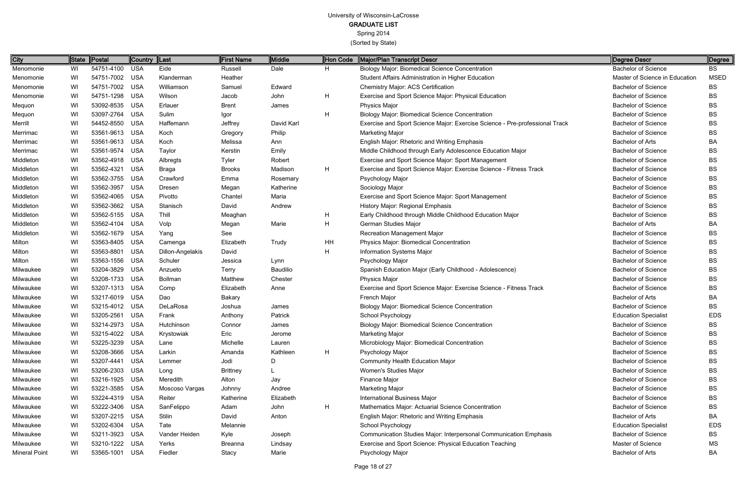Spring 2014

| City          | State | <b>Postal</b>  | <b>Country</b> | $\ $ Last        | <b>First Name</b> | Middle     | Hon Code     | Major/Plan Transcript Descr                                                 | Degree Descr                   | Degree      |
|---------------|-------|----------------|----------------|------------------|-------------------|------------|--------------|-----------------------------------------------------------------------------|--------------------------------|-------------|
| Menomonie     | WI    | 54751-4100 USA |                | Eide             | Russell           | Dale       | H            | <b>Biology Major: Biomedical Science Concentration</b>                      | <b>Bachelor of Science</b>     | BS          |
| Menomonie     | WI    | 54751-7002 USA |                | Klanderman       | Heather           |            |              | Student Affairs Administration in Higher Education                          | Master of Science in Education | <b>MSED</b> |
| Menomonie     | WI    | 54751-7002 USA |                | Williamson       | Samuel            | Edward     |              | Chemistry Major: ACS Certification                                          | <b>Bachelor of Science</b>     | BS          |
| Menomonie     | WI    | 54751-1298     | USA            | Wilson           | Jacob             | John       | $\mathsf{H}$ | Exercise and Sport Science Major: Physical Education                        | <b>Bachelor of Science</b>     | BS          |
| Mequon        | WI    | 53092-8535 USA |                | Erlauer          | <b>Brent</b>      | James      |              | <b>Physics Major</b>                                                        | <b>Bachelor of Science</b>     | ВS          |
| Mequon        | WI    | 53097-2764 USA |                | Sulim            | Igor              |            | H            | Biology Major: Biomedical Science Concentration                             | <b>Bachelor of Science</b>     | BS          |
| Merrill       | WI    | 54452-8550 USA |                | Haffemann        | Jeffrey           | David Karl |              | Exercise and Sport Science Major: Exercise Science - Pre-professional Track | <b>Bachelor of Science</b>     | BS          |
| Merrimac      | WI    | 53561-9613 USA |                | Koch             | Gregory           | Philip     |              | <b>Marketing Major</b>                                                      | <b>Bachelor of Science</b>     | BS          |
| Merrimac      | WI    | 53561-9613 USA |                | Koch             | Melissa           | Ann        |              | English Major: Rhetoric and Writing Emphasis                                | <b>Bachelor of Arts</b>        | BA          |
| Merrimac      | WI    | 53561-9574 USA |                | Taylor           | Kerstin           | Emily      |              | Middle Childhood through Early Adolescence Education Major                  | <b>Bachelor of Science</b>     | ВS          |
| Middleton     | WI    | 53562-4918 USA |                | Albregts         | Tyler             | Robert     |              | Exercise and Sport Science Major: Sport Management                          | <b>Bachelor of Science</b>     | ВS          |
| Middleton     | WI    | 53562-4321     | USA            | <b>Braga</b>     | <b>Brooks</b>     | Madison    | $\mathsf{H}$ | Exercise and Sport Science Major: Exercise Science - Fitness Track          | <b>Bachelor of Science</b>     | BS          |
| Middleton     | WI    | 53562-3755 USA |                | Crawford         | Emma              | Rosemary   |              | Psychology Major                                                            | <b>Bachelor of Science</b>     | BS          |
| Middleton     | WI    | 53562-3957     | <b>USA</b>     | Dresen           | Megan             | Katherine  |              | Sociology Major                                                             | <b>Bachelor of Science</b>     | ВS          |
| Middleton     | WI    | 53562-4065 USA |                | Pivotto          | Chantel           | Maria      |              | Exercise and Sport Science Major: Sport Management                          | <b>Bachelor of Science</b>     | BS          |
| Middleton     | WI    | 53562-3662     | USA            | Stanisch         | David             | Andrew     |              | History Major: Regional Emphasis                                            | <b>Bachelor of Science</b>     | BS          |
| Middleton     | WI    | 53562-5155 USA |                | Thill            | Meaghan           |            | H            | Early Childhood through Middle Childhood Education Major                    | <b>Bachelor of Science</b>     | BS          |
| Middleton     | WI    | 53562-4104 USA |                | Volp             | Megan             | Marie      | $\mathsf{H}$ | German Studies Major                                                        | <b>Bachelor of Arts</b>        | BA          |
| Middleton     | WI    | 53562-1679 USA |                | Yang             | See               |            |              | Recreation Management Major                                                 | <b>Bachelor of Science</b>     | BS          |
| Milton        | WI    | 53563-8405 USA |                | Camenga          | Elizabeth         | Trudy      | HH           | Physics Major: Biomedical Concentration                                     | <b>Bachelor of Science</b>     | ВS          |
| Milton        | WI    | 53563-8801 USA |                | Dillon-Angelakis | David             |            | H            | Information Systems Major                                                   | <b>Bachelor of Science</b>     | BS          |
| Milton        | WI    | 53563-1556 USA |                | Schuler          | Jessica           | Lynn       |              | Psychology Major                                                            | <b>Bachelor of Science</b>     | BS          |
| Milwaukee     | WI    | 53204-3829 USA |                | Anzueto          | <b>Terry</b>      | Baudilio   |              | Spanish Education Major (Early Childhood - Adolescence)                     | <b>Bachelor of Science</b>     | ВS          |
| Milwaukee     | WI    | 53208-1733 USA |                | Bollman          | Matthew           | Chester    |              | <b>Physics Major</b>                                                        | <b>Bachelor of Science</b>     | ВS          |
| Milwaukee     | WI    | 53207-1313 USA |                | Comp             | Elizabeth         | Anne       |              | Exercise and Sport Science Major: Exercise Science - Fitness Track          | <b>Bachelor of Science</b>     | BS          |
| Milwaukee     | WI    | 53217-6019 USA |                | Dao              | <b>Bakary</b>     |            |              | French Major                                                                | <b>Bachelor of Arts</b>        | BA          |
| Milwaukee     | WI    | 53215-4012 USA |                | DeLaRosa         | Joshua            | James      |              | <b>Biology Major: Biomedical Science Concentration</b>                      | <b>Bachelor of Science</b>     | BS          |
| Milwaukee     | WI    | 53205-2561 USA |                | Frank            | Anthony           | Patrick    |              | School Psychology                                                           | <b>Education Specialist</b>    | <b>EDS</b>  |
| Milwaukee     | WI    | 53214-2973 USA |                | Hutchinson       | Connor            | James      |              | <b>Biology Major: Biomedical Science Concentration</b>                      | <b>Bachelor of Science</b>     | ВS          |
| Milwaukee     | WI    | 53215-4022 USA |                | Krystowiak       | Eric              | Jerome     |              | <b>Marketing Major</b>                                                      | <b>Bachelor of Science</b>     | ВS          |
| Milwaukee     | WI    | 53225-3239 USA |                | Lane             | Michelle          | Lauren     |              | Microbiology Major: Biomedical Concentration                                | <b>Bachelor of Science</b>     | BS          |
| Milwaukee     | WI.   | 53208-3666 USA |                | Larkin           | Amanda            | Kathleen   | H            | Psychology Major                                                            | <b>Bachelor of Science</b>     | BS          |
| Milwaukee     | WI    | 53207-4441 USA |                | Lemmer           | Jodi              | D          |              | <b>Community Health Education Major</b>                                     | <b>Bachelor of Science</b>     | BS          |
| Milwaukee     | WI    | 53206-2303 USA |                | Long             | <b>Brittney</b>   |            |              | Women's Studies Major                                                       | <b>Bachelor of Science</b>     | BS          |
| Milwaukee     | WI    | 53216-1925 USA |                | Meredith         | Alton             | Jay        |              | Finance Major                                                               | <b>Bachelor of Science</b>     | BS          |
| Milwaukee     | WI.   | 53221-3585 USA |                | Moscoso Vargas   | Johnny            | Andree     |              | <b>Marketing Major</b>                                                      | <b>Bachelor of Science</b>     | BS          |
| Milwaukee     | WI.   | 53224-4319 USA |                | Reiter           | Katherine         | Elizabeth  |              | <b>International Business Major</b>                                         | <b>Bachelor of Science</b>     | BS          |
| Milwaukee     | WI    | 53222-3406 USA |                | SanFelippo       | Adam              | John       | H            | Mathematics Major: Actuarial Science Concentration                          | <b>Bachelor of Science</b>     | BS          |
| Milwaukee     | WI    | 53207-2215 USA |                | Stilin           | David             | Anton      |              | English Major: Rhetoric and Writing Emphasis                                | <b>Bachelor of Arts</b>        | BA          |
| Milwaukee     | WI    | 53202-6304 USA |                | Tate             | Melannie          |            |              | School Psychology                                                           | <b>Education Specialist</b>    | <b>EDS</b>  |
| Milwaukee     | WI    | 53211-3923 USA |                | Vander Heiden    | Kyle              | Joseph     |              | Communication Studies Major: Interpersonal Communication Emphasis           | <b>Bachelor of Science</b>     | BS.         |
| Milwaukee     | WI    | 53210-1222 USA |                | Yerks            | <b>Breanna</b>    | Lindsay    |              | Exercise and Sport Science: Physical Education Teaching                     | Master of Science              | МS          |
| Mineral Point | WI    | 53565-1001 USA |                | Fiedler          | Stacy             | Marie      |              | Psychology Major                                                            | Bachelor of Arts               | ВA          |
|               |       |                |                |                  |                   |            |              |                                                                             |                                |             |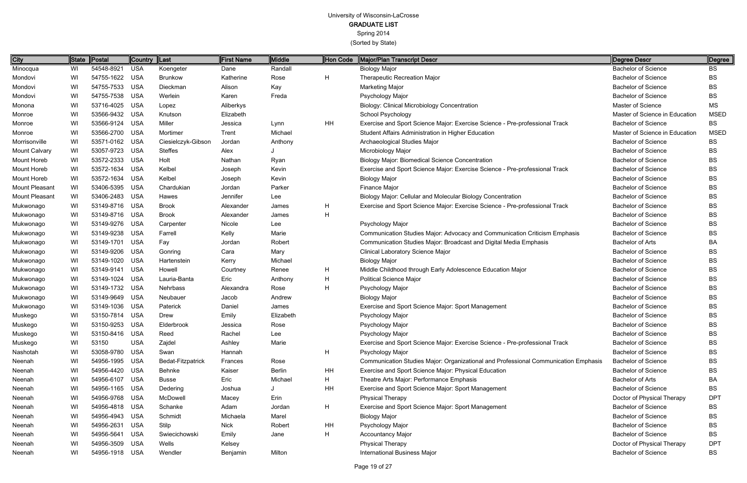# University of Wisconsin-LaCrosse

GRADUATE LIST

Spring 2014

| <b>City</b>    |    | State Postal   | Country Last |                    | First Name | Middle        | Hon Code | Major/Plan Transcript Descr                                                         | Degree Descr                   | ∥Degree     |
|----------------|----|----------------|--------------|--------------------|------------|---------------|----------|-------------------------------------------------------------------------------------|--------------------------------|-------------|
| Minocqua       | WI | 54548-8921     | <b>USA</b>   | Koengeter          | Dane       | Randall       |          | <b>Biology Major</b>                                                                | <b>Bachelor of Science</b>     | <b>BS</b>   |
| Mondovi        | WI | 54755-1622 USA |              | <b>Brunkow</b>     | Katherine  | Rose          | H        | Therapeutic Recreation Major                                                        | <b>Bachelor of Science</b>     | BS          |
| Mondovi        | WI | 54755-7533 USA |              | Dieckman           | Alison     | Kay           |          | <b>Marketing Major</b>                                                              | <b>Bachelor of Science</b>     | BS          |
| Mondovi        | WI | 54755-7538 USA |              | Werlein            | Karen      | Freda         |          | Psychology Major                                                                    | <b>Bachelor of Science</b>     | BS          |
| Monona         | WI | 53716-4025 USA |              | Lopez              | Aliberkys  |               |          | <b>Biology: Clinical Microbiology Concentration</b>                                 | <b>Master of Science</b>       | MS          |
| Monroe         | WI | 53566-9432 USA |              | Knutson            | Elizabeth  |               |          | School Psychology                                                                   | Master of Science in Education | <b>MSED</b> |
| Monroe         | WI | 53566-9124 USA |              | Miller             | Jessica    | Lynn          | HH       | Exercise and Sport Science Major: Exercise Science - Pre-professional Track         | <b>Bachelor of Science</b>     | <b>BS</b>   |
| Monroe         | WI | 53566-2700 USA |              | Mortimer           | Trent      | Michael       |          | Student Affairs Administration in Higher Education                                  | Master of Science in Education | MSED        |
| Morrisonville  | WI | 53571-0162 USA |              | Ciesielczyk-Gibson | Jordan     | Anthony       |          | Archaeological Studies Major                                                        | <b>Bachelor of Science</b>     | <b>BS</b>   |
| Mount Calvary  | WI | 53057-9723 USA |              | <b>Steffes</b>     | Alex       |               |          | Microbiology Major                                                                  | <b>Bachelor of Science</b>     | <b>BS</b>   |
| Mount Horeb    | WI | 53572-2333 USA |              | Holt               | Nathan     | Ryan          |          | <b>Biology Major: Biomedical Science Concentration</b>                              | <b>Bachelor of Science</b>     | BS          |
| Mount Horeb    | WI | 53572-1634 USA |              | Kelbel             | Joseph     | Kevin         |          | Exercise and Sport Science Major: Exercise Science - Pre-professional Track         | <b>Bachelor of Science</b>     | BS          |
| Mount Horeb    | WI | 53572-1634 USA |              | Kelbel             | Joseph     | Kevin         |          | <b>Biology Major</b>                                                                | <b>Bachelor of Science</b>     | BS          |
| Mount Pleasant | WI | 53406-5395 USA |              | Chardukian         | Jordan     | Parker        |          | Finance Major                                                                       | <b>Bachelor of Science</b>     | BS          |
| Mount Pleasant | WI | 53406-2483 USA |              | Hawes              | Jennifer   | Lee           |          | Biology Major: Cellular and Molecular Biology Concentration                         | <b>Bachelor of Science</b>     | BS          |
| Mukwonago      | WI | 53149-8716 USA |              | <b>Brook</b>       | Alexander  | James         | H        | Exercise and Sport Science Major: Exercise Science - Pre-professional Track         | <b>Bachelor of Science</b>     | <b>BS</b>   |
| Mukwonago      | WI | 53149-8716 USA |              | <b>Brook</b>       | Alexander  | James         | H        |                                                                                     | <b>Bachelor of Science</b>     | BS          |
| Mukwonago      | WI | 53149-9276 USA |              | Carpenter          | Nicole     | Lee           |          | Psychology Major                                                                    | <b>Bachelor of Science</b>     | BS          |
| Mukwonago      | WI | 53149-9238 USA |              | Farrell            | Kelly      | Marie         |          | Communication Studies Major: Advocacy and Communication Criticism Emphasis          | <b>Bachelor of Science</b>     | BS          |
| Mukwonago      | WI | 53149-1701 USA |              | Fay                | Jordan     | Robert        |          | Communication Studies Major: Broadcast and Digital Media Emphasis                   | <b>Bachelor of Arts</b>        | BA          |
| Mukwonago      | WI | 53149-9206 USA |              | Gonring            | Cara       | Mary          |          | <b>Clinical Laboratory Science Major</b>                                            | <b>Bachelor of Science</b>     | BS          |
| Mukwonago      | WI | 53149-1020 USA |              | Hartenstein        | Kerry      | Michael       |          | <b>Biology Major</b>                                                                | <b>Bachelor of Science</b>     | BS          |
| Mukwonago      | WI | 53149-9141 USA |              | Howell             | Courtney   | Renee         | H        | Middle Childhood through Early Adolescence Education Major                          | <b>Bachelor of Science</b>     | BS          |
| Mukwonago      | WI | 53149-1024 USA |              | Lauria-Banta       | Eric       | Anthony       | H        | <b>Political Science Major</b>                                                      | <b>Bachelor of Science</b>     | BS          |
| Mukwonago      | WI | 53149-1732 USA |              | Nehrbass           | Alexandra  | Rose          | H        | Psychology Major                                                                    | <b>Bachelor of Science</b>     | BS          |
| Mukwonago      | WI | 53149-9649 USA |              | Neubauer           | Jacob      | Andrew        |          | <b>Biology Major</b>                                                                | <b>Bachelor of Science</b>     | BS          |
| Mukwonago      | WI | 53149-1036 USA |              | Paterick           | Daniel     | James         |          | Exercise and Sport Science Major: Sport Management                                  | <b>Bachelor of Science</b>     | BS          |
| Muskego        | WI | 53150-7814 USA |              | Drew               | Emily      | Elizabeth     |          | Psychology Major                                                                    | <b>Bachelor of Science</b>     | BS          |
| Muskego        | WI | 53150-9253 USA |              | Elderbrook         | Jessica    | Rose          |          | Psychology Major                                                                    | <b>Bachelor of Science</b>     | BS          |
| Muskego        | WI | 53150-8416 USA |              | Reed               | Rachel     | Lee           |          | Psychology Major                                                                    | <b>Bachelor of Science</b>     | BS          |
| Muskego        | WI | 53150          | <b>USA</b>   | Zajdel             | Ashley     | Marie         |          | Exercise and Sport Science Major: Exercise Science - Pre-professional Track         | <b>Bachelor of Science</b>     | BS          |
| Nashotah       | WI | 53058-9780 USA |              | Swan               | Hannah     |               | H        | Psychology Major                                                                    | <b>Bachelor of Science</b>     | BS          |
| Neenah         | WI | 54956-1995 USA |              | Bedat-Fitzpatrick  | Frances    | Rose          |          | Communication Studies Major: Organizational and Professional Communication Emphasis | <b>Bachelor of Science</b>     | BS          |
| Neenah         | WI | 54956-4420 USA |              | Behnke             | Kaiser     | <b>Berlin</b> | HH       | Exercise and Sport Science Major: Physical Education                                | <b>Bachelor of Science</b>     | BS          |
| Neenah         | WI | 54956-6107 USA |              | <b>Busse</b>       | Eric       | Michael       | H        | Theatre Arts Major: Performance Emphasis                                            | <b>Bachelor of Arts</b>        | BA          |
| Neenah         | WI | 54956-1165 USA |              | Dedering           | Joshua     |               | HH       | Exercise and Sport Science Major: Sport Management                                  | <b>Bachelor of Science</b>     | BS          |
| Neenah         | WI | 54956-9768 USA |              | McDowell           | Macey      | Erin          |          | <b>Physical Therapy</b>                                                             | Doctor of Physical Therapy     | <b>DPT</b>  |
| Neenah         | WI | 54956-4818 USA |              | Schanke            | Adam       | Jordan        | H        | Exercise and Sport Science Major: Sport Management                                  | <b>Bachelor of Science</b>     | BS          |
| Neenah         | WI | 54956-4943 USA |              | Schmidt            | Michaela   | Marel         |          | <b>Biology Major</b>                                                                | <b>Bachelor of Science</b>     | BS          |
| Neenah         | WI | 54956-2631 USA |              | Stilp              | Nick       | Robert        | HH       | Psychology Major                                                                    | <b>Bachelor of Science</b>     | BS          |
| Neenah         | WI | 54956-5641 USA |              | Swiecichowski      | Emily      | Jane          | H        | <b>Accountancy Major</b>                                                            | <b>Bachelor of Science</b>     | BS          |
| Neenah         | WI | 54956-3509 USA |              | Wells              | Kelsey     |               |          | <b>Physical Therapy</b>                                                             | Doctor of Physical Therapy     | <b>DPT</b>  |
| Neenah         | WI | 54956-1918 USA |              | Wendler            | Benjamin   | Milton        |          | International Business Major                                                        | <b>Bachelor of Science</b>     | <b>BS</b>   |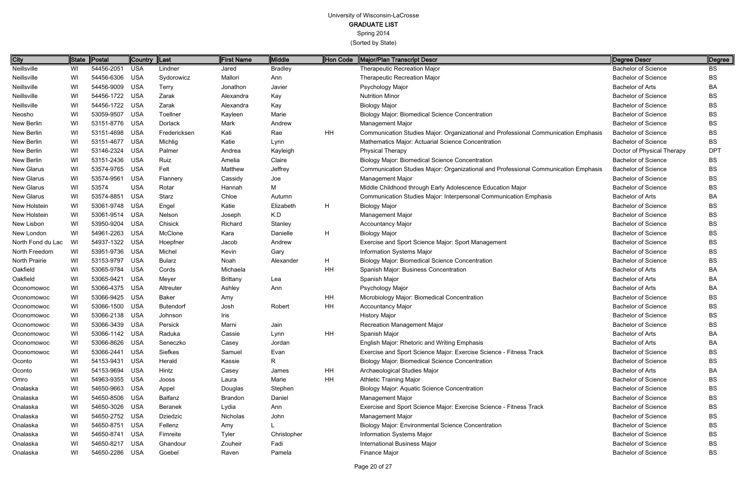Spring 2014

| City              | State | Postal         | <b>Country</b> | $\ $ Last        | <b>First Name</b> | <b>Middle</b>  | Hon Code     | Major/Plan Transcript Descr                                                         | Degree Descr               | Degree     |
|-------------------|-------|----------------|----------------|------------------|-------------------|----------------|--------------|-------------------------------------------------------------------------------------|----------------------------|------------|
| Neillsville       | WI    | 54456-2051     | <b>USA</b>     | Lindner          | Jared             | <b>Bradley</b> |              | <b>Therapeutic Recreation Major</b>                                                 | <b>Bachelor of Science</b> | ВS         |
| Neillsville       | WI    | 54456-6306     | <b>USA</b>     | Sydorowicz       | Mallori           | Ann            |              | Therapeutic Recreation Major                                                        | <b>Bachelor of Science</b> | BS         |
| Neillsville       | WI    | 54456-9009     | <b>USA</b>     | <b>Terry</b>     | Jonathon          | Javier         |              | Psychology Major                                                                    | <b>Bachelor of Arts</b>    | ΒA         |
| Neillsville       | WI    | 54456-1722 USA |                | Zarak            | Alexandra         | Kay            |              | <b>Nutrition Minor</b>                                                              | <b>Bachelor of Science</b> | ВS         |
| Neillsville       | WI    | 54456-1722 USA |                | Zarak            | Alexandra         | Kay            |              | <b>Biology Major</b>                                                                | <b>Bachelor of Science</b> | ВS         |
| Neosho            | WI    | 53059-9507     | USA            | Toellner         | Kayleen           | Marie          |              | <b>Biology Major: Biomedical Science Concentration</b>                              | <b>Bachelor of Science</b> | BS         |
| New Berlin        | WI    | 53151-8776 USA |                | Dorlack          | Mark              | Andrew         |              | <b>Management Major</b>                                                             | <b>Bachelor of Science</b> | BS         |
| New Berlin        | WI    | 53151-4698     | <b>USA</b>     | Fredericksen     | Kati              | Rae            | <b>HH</b>    | Communication Studies Major: Organizational and Professional Communication Emphasis | <b>Bachelor of Science</b> | BS         |
| New Berlin        | WI    | 53151-4677     | USA            | Michlig          | Katie             | Lynn           |              | Mathematics Major: Actuarial Science Concentration                                  | <b>Bachelor of Science</b> | BS         |
| New Berlin        | WI    | 53146-2324     | USA            | Palmer           | Andrea            | Kayleigh       |              | <b>Physical Therapy</b>                                                             | Doctor of Physical Therapy | <b>DPT</b> |
| New Berlin        | WI    | 53151-2436 USA |                | Ruiz             | Amelia            | Claire         |              | Biology Major: Biomedical Science Concentration                                     | <b>Bachelor of Science</b> | BS         |
| New Glarus        | WI    | 53574-9765     | USA            | Felt             | Matthew           | Jeffrey        |              | Communication Studies Major: Organizational and Professional Communication Emphasis | <b>Bachelor of Science</b> | BS         |
| New Glarus        | WI    | 53574-9561     | <b>USA</b>     | Flannery         | Cassidy           | Joe            |              | Management Major                                                                    | <b>Bachelor of Science</b> | BS         |
| New Glarus        | WI    | 53574          | <b>USA</b>     | Rotar            | Hannah            | M              |              | Middle Childhood through Early Adolescence Education Major                          | <b>Bachelor of Science</b> | BS         |
| New Glarus        | WI    | 53574-8851     | <b>USA</b>     | Starz            | Chloe             | Autumn         |              | Communication Studies Major: Interpersonal Communication Emphasis                   | <b>Bachelor of Arts</b>    | BA         |
| New Holstein      | WI    | 53061-9748     | USA            | Engel            | Katie             | Elizabeth      | $\mathsf{H}$ | <b>Biology Major</b>                                                                | <b>Bachelor of Science</b> | BS         |
| New Holstein      | WI    | 53061-9514 USA |                | Nelson           | Joseph            | K.D            |              | Management Major                                                                    | <b>Bachelor of Science</b> | BS         |
| New Lisbon        | WI    | 53950-9204     | USA            | Chisick          | Richard           | Stanley        |              | <b>Accountancy Major</b>                                                            | <b>Bachelor of Science</b> | BS         |
| New London        | WI    | 54961-2263 USA |                | McClone          | Kara              | Danielle       | $\mathsf{H}$ | <b>Biology Major</b>                                                                | <b>Bachelor of Science</b> | BS         |
| North Fond du Lac | WI    | 54937-1322 USA |                | Hoepfner         | Jacob             | Andrew         |              | Exercise and Sport Science Major: Sport Management                                  | <b>Bachelor of Science</b> | BS         |
| North Freedom     | WI    | 53951-9736 USA |                | Michel           | Kevin             | Gary           |              | Information Systems Major                                                           | <b>Bachelor of Science</b> | BS         |
| North Prairie     | WI    | 53153-9797     | USA            | <b>Bularz</b>    | Noah              | Alexander      | H            | <b>Biology Major: Biomedical Science Concentration</b>                              | <b>Bachelor of Science</b> | BS         |
| Oakfield          | WI    | 53065-9784     | USA            | Cords            | Michaela          |                | HH           | Spanish Major: Business Concentration                                               | <b>Bachelor of Arts</b>    | ВA         |
| Oakfield          | WI    | 53065-9421     | <b>USA</b>     | Meyer            | <b>Brittany</b>   | Lea            |              | Spanish Major                                                                       | <b>Bachelor of Arts</b>    | BA         |
| Oconomowoc        | WI    | 53066-4375 USA |                | Altreuter        | Ashley            | Ann            |              | Psychology Major                                                                    | <b>Bachelor of Arts</b>    | BA         |
| Oconomowoc        | WI    | 53066-9425 USA |                | Baker            | Amy               |                | HH           | Microbiology Major: Biomedical Concentration                                        | <b>Bachelor of Science</b> | BS         |
| Oconomowoc        | WI    | 53066-1500     | USA            | <b>Butendorf</b> | Josh              | Robert         | HH           | <b>Accountancy Major</b>                                                            | <b>Bachelor of Science</b> | ВS         |
| Oconomowoc        | WI    | 53066-2138 USA |                | Johnson          | Iris              |                |              | <b>History Major</b>                                                                | <b>Bachelor of Science</b> | BS         |
| Oconomowoc        | WI    | 53066-3439     | <b>USA</b>     | Persick          | Marni             | Jain           |              | <b>Recreation Management Major</b>                                                  | <b>Bachelor of Science</b> | BS         |
| Oconomowoc        | WI    | 53066-1142 USA |                | Raduka           | Cassie            | Lynn           | HH           | Spanish Major                                                                       | <b>Bachelor of Arts</b>    | <b>BA</b>  |
| Oconomowoc        | WI    | 53066-8626 USA |                | Seneczko         | Casey             | Jordan         |              | <b>English Major: Rhetoric and Writing Emphasis</b>                                 | Bachelor of Arts           | ВA         |
| Oconomowoc        | WI    | 53066-2441 USA |                | Siefkes          | Samuel            | Evan           |              | Exercise and Sport Science Major: Exercise Science - Fitness Track                  | <b>Bachelor of Science</b> | BS         |
| Oconto            | WI    | 54153-9431 USA |                | Herald           | Kassie            | R.             |              | <b>Biology Major: Biomedical Science Concentration</b>                              | <b>Bachelor of Science</b> | BS         |
| Oconto            | WI    | 54153-9694     | USA            | Hintz            | Casey             | James          | HH           | Archaeological Studies Major                                                        | <b>Bachelor of Arts</b>    | BA         |
| Omro              | WI    | 54963-9355 USA |                | Jooss            | Laura             | Marie          | <b>HH</b>    | <b>Athletic Training Major</b>                                                      | <b>Bachelor of Science</b> | BS         |
| Onalaska          | WI    | 54650-9663 USA |                | Appel            | Douglas           | Stephen        |              | Biology Major: Aquatic Science Concentration                                        | <b>Bachelor of Science</b> | BS         |
| Onalaska          | WI    | 54650-8506 USA |                | Balfanz          | <b>Brandon</b>    | Daniel         |              | Management Major                                                                    | <b>Bachelor of Science</b> | BS         |
| Onalaska          | WI    | 54650-3026 USA |                | Beranek          | Lydia             | Ann            |              | Exercise and Sport Science Major: Exercise Science - Fitness Track                  | <b>Bachelor of Science</b> | BS         |
| Onalaska          | WI    | 54650-2752 USA |                | Dziedzic         | Nicholas          | John           |              | Management Major                                                                    | <b>Bachelor of Science</b> | BS         |
| Onalaska          | WI    | 54650-8751 USA |                | Fellenz          | Amy               |                |              | <b>Biology Major: Environmental Science Concentration</b>                           | <b>Bachelor of Science</b> | BS         |
| Onalaska          | WI    | 54650-8741 USA |                | Fimreite         | Tyler             | Christopher    |              | Information Systems Major                                                           | <b>Bachelor of Science</b> | BS         |
| Onalaska          | WI    | 54650-8217 USA |                | Ghandour         | Zouheir           | Fadi           |              | <b>International Business Major</b>                                                 | <b>Bachelor of Science</b> | BS         |
| Onalaska          | WI    | 54650-2286 USA |                | Goebel           | Raven             | Pamela         |              | Finance Major                                                                       | <b>Bachelor of Science</b> | BS         |
|                   |       |                |                |                  |                   |                |              |                                                                                     |                            |            |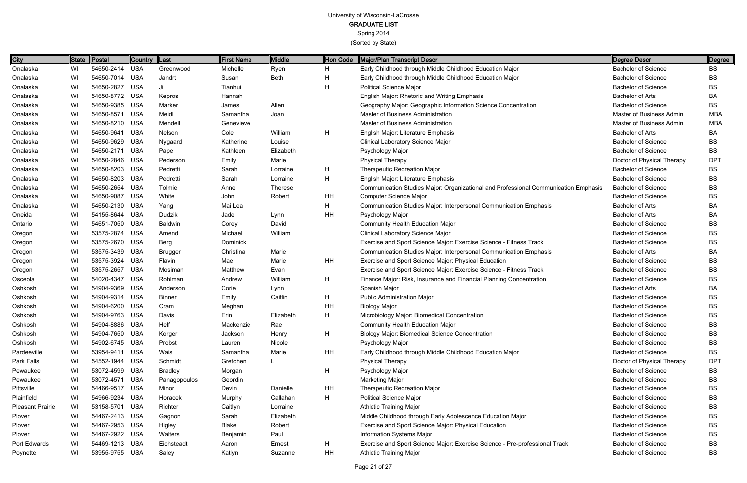| City                    | State | Postal         | Country  Last |                | <b>First Name</b> | Middle         | Hon Code     | Major/Plan Transcript Descr                                                         | Degree Descr               | Degree          |
|-------------------------|-------|----------------|---------------|----------------|-------------------|----------------|--------------|-------------------------------------------------------------------------------------|----------------------------|-----------------|
| Onalaska                | WI    | 54650-2414 USA |               | Greenwood      | Michelle          | Ryen           | H.           | Early Childhood through Middle Childhood Education Major                            | <b>Bachelor of Science</b> | <b>BS</b>       |
| Onalaska                | WI    | 54650-7014 USA |               | Jandrt         | Susan             | <b>Beth</b>    | Н            | Early Childhood through Middle Childhood Education Major                            | <b>Bachelor of Science</b> | BS              |
| Onalaska                | WI    | 54650-2827     | <b>USA</b>    | Ji             | Tianhui           |                | $\mathsf{H}$ | <b>Political Science Major</b>                                                      | <b>Bachelor of Science</b> | BS              |
| Onalaska                | WI    | 54650-8772 USA |               | Kepros         | Hannah            |                |              | English Major: Rhetoric and Writing Emphasis                                        | <b>Bachelor of Arts</b>    | ВA              |
| Onalaska                | WI    | 54650-9385 USA |               | Marker         | James             | Allen          |              | Geography Major: Geographic Information Science Concentration                       | <b>Bachelor of Science</b> | ВS              |
| Onalaska                | WI    | 54650-8571 USA |               | Meidl          | Samantha          | Joan           |              | Master of Business Administration                                                   | Master of Business Admin   | <b>MBA</b>      |
| Onalaska                | WI    | 54650-8210 USA |               | Mendell        | Genevieve         |                |              | Master of Business Administration                                                   | Master of Business Admin   | <b>MBA</b>      |
| Onalaska                | WI    | 54650-9641 USA |               | Nelson         | Cole              | William        | $\mathsf{H}$ | English Major: Literature Emphasis                                                  | <b>Bachelor of Arts</b>    | BA              |
| Onalaska                | WI    | 54650-9629 USA |               | Nygaard        | Katherine         | Louise         |              | Clinical Laboratory Science Major                                                   | <b>Bachelor of Science</b> | BS              |
| Onalaska                | WI    | 54650-2171 USA |               | Pape           | Kathleen          | Elizabeth      |              | Psychology Major                                                                    | <b>Bachelor of Science</b> | ВS              |
| Onalaska                | WI    | 54650-2846 USA |               | Pederson       | Emily             | Marie          |              | <b>Physical Therapy</b>                                                             | Doctor of Physical Therapy | DP <sub>1</sub> |
| Onalaska                | WI    | 54650-8203 USA |               | Pedretti       | Sarah             | Lorraine       | H            | Therapeutic Recreation Major                                                        | <b>Bachelor of Science</b> | BS              |
| Onalaska                | WI    | 54650-8203 USA |               | Pedretti       | Sarah             | Lorraine       | Н            | English Major: Literature Emphasis                                                  | <b>Bachelor of Science</b> | BS              |
| Onalaska                | WI    | 54650-2654 USA |               | Tolmie         | Anne              | <b>Therese</b> |              | Communication Studies Major: Organizational and Professional Communication Emphasis | <b>Bachelor of Science</b> | BS              |
| Onalaska                | WI    | 54650-9087     | <b>USA</b>    | White          | John              | Robert         | HH           | <b>Computer Science Major</b>                                                       | <b>Bachelor of Science</b> | BS              |
| Onalaska                | WI    | 54650-2130 USA |               | Yang           | Mai Lea           |                | Н            | Communication Studies Major: Interpersonal Communication Emphasis                   | <b>Bachelor of Arts</b>    | ВA              |
| Oneida                  | WI    | 54155-8644 USA |               | Dudzik         | Jade              | Lynn           | HH           | Psychology Major                                                                    | <b>Bachelor of Arts</b>    | ВA              |
| Ontario                 | WI    | 54651-7050 USA |               | <b>Baldwin</b> | Corey             | David          |              | <b>Community Health Education Major</b>                                             | <b>Bachelor of Science</b> | BS              |
| Oregon                  | WI    | 53575-2874 USA |               | Amend          | Michael           | William        |              | Clinical Laboratory Science Major                                                   | <b>Bachelor of Science</b> | BS              |
| Oregon                  | WI    | 53575-2670 USA |               | Berg           | Dominick          |                |              | Exercise and Sport Science Major: Exercise Science - Fitness Track                  | <b>Bachelor of Science</b> | BS              |
| Oregon                  | WI    | 53575-3439 USA |               | <b>Brugger</b> | Christina         | Marie          |              | Communication Studies Major: Interpersonal Communication Emphasis                   | <b>Bachelor of Arts</b>    | ВA              |
| Oregon                  | WI    | 53575-3924 USA |               | Flavin         | Mae               | Marie          | HH           | Exercise and Sport Science Major: Physical Education                                | <b>Bachelor of Science</b> | BS              |
| Oregon                  | WI    | 53575-2657     | <b>USA</b>    | Mosiman        | Matthew           | Evan           |              | Exercise and Sport Science Major: Exercise Science - Fitness Track                  | <b>Bachelor of Science</b> | BS              |
| Osceola                 | WI    | 54020-4347     | <b>USA</b>    | Rohlman        | Andrew            | William        | H            | Finance Major: Risk, Insurance and Financial Planning Concentration                 | <b>Bachelor of Science</b> | BS              |
| Oshkosh                 | WI    | 54904-9369 USA |               | Anderson       | Corie             | Lynn           |              | Spanish Major                                                                       | <b>Bachelor of Arts</b>    | ВA              |
| Oshkosh                 | WI    | 54904-9314 USA |               | <b>Binner</b>  | Emily             | Caitlin        | $\mathsf{H}$ | <b>Public Administration Major</b>                                                  | <b>Bachelor of Science</b> | BS              |
| Oshkosh                 | WI    | 54904-6200     | <b>USA</b>    | Cram           | Meghan            |                | HH           | <b>Biology Major</b>                                                                | <b>Bachelor of Science</b> | ВS              |
| Oshkosh                 | WI    | 54904-9763 USA |               | Davis          | Erin              | Elizabeth      | $\mathsf{H}$ | Microbiology Major: Biomedical Concentration                                        | <b>Bachelor of Science</b> | BS              |
| Oshkosh                 | WI    | 54904-8886 USA |               | Helf           | Mackenzie         | Rae            |              | <b>Community Health Education Major</b>                                             | <b>Bachelor of Science</b> | <b>BS</b>       |
| Oshkosh                 | WI    | 54904-7650 USA |               | Korger         | Jackson           | Henry          | H            | <b>Biology Major: Biomedical Science Concentration</b>                              | <b>Bachelor of Science</b> | BS              |
| Oshkosh                 | WI    | 54902-6745 USA |               | Probst         | Lauren            | Nicole         |              | Psychology Major                                                                    | <b>Bachelor of Science</b> | BS              |
| Pardeeville             | WI    | 53954-9411 USA |               | Wais           | Samantha          | Marie          | HH           | Early Childhood through Middle Childhood Education Major                            | <b>Bachelor of Science</b> | ВS              |
| Park Falls              | WI    | 54552-1944 USA |               | Schmidt        | Gretchen          |                |              | <b>Physical Therapy</b>                                                             | Doctor of Physical Therapy | <b>DPT</b>      |
| Pewaukee                | WI    | 53072-4599 USA |               | <b>Bradley</b> | Morgan            |                | H            | Psychology Major                                                                    | <b>Bachelor of Science</b> | ВS              |
| Pewaukee                | WI    | 53072-4571 USA |               | Panagopoulos   | Geordin           |                |              | <b>Marketing Major</b>                                                              | <b>Bachelor of Science</b> | ВS              |
| Pittsville              | WI    | 54466-9517 USA |               | Minor          | Devin             | Danielle       | HH           | Therapeutic Recreation Major                                                        | <b>Bachelor of Science</b> | BS              |
| Plainfield              | WI    | 54966-9234 USA |               | Horacek        | Murphy            | Callahan       | $\mathsf{H}$ | <b>Political Science Major</b>                                                      | <b>Bachelor of Science</b> | BS              |
| <b>Pleasant Prairie</b> | WI    | 53158-5701 USA |               | Richter        | Caitlyn           | Lorraine       |              | <b>Athletic Training Major</b>                                                      | <b>Bachelor of Science</b> | ВS              |
| Plover                  | WI    | 54467-2413 USA |               | Gagnon         | Sarah             | Elizabeth      |              | Middle Childhood through Early Adolescence Education Major                          | <b>Bachelor of Science</b> | BS              |
| Plover                  | WI    | 54467-2953 USA |               | Higley         | Blake             | Robert         |              | Exercise and Sport Science Major: Physical Education                                | <b>Bachelor of Science</b> | BS              |
| Plover                  | WI    | 54467-2922 USA |               | Walters        | Benjamin          | Paul           |              | Information Systems Major                                                           | <b>Bachelor of Science</b> | BS              |
| Port Edwards            | WI    | 54469-1213 USA |               | Eichsteadt     | Aaron             | Ernest         | H            | Exercise and Sport Science Major: Exercise Science - Pre-professional Track         | <b>Bachelor of Science</b> | BS              |
| Poynette                | WI    | 53955-9755 USA |               | Saley          | Katlyn            | Suzanne        | HH           | <b>Athletic Training Major</b>                                                      | <b>Bachelor of Science</b> | <b>BS</b>       |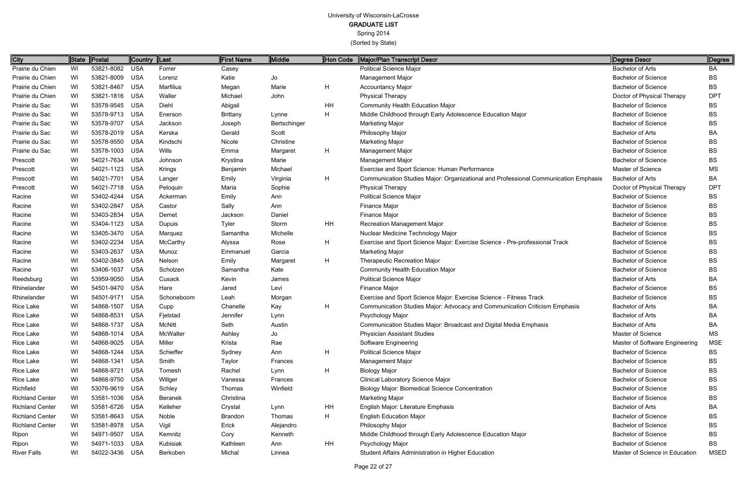Spring 2014

(Sorted by State)

Page 22 of 27

| City                   | ∥State | Postal         | Country  Last |                | First Name      | Middle       | Hon Code | Major/Plan Transcript Descr                                                         | Degree Descr                   | Degree      |
|------------------------|--------|----------------|---------------|----------------|-----------------|--------------|----------|-------------------------------------------------------------------------------------|--------------------------------|-------------|
| Prairie du Chien       | WI     | 53821-8082     | <b>USA</b>    | Forrer         | Casey           |              |          | <b>Political Science Major</b>                                                      | <b>Bachelor of Arts</b>        | BA          |
| Prairie du Chien       | WI     | 53821-8009     | <b>USA</b>    | Lorenz         | Katie           | Jo           |          | Management Major                                                                    | <b>Bachelor of Science</b>     | <b>BS</b>   |
| Prairie du Chien       | WI     | 53821-8467     | <b>USA</b>    | Marfilius      | Megan           | Marie        | H        | <b>Accountancy Major</b>                                                            | <b>Bachelor of Science</b>     | <b>BS</b>   |
| Prairie du Chien       | WI     | 53821-1816     | <b>USA</b>    | Waller         | Michael         | John         |          | <b>Physical Therapy</b>                                                             | Doctor of Physical Therapy     | <b>DPT</b>  |
| Prairie du Sac         | WI     | 53578-9545     | <b>USA</b>    | Diehl          | Abigail         |              | HH       | <b>Community Health Education Major</b>                                             | <b>Bachelor of Science</b>     | <b>BS</b>   |
| Prairie du Sac         | WI     | 53578-9713     | <b>USA</b>    | Enerson        | <b>Brittany</b> | Lynne        | H        | Middle Childhood through Early Adolescence Education Major                          | <b>Bachelor of Science</b>     | ВS          |
| Prairie du Sac         | WI     | 53578-9707     | <b>USA</b>    | Jackson        | Joseph          | Bertschinger |          | Marketing Major                                                                     | <b>Bachelor of Science</b>     | ВS          |
| Prairie du Sac         | WI     | 53578-2019     | <b>USA</b>    | Kerska         | Gerald          | Scott        |          | Philosophy Major                                                                    | <b>Bachelor of Arts</b>        | BA          |
| Prairie du Sac         | WI     | 53578-9550     | <b>USA</b>    | Kindschi       | Nicole          | Christine    |          | Marketing Major                                                                     | <b>Bachelor of Science</b>     | ВS          |
| Prairie du Sac         | WI     | 53578-1003     | <b>USA</b>    | Wills          | Emma            | Margaret     | H.       | <b>Management Major</b>                                                             | <b>Bachelor of Science</b>     | ВS          |
| Prescott               | WI     | 54021-7634     | <b>USA</b>    | Johnson        | Krystina        | Marie        |          | Management Major                                                                    | <b>Bachelor of Science</b>     | ВS          |
| Prescott               | WI     | 54021-1123     | <b>USA</b>    | Krings         | Benjamin        | Michael      |          | Exercise and Sport Science: Human Performance                                       | <b>Master of Science</b>       | MS          |
| Prescott               | WI     | 54021-7701     | <b>USA</b>    | Langer         | Emily           | Virginia     | H        | Communication Studies Major: Organizational and Professional Communication Emphasis | <b>Bachelor of Arts</b>        | BA          |
| Prescott               | WI     | 54021-7718     | <b>USA</b>    | Peloquin       | Maria           | Sophie       |          | <b>Physical Therapy</b>                                                             | Doctor of Physical Therapy     | <b>DPT</b>  |
| Racine                 | WI     | 53402-4244     | <b>USA</b>    | Ackerman       | Emily           | Ann          |          | <b>Political Science Major</b>                                                      | <b>Bachelor of Science</b>     | <b>BS</b>   |
| Racine                 | WI     | 53402-2847     | <b>USA</b>    | Castor         | Sally           | Ann          |          | Finance Major                                                                       | <b>Bachelor of Science</b>     | <b>BS</b>   |
| Racine                 | WI     | 53403-2834     | <b>USA</b>    | Demet          | Jackson         | Daniel       |          | Finance Major                                                                       | <b>Bachelor of Science</b>     | BS          |
| Racine                 | WI     | 53404-1123     | <b>USA</b>    | Dupuis         | <b>Tyler</b>    | Storm        | HH       | Recreation Management Major                                                         | <b>Bachelor of Science</b>     | BS          |
| Racine                 | WI     | 53405-3470     | <b>USA</b>    | Marquez        | Samantha        | Michelle     |          | Nuclear Medicine Technology Major                                                   | <b>Bachelor of Science</b>     | <b>BS</b>   |
| Racine                 | WI     | 53402-2234     | <b>USA</b>    | McCarthy       | Alyssa          | Rose         | H        | Exercise and Sport Science Major: Exercise Science - Pre-professional Track         | <b>Bachelor of Science</b>     | BS          |
| Racine                 | WI     | 53403-2637     | <b>USA</b>    | Munoz          | Emmanuel        | Garcia       |          | Marketing Major                                                                     | <b>Bachelor of Science</b>     | ВS          |
| Racine                 | WI     | 53402-3845     | <b>USA</b>    | Nelson         | Emily           | Margaret     | H        | <b>Therapeutic Recreation Major</b>                                                 | <b>Bachelor of Science</b>     | BS          |
| Racine                 | WI     | 53406-1637     | <b>USA</b>    | Scholzen       | Samantha        | Kate         |          | <b>Community Health Education Major</b>                                             | <b>Bachelor of Science</b>     | BS          |
| Reedsburg              | WI     | 53959-9050     | <b>USA</b>    | Cusack         | Kevin           | James        |          | <b>Political Science Major</b>                                                      | <b>Bachelor of Arts</b>        | BA          |
| Rhinelander            | WI     | 54501-9470     | <b>USA</b>    | Hare           | Jared           | Levi         |          | Finance Major                                                                       | <b>Bachelor of Science</b>     | BS          |
| Rhinelander            | WI     | 54501-9171     | <b>USA</b>    | Schoneboom     | Leah            | Morgan       |          | Exercise and Sport Science Major: Exercise Science - Fitness Track                  | <b>Bachelor of Science</b>     | BS          |
| <b>Rice Lake</b>       | WI     | 54868-1507     | <b>USA</b>    | Cupp           | Chanelle        | Kay          | H        | Communication Studies Major: Advocacy and Communication Criticism Emphasis          | <b>Bachelor of Arts</b>        | BA          |
| <b>Rice Lake</b>       | WI     | 54868-8531     | <b>USA</b>    | Fjelstad       | Jennifer        | Lynn         |          | Psychology Major                                                                    | <b>Bachelor of Arts</b>        | BA          |
| Rice Lake              | WI     | 54868-1737 USA |               | <b>McNitt</b>  | Seth            | Austin       |          | Communication Studies Major: Broadcast and Digital Media Emphasis                   | <b>Bachelor of Arts</b>        | ВA          |
| Rice Lake              | WI     | 54868-1014 USA |               | McWalter       | Ashley          | Jo           |          | <b>Physician Assistant Studies</b>                                                  | <b>Master of Science</b>       | MS          |
| <b>Rice Lake</b>       | WI     | 54868-9025     | <b>USA</b>    | Miller         | Krista          | Rae          |          | Software Engineering                                                                | Master of Software Engineering | <b>MSE</b>  |
| <b>Rice Lake</b>       | WI     | 54868-1244     | USA           | Schieffer      | Sydney          | Ann          | H        | <b>Political Science Major</b>                                                      | <b>Bachelor of Science</b>     | BS          |
| <b>Rice Lake</b>       | WI     | 54868-1341     | <b>USA</b>    | Smith          | Taylor          | Frances      |          | Management Major                                                                    | <b>Bachelor of Science</b>     | BS          |
| Rice Lake              | WI     | 54868-9721     | <b>USA</b>    | Tomesh         | Rachel          | Lynn         | H        | <b>Biology Major</b>                                                                | <b>Bachelor of Science</b>     | BS          |
| <b>Rice Lake</b>       | WI     | 54868-9750     | <b>USA</b>    | Willger        | Vanessa         | Frances      |          | Clinical Laboratory Science Major                                                   | <b>Bachelor of Science</b>     | BS          |
| Richfield              | WI     | 53076-9619     | <b>USA</b>    | Schley         | Thomas          | Winfield     |          | <b>Biology Major: Biomedical Science Concentration</b>                              | <b>Bachelor of Science</b>     | BS          |
| <b>Richland Center</b> | WI     | 53581-1036     | <b>USA</b>    | <b>Beranek</b> | Christina       |              |          | Marketing Major                                                                     | <b>Bachelor of Science</b>     | BS          |
| <b>Richland Center</b> | WI     | 53581-6726     | USA           | Kelleher       | Crystal         | Lynn         | HH       | English Major: Literature Emphasis                                                  | <b>Bachelor of Arts</b>        | BA          |
| <b>Richland Center</b> | WI     | 53581-8643     | USA           | Noble          | <b>Brandon</b>  | Thomas       | H        | <b>English Education Major</b>                                                      | <b>Bachelor of Science</b>     | BS          |
| <b>Richland Center</b> | WI     | 53581-8978     | USA           | Vigil          | Erick           | Alejandro    |          | Philosophy Major                                                                    | <b>Bachelor of Science</b>     | BS.         |
| Ripon                  | WI     | 54971-9507     | <b>USA</b>    | Kemnitz        | Cory            | Kenneth      |          | Middle Childhood through Early Adolescence Education Major                          | <b>Bachelor of Science</b>     | BS          |
| Ripon                  | WI     | 54971-1033     | <b>USA</b>    | Kubisiak       | Kathleen        | Ann          | HH       | Psychology Major                                                                    | <b>Bachelor of Science</b>     | <b>BS</b>   |
| <b>River Falls</b>     | WI     | 54022-3436     | USA           | Berkoben       | Michal          | Linnea       |          | Student Affairs Administration in Higher Education                                  | Master of Science in Education | <b>MSED</b> |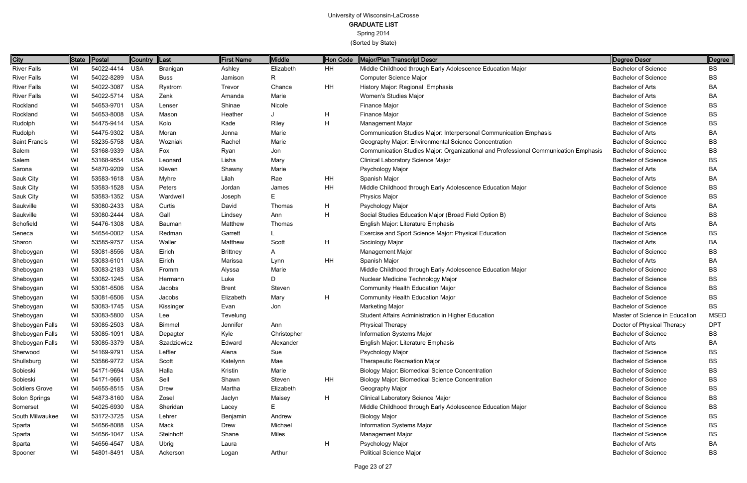(Sorted by State)

Page 23 of 27

| City                  | ∥State | Postal         | Country  Last |               | <b>First Name</b> | Middle      | Hon Code | Major/Plan Transcript Descr                                                         | Degree Descr                   | $\parallel$ Degree |
|-----------------------|--------|----------------|---------------|---------------|-------------------|-------------|----------|-------------------------------------------------------------------------------------|--------------------------------|--------------------|
| <b>River Falls</b>    | WI     | 54022-4414     | <b>USA</b>    | Branigan      | Ashley            | Elizabeth   | HH       | Middle Childhood through Early Adolescence Education Major                          | <b>Bachelor of Science</b>     | BS                 |
| <b>River Falls</b>    | WI     | 54022-8289     | USA           | <b>Buss</b>   | Jamison           | R           |          | <b>Computer Science Major</b>                                                       | <b>Bachelor of Science</b>     | <b>BS</b>          |
| <b>River Falls</b>    | WI     | 54022-3087     | USA           | Rystrom       | Trevor            | Chance      | HH       | History Major: Regional Emphasis                                                    | <b>Bachelor of Arts</b>        | BA                 |
| <b>River Falls</b>    | WI     | 54022-5714     | <b>USA</b>    | Zenk          | Amanda            | Marie       |          | Women's Studies Major                                                               | <b>Bachelor of Arts</b>        | BA                 |
| Rockland              | WI     | 54653-9701     | USA           | Lenser        | Shinae            | Nicole      |          | Finance Major                                                                       | <b>Bachelor of Science</b>     | BS                 |
| Rockland              | WI     | 54653-8008 USA |               | Mason         | Heather           |             | H        | Finance Major                                                                       | <b>Bachelor of Science</b>     | BS                 |
| Rudolph               | WI     | 54475-9414 USA |               | Kolo          | Kade              | Riley       | H        | <b>Management Major</b>                                                             | <b>Bachelor of Science</b>     | BS                 |
| Rudolph               | WI     | 54475-9302 USA |               | Moran         | Jenna             | Marie       |          | Communication Studies Major: Interpersonal Communication Emphasis                   | <b>Bachelor of Arts</b>        | BA                 |
| Saint Francis         | WI     | 53235-5758 USA |               | Wozniak       | Rachel            | Marie       |          | Geography Major: Environmental Science Concentration                                | <b>Bachelor of Science</b>     | BS                 |
| Salem                 | WI     | 53168-9339 USA |               | Fox           | Ryan              | Jon         |          | Communication Studies Major: Organizational and Professional Communication Emphasis | <b>Bachelor of Science</b>     | BS                 |
| Salem                 | WI     | 53168-9554     | USA           | Leonard       | Lisha             | Mary        |          | Clinical Laboratory Science Major                                                   | <b>Bachelor of Science</b>     | BS.                |
| Sarona                | WI     | 54870-9209     | USA           | Kleven        | Shawny            | Marie       |          | Psychology Major                                                                    | <b>Bachelor of Arts</b>        | BA                 |
| Sauk City             | WI     | 53583-1618 USA |               | <b>Myhre</b>  | Lilah             | Rae         | HH       | Spanish Major                                                                       | <b>Bachelor of Arts</b>        | BA                 |
| Sauk City             | WI     | 53583-1528 USA |               | Peters        | Jordan            | James       | HH       | Middle Childhood through Early Adolescence Education Major                          | <b>Bachelor of Science</b>     | BS                 |
| Sauk City             | WI     | 53583-1352 USA |               | Wardwell      | Joseph            | E           |          | <b>Physics Major</b>                                                                | <b>Bachelor of Science</b>     | BS                 |
| Saukville             | WI     | 53080-2433     | USA           | Curtis        | David             | Thomas      | H        | Psychology Major                                                                    | <b>Bachelor of Arts</b>        | BA                 |
| Saukville             | WI     | 53080-2444     | <b>USA</b>    | Gall          | Lindsey           | Ann         | H        | Social Studies Education Major (Broad Field Option B)                               | <b>Bachelor of Science</b>     | BS                 |
| Schofield             | WI     | 54476-1308 USA |               | <b>Bauman</b> | Matthew           | Thomas      |          | English Major: Literature Emphasis                                                  | <b>Bachelor of Arts</b>        | BA                 |
| Seneca                | WI     | 54654-0002 USA |               | Redman        | Garrett           |             |          | Exercise and Sport Science Major: Physical Education                                | <b>Bachelor of Science</b>     | BS                 |
| Sharon                | WI     | 53585-9757     | <b>USA</b>    | Waller        | Matthew           | Scott       | H        | Sociology Major                                                                     | <b>Bachelor of Arts</b>        | BA                 |
| Sheboygan             | WI     | 53081-8556     | USA           | Eirich        | <b>Brittney</b>   | A           |          | <b>Management Major</b>                                                             | <b>Bachelor of Science</b>     | BS                 |
| Sheboygan             | WI     | 53083-6101 USA |               | Eirich        | Marissa           | Lynn        | HH       | Spanish Major                                                                       | <b>Bachelor of Arts</b>        | BA                 |
| Sheboygan             | WI     | 53083-2183 USA |               | Fromm         | Alyssa            | Marie       |          | Middle Childhood through Early Adolescence Education Major                          | <b>Bachelor of Science</b>     | BS                 |
| Sheboygan             | WI     | 53082-1245     | USA           | Hermann       | Luke              | D           |          | Nuclear Medicine Technology Major                                                   | <b>Bachelor of Science</b>     | <b>BS</b>          |
| Sheboygan             | WI     | 53081-6506 USA |               | Jacobs        | <b>Brent</b>      | Steven      |          | <b>Community Health Education Major</b>                                             | <b>Bachelor of Science</b>     | BS                 |
| Sheboygan             | WI     | 53081-6506 USA |               | Jacobs        | Elizabeth         | Mary        | H        | <b>Community Health Education Major</b>                                             | <b>Bachelor of Science</b>     | <b>BS</b>          |
| Sheboygan             | WI     | 53083-1745 USA |               | Kissinger     | Evan              | Jon         |          | <b>Marketing Major</b>                                                              | <b>Bachelor of Science</b>     | <b>BS</b>          |
| Sheboygan             | WI     | 53083-5800 USA |               | Lee           | Tevelung          |             |          | Student Affairs Administration in Higher Education                                  | Master of Science in Education | <b>MSED</b>        |
| Sheboygan Falls       | WI     | 53085-2503     | <b>USA</b>    | <b>Bimmel</b> | Jennifer          | Ann         |          | <b>Physical Therapy</b>                                                             | Doctor of Physical Therapy     | <b>DPT</b>         |
| Sheboygan Falls       | WI     | 53085-1091 USA |               | Depagter      | Kyle              | Christopher |          | <b>Information Systems Major</b>                                                    | <b>Bachelor of Science</b>     | BS                 |
| Sheboygan Falls       | WI     | 53085-3379 USA |               | Szadziewicz   | Edward            | Alexander   |          | English Major: Literature Emphasis                                                  | <b>Bachelor of Arts</b>        | BA                 |
| Sherwood              | WI     | 54169-9791 USA |               | Leffler       | Alena             | Sue         |          | Psychology Major                                                                    | <b>Bachelor of Science</b>     | BS                 |
| Shullsburg            | WI     | 53586-9772 USA |               | Scott         | Katelynn          | Mae         |          | <b>Therapeutic Recreation Major</b>                                                 | <b>Bachelor of Science</b>     | <b>BS</b>          |
| Sobieski              | WI     | 54171-9694 USA |               | Halla         | Kristin           | Marie       |          | <b>Biology Major: Biomedical Science Concentration</b>                              | <b>Bachelor of Science</b>     | BS                 |
| Sobieski              | WI     | 54171-9661 USA |               | Sell          | Shawn             | Steven      | HH       | <b>Biology Major: Biomedical Science Concentration</b>                              | <b>Bachelor of Science</b>     | BS                 |
| <b>Soldiers Grove</b> | WI     | 54655-8515 USA |               | Drew          | Martha            | Elizabeth   |          | Geography Major                                                                     | <b>Bachelor of Science</b>     | BS                 |
| Solon Springs         | WI     | 54873-8160 USA |               | Zosel         | Jaclyn            | Maisey      | H        | <b>Clinical Laboratory Science Major</b>                                            | <b>Bachelor of Science</b>     | BS                 |
| Somerset              | WI     | 54025-6930 USA |               | Sheridan      | Lacey             | E           |          | Middle Childhood through Early Adolescence Education Major                          | <b>Bachelor of Science</b>     | BS                 |
| South Milwaukee       | WI     | 53172-3725 USA |               | Lehrer        | Benjamin          | Andrew      |          | <b>Biology Major</b>                                                                | <b>Bachelor of Science</b>     | BS                 |
| Sparta                | WI     | 54656-8088 USA |               | Mack          | Drew              | Michael     |          | Information Systems Major                                                           | <b>Bachelor of Science</b>     | BS                 |
| Sparta                | WI     | 54656-1047 USA |               | Steinhoff     | Shane             | Miles       |          | <b>Management Major</b>                                                             | <b>Bachelor of Science</b>     | BS                 |
| Sparta                | WI     | 54656-4547 USA |               | Ubrig         | Laura             |             | H        | Psychology Major                                                                    | <b>Bachelor of Arts</b>        | BA                 |
| Spooner               | WI     | 54801-8491 USA |               | Ackerson      | Logan             | Arthur      |          | <b>Political Science Major</b>                                                      | <b>Bachelor of Science</b>     | <b>BS</b>          |
|                       |        |                |               |               |                   |             |          |                                                                                     |                                |                    |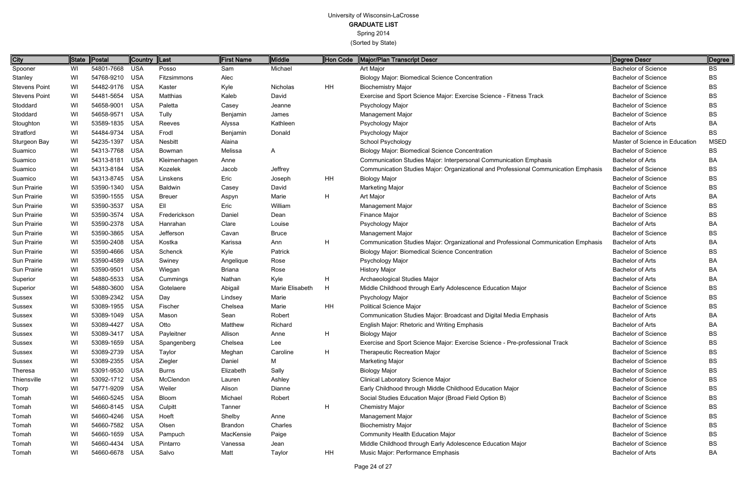Spring 2014

| City                 |    | State Postal   | Country Last |                | <b>First Name</b> | Middle          | <b>Hon Code</b> | Major/Plan Transcript Descr                                                         | Degree Descr                   | Degree      |
|----------------------|----|----------------|--------------|----------------|-------------------|-----------------|-----------------|-------------------------------------------------------------------------------------|--------------------------------|-------------|
| Spooner              | WI | 54801-7668 USA |              | Posso          | Sam               | Michael         |                 | Art Major                                                                           | Bachelor of Science            | BS          |
| Stanley              | WI | 54768-9210 USA |              | Fitzsimmons    | Alec              |                 |                 | <b>Biology Major: Biomedical Science Concentration</b>                              | <b>Bachelor of Science</b>     | BS          |
| <b>Stevens Point</b> | WI | 54482-9176 USA |              | Kaster         | Kyle              | Nicholas        | HH              | <b>Biochemistry Major</b>                                                           | <b>Bachelor of Science</b>     | BS          |
| <b>Stevens Point</b> | WI | 54481-5654 USA |              | Matthias       | Kaleb             | David           |                 | Exercise and Sport Science Major: Exercise Science - Fitness Track                  | <b>Bachelor of Science</b>     | ВS          |
| Stoddard             | WI | 54658-9001     | USA          | Paletta        | Casey             | Jeanne          |                 | Psychology Major                                                                    | <b>Bachelor of Science</b>     | BS          |
| Stoddard             | WI | 54658-9571     | <b>USA</b>   | Tully          | Benjamin          | James           |                 | Management Major                                                                    | <b>Bachelor of Science</b>     | BS          |
| Stoughton            | WI | 53589-1835 USA |              | Reeves         | Alyssa            | Kathleen        |                 | Psychology Major                                                                    | <b>Bachelor of Arts</b>        | BA          |
| Stratford            | WI | 54484-9734 USA |              | Frodl          | Benjamin          | Donald          |                 | Psychology Major                                                                    | <b>Bachelor of Science</b>     | BS          |
| Sturgeon Bay         | WI | 54235-1397 USA |              | <b>Nesbitt</b> | Alaina            |                 |                 | School Psychology                                                                   | Master of Science in Education | <b>MSED</b> |
| Suamico              | WI | 54313-7768 USA |              | Bowman         | Melissa           | A               |                 | <b>Biology Major: Biomedical Science Concentration</b>                              | <b>Bachelor of Science</b>     | ВS          |
| Suamico              | WI | 54313-8181 USA |              | Kleimenhagen   | Anne              |                 |                 | Communication Studies Major: Interpersonal Communication Emphasis                   | <b>Bachelor of Arts</b>        | BA          |
| Suamico              | WI | 54313-8184 USA |              | Kozelek        | Jacob             | Jeffrey         |                 | Communication Studies Major: Organizational and Professional Communication Emphasis | <b>Bachelor of Science</b>     | ВS          |
| Suamico              | WI | 54313-8745 USA |              | Linskens       | Eric              | Joseph          | HH              | <b>Biology Major</b>                                                                | <b>Bachelor of Science</b>     | BS          |
| Sun Prairie          | WI | 53590-1340 USA |              | <b>Baldwin</b> | Casey             | David           |                 | <b>Marketing Major</b>                                                              | <b>Bachelor of Science</b>     | BS          |
| Sun Prairie          | WI | 53590-1555 USA |              | <b>Breuer</b>  | Aspyn             | Marie           | H               | Art Major                                                                           | <b>Bachelor of Arts</b>        | ВA          |
| Sun Prairie          | WI | 53590-3537     | USA          | Ell            | Eric              | William         |                 | <b>Management Major</b>                                                             | <b>Bachelor of Science</b>     | ВS          |
| Sun Prairie          | WI | 53590-3574 USA |              | Frederickson   | Daniel            | Dean            |                 | Finance Major                                                                       | <b>Bachelor of Science</b>     | BS          |
| Sun Prairie          | WI | 53590-2378 USA |              | Hanrahan       | Clare             | Louise          |                 | Psychology Major                                                                    | <b>Bachelor of Arts</b>        | ВA          |
| Sun Prairie          | WI | 53590-3865 USA |              | Jefferson      | Cavan             | <b>Bruce</b>    |                 | <b>Management Major</b>                                                             | <b>Bachelor of Science</b>     | BS          |
| Sun Prairie          | WI | 53590-2408 USA |              | Kostka         | Karissa           | Ann             | H               | Communication Studies Major: Organizational and Professional Communication Emphasis | <b>Bachelor of Arts</b>        | ВA          |
| Sun Prairie          | WI | 53590-4666 USA |              | Schenck        | Kyle              | Patrick         |                 | <b>Biology Major: Biomedical Science Concentration</b>                              | <b>Bachelor of Science</b>     | BS          |
| Sun Prairie          | WI | 53590-4589 USA |              | Swiney         | Angelique         | Rose            |                 | Psychology Major                                                                    | <b>Bachelor of Arts</b>        | ВA          |
| Sun Prairie          | WI | 53590-9501 USA |              | Wiegan         | <b>Briana</b>     | Rose            |                 | <b>History Major</b>                                                                | <b>Bachelor of Arts</b>        | ВA          |
| Superior             | WI | 54880-5533 USA |              | Cummings       | Nathan            | Kyle            | H               | Archaeological Studies Major                                                        | <b>Bachelor of Arts</b>        | ВA          |
| Superior             | WI | 54880-3600 USA |              | Gotelaere      | Abigail           | Marie Elisabeth | H               | Middle Childhood through Early Adolescence Education Major                          | <b>Bachelor of Science</b>     | BS          |
| Sussex               | WI | 53089-2342 USA |              | Day            | Lindsey           | Marie           |                 | Psychology Major                                                                    | <b>Bachelor of Science</b>     | BS          |
| Sussex               | WI | 53089-1955 USA |              | Fischer        | Chelsea           | Marie           | HH              | <b>Political Science Major</b>                                                      | <b>Bachelor of Science</b>     | BS          |
| Sussex               | WI | 53089-1049 USA |              | Mason          | Sean              | Robert          |                 | Communication Studies Major: Broadcast and Digital Media Emphasis                   | <b>Bachelor of Arts</b>        | ВA          |
| Sussex               | WI | 53089-4427 USA |              | Otto           | Matthew           | Richard         |                 | English Major: Rhetoric and Writing Emphasis                                        | <b>Bachelor of Arts</b>        | ВA          |
| Sussex               | WI | 53089-3417 USA |              | Payleitner     | Allison           | Anne            | H               | <b>Biology Major</b>                                                                | <b>Bachelor of Science</b>     | ВS          |
| Sussex               | WI | 53089-1659 USA |              | Spangenberg    | Chelsea           | Lee             |                 | Exercise and Sport Science Major: Exercise Science - Pre-professional Track         | <b>Bachelor of Science</b>     | BS          |
| Sussex               | WI | 53089-2739 USA |              | Taylor         | Meghan            | Caroline        | H               | <b>Therapeutic Recreation Major</b>                                                 | <b>Bachelor of Science</b>     | BS          |
| Sussex               | WI | 53089-2355 USA |              | Ziegler        | Daniel            | М               |                 | Marketing Major                                                                     | <b>Bachelor of Science</b>     | BS          |
| Theresa              | WI | 53091-9530 USA |              | <b>Burns</b>   | Elizabeth         | Sally           |                 | <b>Biology Major</b>                                                                | <b>Bachelor of Science</b>     | ВS          |
| Thiensville          | WI | 53092-1712 USA |              | McClendon      | Lauren            | Ashley          |                 | <b>Clinical Laboratory Science Major</b>                                            | <b>Bachelor of Science</b>     | BS          |
| Thorp                | WI | 54771-9209 USA |              | Weiler         | Alison            | Dianne          |                 | Early Childhood through Middle Childhood Education Major                            | <b>Bachelor of Science</b>     | BS          |
| Tomah                | WI | 54660-5245 USA |              | <b>Bloom</b>   | Michael           | Robert          |                 | Social Studies Education Major (Broad Field Option B)                               | <b>Bachelor of Science</b>     | BS          |
| Tomah                | WI | 54660-8145 USA |              | Culpitt        | Tanner            |                 | H               | <b>Chemistry Major</b>                                                              | <b>Bachelor of Science</b>     | ВS          |
| Tomah                | WI | 54660-4246 USA |              | Hoeft          | Shelby            | Anne            |                 | Management Major                                                                    | <b>Bachelor of Science</b>     | BS          |
| Tomah                | WI | 54660-7582 USA |              | Olsen          | Brandon           | Charles         |                 | <b>Biochemistry Major</b>                                                           | <b>Bachelor of Science</b>     | BS          |
| Tomah                | WI | 54660-1659 USA |              | Pampuch        | MacKensie         | Paige           |                 | <b>Community Health Education Major</b>                                             | <b>Bachelor of Science</b>     | BS          |
| Tomah                | WI | 54660-4434 USA |              | Pintarro       | Vanessa           | Jean            |                 | Middle Childhood through Early Adolescence Education Major                          | <b>Bachelor of Science</b>     | BS          |
| Tomah                | WI | 54660-6678 USA |              | Salvo          | Matt              | Taylor          | HH              | Music Major: Performance Emphasis                                                   | Bachelor of Arts               | ВA          |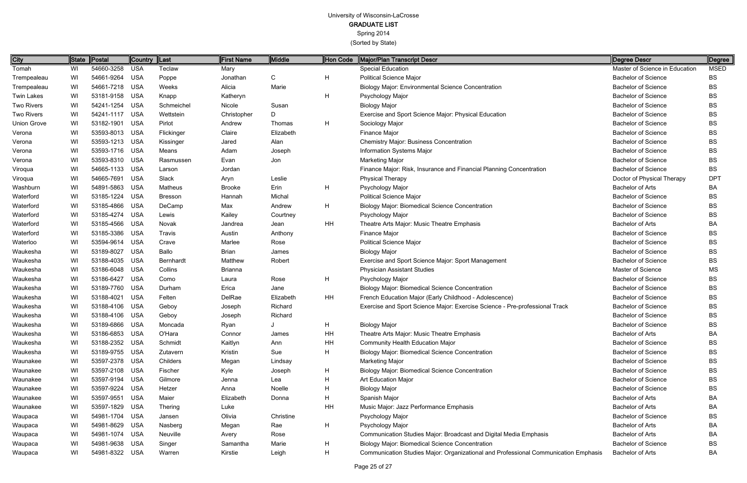Spring 2014

| City               | ∥State | Postal         | Country  Last |                | <b>First Name</b> | <b>Middle</b> | Hon Code | Major/Plan Transcript Descr                                                         | Degree Descr                   | <b>Degree</b> |
|--------------------|--------|----------------|---------------|----------------|-------------------|---------------|----------|-------------------------------------------------------------------------------------|--------------------------------|---------------|
| Tomah              | WI     | 54660-3258     | <b>USA</b>    | Teclaw         | Mary              |               |          | <b>Special Education</b>                                                            | Master of Science in Education | <b>MSED</b>   |
| Trempealeau        | WI     | 54661-9264 USA |               | Poppe          | Jonathan          | $\mathsf{C}$  | H        | <b>Political Science Major</b>                                                      | <b>Bachelor of Science</b>     | <b>BS</b>     |
| Trempealeau        | WI     | 54661-7218 USA |               | Weeks          | Alicia            | Marie         |          | <b>Biology Major: Environmental Science Concentration</b>                           | <b>Bachelor of Science</b>     | <b>BS</b>     |
| <b>Twin Lakes</b>  | WI     | 53181-9158 USA |               | Knapp          | Katheryn          |               | H        | Psychology Major                                                                    | <b>Bachelor of Science</b>     | <b>BS</b>     |
| <b>Two Rivers</b>  | WI     | 54241-1254 USA |               | Schmeichel     | Nicole            | Susan         |          | <b>Biology Major</b>                                                                | <b>Bachelor of Science</b>     | <b>BS</b>     |
| <b>Two Rivers</b>  | WI     | 54241-1117 USA |               | Wettstein      | Christopher       | D             |          | Exercise and Sport Science Major: Physical Education                                | <b>Bachelor of Science</b>     | <b>BS</b>     |
| <b>Union Grove</b> | WI     | 53182-1901     | USA           | Pirlot         | Andrew            | Thomas        | H        | Sociology Major                                                                     | <b>Bachelor of Science</b>     | <b>BS</b>     |
| Verona             | WI     | 53593-8013 USA |               | Flickinger     | Claire            | Elizabeth     |          | Finance Major                                                                       | <b>Bachelor of Science</b>     | <b>BS</b>     |
| Verona             | WI     | 53593-1213 USA |               | Kissinger      | Jared             | Alan          |          | <b>Chemistry Major: Business Concentration</b>                                      | <b>Bachelor of Science</b>     | <b>BS</b>     |
| Verona             | WI     | 53593-1716 USA |               | Means          | Adam              | Joseph        |          | Information Systems Major                                                           | <b>Bachelor of Science</b>     | <b>BS</b>     |
| Verona             | WI     | 53593-8310 USA |               | Rasmussen      | Evan              | Jon           |          | <b>Marketing Major</b>                                                              | <b>Bachelor of Science</b>     | <b>BS</b>     |
| Viroqua            | WI     | 54665-1133 USA |               | Larson         | Jordan            |               |          | Finance Major: Risk, Insurance and Financial Planning Concentration                 | <b>Bachelor of Science</b>     | BS            |
| Viroqua            | WI     | 54665-7691     | USA           | Slack          | Aryn              | Leslie        |          | <b>Physical Therapy</b>                                                             | Doctor of Physical Therapy     | <b>DPT</b>    |
| Washburn           | WI     | 54891-5863 USA |               | Matheus        | <b>Brooke</b>     | Erin          | H        | Psychology Major                                                                    | <b>Bachelor of Arts</b>        | BA            |
| Waterford          | WI     | 53185-1224     | USA           | <b>Bresson</b> | Hannah            | Michal        |          | <b>Political Science Major</b>                                                      | <b>Bachelor of Science</b>     | <b>BS</b>     |
| Waterford          | WI     | 53185-4866     | USA           | DeCamp         | Max               | Andrew        | H        | <b>Biology Major: Biomedical Science Concentration</b>                              | <b>Bachelor of Science</b>     | <b>BS</b>     |
| Waterford          | WI     | 53185-4274 USA |               | Lewis          | Kailey            | Courtney      |          | Psychology Major                                                                    | <b>Bachelor of Science</b>     | <b>BS</b>     |
| Waterford          | WI     | 53185-4566 USA |               | Novak          | Jandrea           | Jean          | HH       | Theatre Arts Major: Music Theatre Emphasis                                          | <b>Bachelor of Arts</b>        | <b>BA</b>     |
| Waterford          | WI     | 53185-3386 USA |               | Travis         | Austin            | Anthony       |          | Finance Major                                                                       | <b>Bachelor of Science</b>     | <b>BS</b>     |
| Waterloo           | WI     | 53594-9614 USA |               | Crave          | Marlee            | Rose          |          | <b>Political Science Major</b>                                                      | <b>Bachelor of Science</b>     | <b>BS</b>     |
| Waukesha           | WI     | 53189-8027     | <b>USA</b>    | Ballo          | <b>Brian</b>      | James         |          | <b>Biology Major</b>                                                                | <b>Bachelor of Science</b>     | <b>BS</b>     |
| Waukesha           | WI     | 53188-4035 USA |               | Bernhardt      | Matthew           | Robert        |          | Exercise and Sport Science Major: Sport Management                                  | <b>Bachelor of Science</b>     | <b>BS</b>     |
| Waukesha           | WI     | 53186-6048 USA |               | Collins        | <b>Brianna</b>    |               |          | <b>Physician Assistant Studies</b>                                                  | <b>Master of Science</b>       | MS            |
| Waukesha           | WI     | 53186-6427     | <b>USA</b>    | Como           | Laura             | Rose          | H        | Psychology Major                                                                    | <b>Bachelor of Science</b>     | <b>BS</b>     |
| Waukesha           | WI     | 53189-7760 USA |               | Durham         | Erica             | Jane          |          | <b>Biology Major: Biomedical Science Concentration</b>                              | <b>Bachelor of Science</b>     | <b>BS</b>     |
| Waukesha           | WI     | 53188-4021     | <b>USA</b>    | Felten         | DelRae            | Elizabeth     | HH       | French Education Major (Early Childhood - Adolescence)                              | <b>Bachelor of Science</b>     | <b>BS</b>     |
| Waukesha           | WI     | 53188-4106     | USA           | Geboy          | Joseph            | Richard       |          | Exercise and Sport Science Major: Exercise Science - Pre-professional Track         | <b>Bachelor of Science</b>     | <b>BS</b>     |
| Waukesha           | WI     | 53188-4106 USA |               | Geboy          | Joseph            | Richard       |          |                                                                                     | <b>Bachelor of Science</b>     | <b>BS</b>     |
| Waukesha           | WI     | 53189-6866 USA |               | Moncada        | Ryan              |               | H        | <b>Biology Major</b>                                                                | <b>Bachelor of Science</b>     | <b>BS</b>     |
| Waukesha           | WI     | 53186-6853 USA |               | O'Hara         | Connor            | James         | HH       | Theatre Arts Major: Music Theatre Emphasis                                          | <b>Bachelor of Arts</b>        | BA            |
| Waukesha           | WI     | 53188-2352 USA |               | Schmidt        | Kaitlyn           | Ann           | HH       | <b>Community Health Education Major</b>                                             | <b>Bachelor of Science</b>     | <b>BS</b>     |
| Waukesha           | WI     | 53189-9755 USA |               | Zutavern       | Kristin           | Sue           | H        | <b>Biology Major: Biomedical Science Concentration</b>                              | <b>Bachelor of Science</b>     | <b>BS</b>     |
| Waunakee           | WI     | 53597-2378 USA |               | Childers       | Megan             | Lindsay       |          | <b>Marketing Major</b>                                                              | <b>Bachelor of Science</b>     | <b>BS</b>     |
| Waunakee           | WI     | 53597-2108 USA |               | Fischer        | Kyle              | Joseph        | H        | <b>Biology Major: Biomedical Science Concentration</b>                              | <b>Bachelor of Science</b>     | <b>BS</b>     |
| Waunakee           | WI     | 53597-9194 USA |               | Gilmore        | Jenna             | Lea           | н        | Art Education Major                                                                 | <b>Bachelor of Science</b>     | <b>BS</b>     |
| Waunakee           | WI     | 53597-9224 USA |               | Hetzer         | Anna              | Noelle        | H        | <b>Biology Major</b>                                                                | <b>Bachelor of Science</b>     | <b>BS</b>     |
| Waunakee           | WI     | 53597-9551 USA |               | Maier          | Elizabeth         | Donna         | н        | Spanish Major                                                                       | <b>Bachelor of Arts</b>        | BA            |
| Waunakee           | WI     | 53597-1829 USA |               | Thering        | Luke              |               | HH       | Music Major: Jazz Performance Emphasis                                              | <b>Bachelor of Arts</b>        | BA            |
| Waupaca            | WI     | 54981-1704 USA |               | Jansen         | Olivia            | Christine     |          | Psychology Major                                                                    | <b>Bachelor of Science</b>     | <b>BS</b>     |
| Waupaca            | WI     | 54981-8629 USA |               | Nasberg        | Megan             | Rae           | H        | Psychology Major                                                                    | <b>Bachelor of Arts</b>        | BA            |
| Waupaca            | WI     | 54981-1074 USA |               | Neuville       | Avery             | Rose          |          | Communication Studies Major: Broadcast and Digital Media Emphasis                   | <b>Bachelor of Arts</b>        | <b>BA</b>     |
| Waupaca            | WI     | 54981-9638 USA |               | Singer         | Samantha          | Marie         | H        | <b>Biology Major: Biomedical Science Concentration</b>                              | <b>Bachelor of Science</b>     | <b>BS</b>     |
| Waupaca            | WI     | 54981-8322 USA |               | Warren         | Kirstie           | Leigh         | H        | Communication Studies Major: Organizational and Professional Communication Emphasis | <b>Bachelor of Arts</b>        | BA            |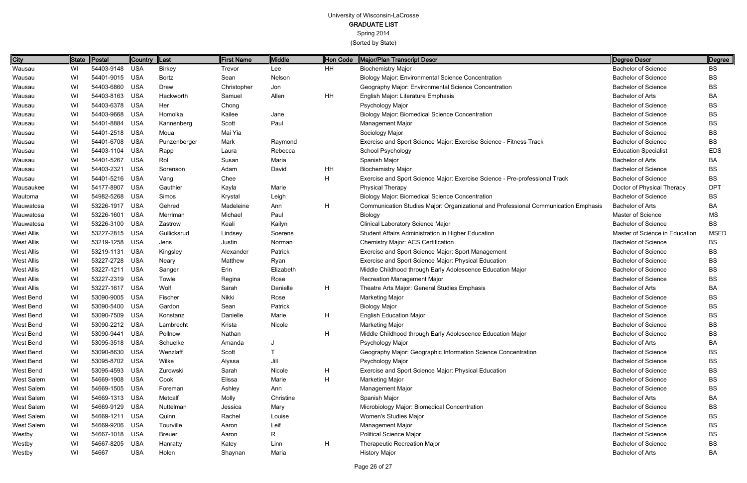Spring 2014

| <b>City</b>       | State | Postal         | <b>Country</b> | $\ $ Last     | First Name  | Middle    | Hon Code | Major/Plan Transcript Descr                                                         | Degree Descr                   | Degree      |
|-------------------|-------|----------------|----------------|---------------|-------------|-----------|----------|-------------------------------------------------------------------------------------|--------------------------------|-------------|
| Wausau            | WI    | 54403-9148     | <b>USA</b>     | <b>Birkey</b> | Trevor      | Lee       | HH       | <b>Biochemistry Major</b>                                                           | <b>Bachelor of Science</b>     | <b>BS</b>   |
| Wausau            | WI    | 54401-9015     | <b>USA</b>     | <b>Bortz</b>  | Sean        | Nelson    |          | <b>Biology Major: Environmental Science Concentration</b>                           | <b>Bachelor of Science</b>     | <b>BS</b>   |
| Wausau            | WI    | 54403-6860     | <b>USA</b>     | Drew          | Christopher | Jon       |          | Geography Major: Environmental Science Concentration                                | <b>Bachelor of Science</b>     | <b>BS</b>   |
| Wausau            | WI    | 54403-8163     | <b>USA</b>     | Hackworth     | Samuel      | Allen     | HH       | English Major: Literature Emphasis                                                  | <b>Bachelor of Arts</b>        | BA          |
| Wausau            | WI    | 54403-6378     | USA            | Her           | Chong       |           |          | Psychology Major                                                                    | <b>Bachelor of Science</b>     | BS          |
| Wausau            | WI    | 54403-9668     | <b>USA</b>     | Homolka       | Kailee      | Jane      |          | <b>Biology Major: Biomedical Science Concentration</b>                              | <b>Bachelor of Science</b>     | <b>BS</b>   |
| Wausau            | WI    | 54401-8884     | <b>USA</b>     | Kannenberg    | Scott       | Paul      |          | <b>Management Major</b>                                                             | <b>Bachelor of Science</b>     | BS          |
| Wausau            | WI    | 54401-2518     | <b>USA</b>     | Moua          | Mai Yia     |           |          | Sociology Major                                                                     | <b>Bachelor of Science</b>     | <b>BS</b>   |
| Wausau            | WI    | 54401-6708     | USA            | Punzenberger  | Mark        | Raymond   |          | Exercise and Sport Science Major: Exercise Science - Fitness Track                  | <b>Bachelor of Science</b>     | <b>BS</b>   |
| Wausau            | WI    | 54403-1104     | <b>USA</b>     | Rapp          | Laura       | Rebecca   |          | School Psychology                                                                   | <b>Education Specialist</b>    | <b>EDS</b>  |
| Wausau            | WI    | 54401-5267     | <b>USA</b>     | Rol           | Susan       | Maria     |          | Spanish Major                                                                       | <b>Bachelor of Arts</b>        | BA          |
| Wausau            | WI    | 54403-2321     | <b>USA</b>     | Sorenson      | Adam        | David     | HH       | <b>Biochemistry Major</b>                                                           | <b>Bachelor of Science</b>     | <b>BS</b>   |
| Wausau            | WI    | 54401-5216     | <b>USA</b>     | Vang          | Chee        |           | H        | Exercise and Sport Science Major: Exercise Science - Pre-professional Track         | <b>Bachelor of Science</b>     | <b>BS</b>   |
| Wausaukee         | WI    | 54177-8907     | <b>USA</b>     | Gauthier      | Kayla       | Marie     |          | <b>Physical Therapy</b>                                                             | Doctor of Physical Therapy     | <b>DPT</b>  |
| Wautoma           | WI    | 54982-5268     | <b>USA</b>     | Simos         | Krystal     | Leigh     |          | <b>Biology Major: Biomedical Science Concentration</b>                              | <b>Bachelor of Science</b>     | BS          |
| Wauwatosa         | WI    | 53226-1917     | <b>USA</b>     | Gehred        | Madeleine   | Ann       | H        | Communication Studies Major: Organizational and Professional Communication Emphasis | <b>Bachelor of Arts</b>        | BA          |
| Wauwatosa         | WI    | 53226-1601     | <b>USA</b>     | Merriman      | Michael     | Paul      |          | <b>Biology</b>                                                                      | Master of Science              | <b>MS</b>   |
| Wauwatosa         | WI    | 53226-3100     | <b>USA</b>     | Zastrow       | Keali       | Kailyn    |          | Clinical Laboratory Science Major                                                   | <b>Bachelor of Science</b>     | <b>BS</b>   |
| <b>West Allis</b> | WI    | 53227-2815 USA |                | Gullicksrud   | Lindsey     | Soerens   |          | Student Affairs Administration in Higher Education                                  | Master of Science in Education | <b>MSED</b> |
| <b>West Allis</b> | WI    | 53219-1258     | <b>USA</b>     | Jens          | Justin      | Norman    |          | Chemistry Major: ACS Certification                                                  | <b>Bachelor of Science</b>     | <b>BS</b>   |
| <b>West Allis</b> | WI    | 53219-1131 USA |                | Kingsley      | Alexander   | Patrick   |          | Exercise and Sport Science Major: Sport Management                                  | <b>Bachelor of Science</b>     | BS          |
| <b>West Allis</b> | WI    | 53227-2728     | <b>USA</b>     | Neary         | Matthew     | Ryan      |          | Exercise and Sport Science Major: Physical Education                                | <b>Bachelor of Science</b>     | <b>BS</b>   |
| <b>West Allis</b> | WI    | 53227-1211 USA |                | Sanger        | Erin        | Elizabeth |          | Middle Childhood through Early Adolescence Education Major                          | <b>Bachelor of Science</b>     | BS          |
| <b>West Allis</b> | WI    | 53227-2319     | <b>USA</b>     | Towle         | Regina      | Rose      |          | <b>Recreation Management Major</b>                                                  | <b>Bachelor of Science</b>     | <b>BS</b>   |
| <b>West Allis</b> | WI    | 53227-1617     | <b>USA</b>     | Wolf          | Sarah       | Danielle  | H        | Theatre Arts Major: General Studies Emphasis                                        | <b>Bachelor of Arts</b>        | BA          |
| West Bend         | WI    | 53090-9005     | <b>USA</b>     | Fischer       | Nikki       | Rose      |          | <b>Marketing Major</b>                                                              | <b>Bachelor of Science</b>     | BS.         |
| West Bend         | WI    | 53090-5400 USA |                | Gardon        | Sean        | Patrick   |          | <b>Biology Major</b>                                                                | <b>Bachelor of Science</b>     | BS          |
| West Bend         | WI    | 53090-7509     | <b>USA</b>     | Konstanz      | Danielle    | Marie     | H        | <b>English Education Major</b>                                                      | <b>Bachelor of Science</b>     | <b>BS</b>   |
| West Bend         | WI    | 53090-2212     | <b>USA</b>     | Lambrecht     | Krista      | Nicole    |          | <b>Marketing Major</b>                                                              | <b>Bachelor of Science</b>     | BS          |
| West Bend         | WI    | 53090-9441 USA |                | Pollnow       | Nathan      |           | H        | Middle Childhood through Early Adolescence Education Major                          | <b>Bachelor of Science</b>     | <b>BS</b>   |
| West Bend         | WI    | 53095-3518 USA |                | Schuelke      | Amanda      |           |          | Psychology Major                                                                    | Bachelor of Arts               | BA          |
| West Bend         | WI    | 53090-8630 USA |                | Wenzlaff      | Scott       |           |          | Geography Major: Geographic Information Science Concentration                       | <b>Bachelor of Science</b>     | BS          |
| West Bend         | WI    | 53095-8702 USA |                | Wilke         | Alyssa      | Jill      |          | Psychology Major                                                                    | <b>Bachelor of Science</b>     | BS          |
| West Bend         | WI    | 53095-4593 USA |                | Zurowski      | Sarah       | Nicole    | H        | Exercise and Sport Science Major: Physical Education                                | <b>Bachelor of Science</b>     | <b>BS</b>   |
| West Salem        | WI    | 54669-1908 USA |                | Cook          | Elissa      | Marie     | H        | <b>Marketing Major</b>                                                              | <b>Bachelor of Science</b>     | <b>BS</b>   |
| <b>West Salem</b> | WI    | 54669-1505 USA |                | Foreman       | Ashley      | Ann       |          | Management Major                                                                    | <b>Bachelor of Science</b>     | <b>BS</b>   |
| West Salem        | WI    | 54669-1313 USA |                | Metcalf       | Molly       | Christine |          | Spanish Major                                                                       | <b>Bachelor of Arts</b>        | ВA          |
| West Salem        | WI    | 54669-9129 USA |                | Nuttelman     | Jessica     | Mary      |          | Microbiology Major: Biomedical Concentration                                        | <b>Bachelor of Science</b>     | BS          |
| West Salem        | WI    | 54669-1211 USA |                | Quinn         | Rachel      | Louise    |          | Women's Studies Major                                                               | <b>Bachelor of Science</b>     | BS          |
| <b>West Salem</b> | WI    | 54669-9206 USA |                | Tourville     | Aaron       | Leif      |          | Management Major                                                                    | <b>Bachelor of Science</b>     | <b>BS</b>   |
| Westby            | WI    | 54667-1018 USA |                | <b>Breuer</b> | Aaron       | R.        |          | <b>Political Science Major</b>                                                      | <b>Bachelor of Science</b>     | BS          |
| Westby            | WI    | 54667-8205     | <b>USA</b>     | Hanratty      | Katey       | Linn      | H        | Therapeutic Recreation Major                                                        | <b>Bachelor of Science</b>     | <b>BS</b>   |
| Westby            | WI    | 54667          | <b>USA</b>     | Holen         | Shaynan     | Maria     |          | <b>History Major</b>                                                                | Bachelor of Arts               | BA          |